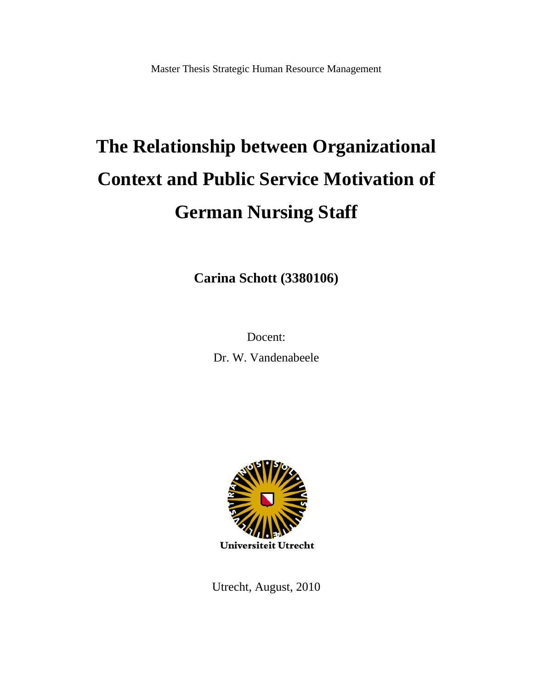# **The Relationship between Organizational Context and Public Service Motivation of German Nursing Staff**

**Carina Schott (3380106)**

Docent:

Dr. W. Vandenabeele



Utrecht, August, 2010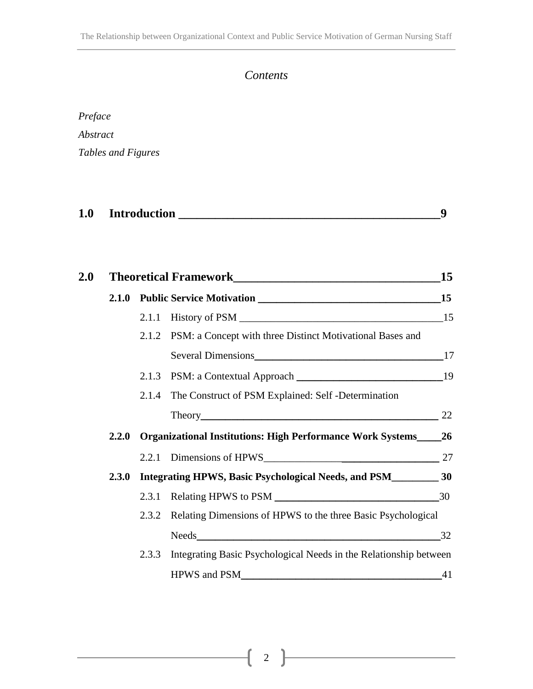# *Contents*

| Preface            |
|--------------------|
| Abstract           |
| Tables and Figures |

| 1.0 | <b>Introduction</b> |  |
|-----|---------------------|--|
|     |                     |  |

| 2.0 |  |                                                                                      | <b>15</b> |
|-----|--|--------------------------------------------------------------------------------------|-----------|
|     |  |                                                                                      |           |
|     |  |                                                                                      |           |
|     |  | 2.1.2 PSM: a Concept with three Distinct Motivational Bases and                      |           |
|     |  |                                                                                      |           |
|     |  |                                                                                      |           |
|     |  | 2.1.4 The Construct of PSM Explained: Self -Determination                            |           |
|     |  |                                                                                      |           |
|     |  | 2.2.0 Organizational Institutions: High Performance Work Systems 26                  |           |
|     |  |                                                                                      |           |
|     |  | 2.3.0 Integrating HPWS, Basic Psychological Needs, and PSM_______________________ 30 |           |
|     |  |                                                                                      |           |
|     |  | 2.3.2 Relating Dimensions of HPWS to the three Basic Psychological                   |           |
|     |  |                                                                                      | 32        |
|     |  | 2.3.3 Integrating Basic Psychological Needs in the Relationship between              |           |
|     |  |                                                                                      |           |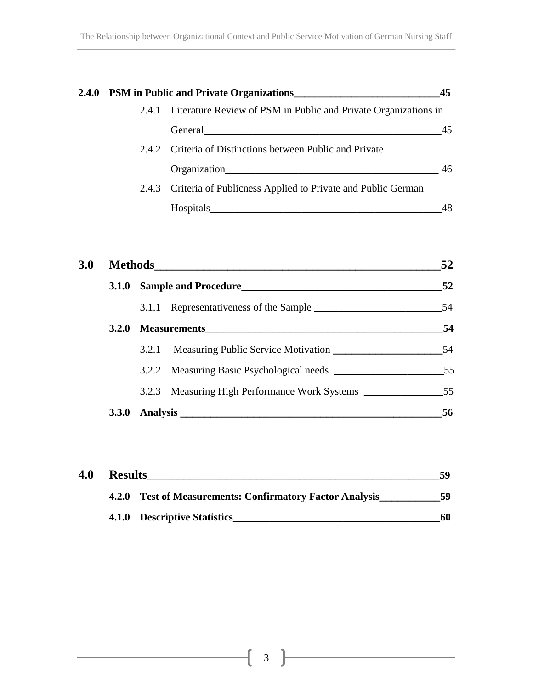| 2.4.0 PSM in Public and Private Organizations___________________________________ |                                                                                                                                                                                                                                | 45 |
|----------------------------------------------------------------------------------|--------------------------------------------------------------------------------------------------------------------------------------------------------------------------------------------------------------------------------|----|
|                                                                                  | 2.4.1 Literature Review of PSM in Public and Private Organizations in                                                                                                                                                          |    |
|                                                                                  | General Communication of the communication of the communication of the communication of the communication of the communication of the communication of the communication of the communication of the communication of the comm | 45 |
|                                                                                  | 2.4.2 Criteria of Distinctions between Public and Private                                                                                                                                                                      |    |
|                                                                                  | Organization                                                                                                                                                                                                                   | 46 |
|                                                                                  | 2.4.3 Criteria of Publicness Applied to Private and Public German                                                                                                                                                              |    |
|                                                                                  | Hospitals_<br><u> 1989 - Johann John Stein, markin fan it ferstjer fan de ferstjer fan it ferstjer fan it ferstjer fan it fers</u>                                                                                             | 48 |

| 3.0 |              |                                               | 52 |
|-----|--------------|-----------------------------------------------|----|
|     |              | 3.1.0 Sample and Procedure                    | 52 |
|     |              |                                               | 54 |
|     | <b>3.2.0</b> |                                               | 54 |
|     |              | 3.2.1 Measuring Public Service Motivation     | 54 |
|     |              |                                               | 55 |
|     |              | 3.2.3 Measuring High Performance Work Systems | 55 |
|     | <b>3.3.0</b> |                                               | 56 |

| 4.0 | <b>Results</b> |                                                          | 59 |
|-----|----------------|----------------------------------------------------------|----|
|     |                | 4.2.0 Test of Measurements: Confirmatory Factor Analysis | 59 |
|     |                | 4.1.0 Descriptive Statistics                             | 60 |

ſ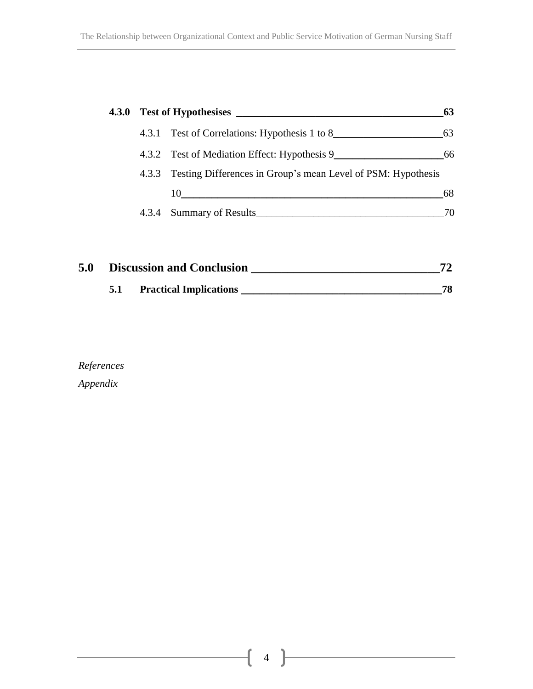|                                                                    |  |                                                 | 63 |
|--------------------------------------------------------------------|--|-------------------------------------------------|----|
| 4.3.1 Test of Correlations: Hypothesis 1 to 8                      |  |                                                 |    |
|                                                                    |  | 4.3.2 Test of Mediation Effect: Hypothesis 9 66 |    |
| 4.3.3 Testing Differences in Group's mean Level of PSM: Hypothesis |  |                                                 |    |
|                                                                    |  | 10                                              | 68 |
|                                                                    |  | 4.3.4 Summary of Results                        | 70 |
|                                                                    |  |                                                 |    |
|                                                                    |  |                                                 |    |

| 5.0 | <b>Discussion and Conclusion</b> |                               |    |
|-----|----------------------------------|-------------------------------|----|
|     |                                  | <b>Practical Implications</b> | 78 |

*References Appendix*

 $4$ 

ſ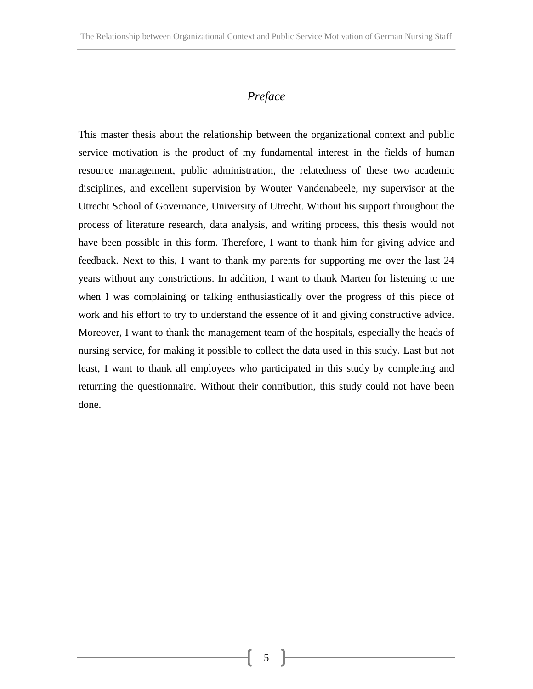## *Preface*

This master thesis about the relationship between the organizational context and public service motivation is the product of my fundamental interest in the fields of human resource management, public administration, the relatedness of these two academic disciplines, and excellent supervision by Wouter Vandenabeele, my supervisor at the Utrecht School of Governance, University of Utrecht. Without his support throughout the process of literature research, data analysis, and writing process, this thesis would not have been possible in this form. Therefore, I want to thank him for giving advice and feedback. Next to this, I want to thank my parents for supporting me over the last 24 years without any constrictions. In addition, I want to thank Marten for listening to me when I was complaining or talking enthusiastically over the progress of this piece of work and his effort to try to understand the essence of it and giving constructive advice. Moreover, I want to thank the management team of the hospitals, especially the heads of nursing service, for making it possible to collect the data used in this study. Last but not least, I want to thank all employees who participated in this study by completing and returning the questionnaire. Without their contribution, this study could not have been done.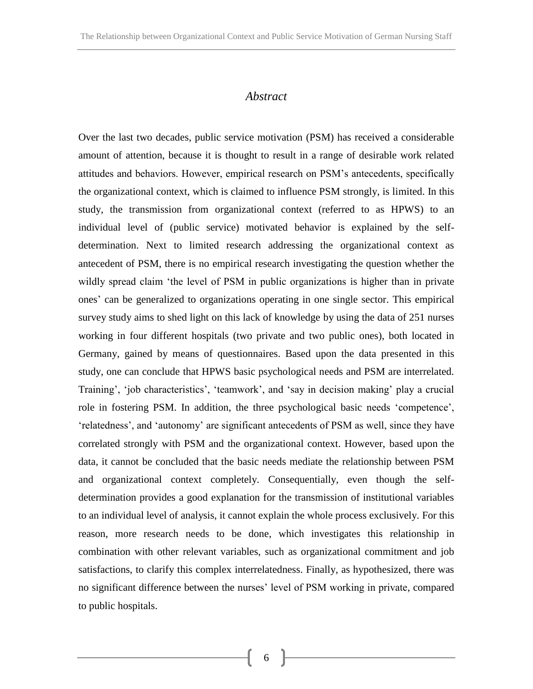#### *Abstract*

Over the last two decades, public service motivation (PSM) has received a considerable amount of attention, because it is thought to result in a range of desirable work related attitudes and behaviors. However, empirical research on PSM's antecedents, specifically the organizational context, which is claimed to influence PSM strongly, is limited. In this study, the transmission from organizational context (referred to as HPWS) to an individual level of (public service) motivated behavior is explained by the selfdetermination. Next to limited research addressing the organizational context as antecedent of PSM, there is no empirical research investigating the question whether the wildly spread claim 'the level of PSM in public organizations is higher than in private ones' can be generalized to organizations operating in one single sector. This empirical survey study aims to shed light on this lack of knowledge by using the data of 251 nurses working in four different hospitals (two private and two public ones), both located in Germany, gained by means of questionnaires. Based upon the data presented in this study, one can conclude that HPWS basic psychological needs and PSM are interrelated. Training', 'job characteristics', 'teamwork', and 'say in decision making' play a crucial role in fostering PSM. In addition, the three psychological basic needs 'competence', 'relatedness', and 'autonomy' are significant antecedents of PSM as well, since they have correlated strongly with PSM and the organizational context. However, based upon the data, it cannot be concluded that the basic needs mediate the relationship between PSM and organizational context completely. Consequentially, even though the selfdetermination provides a good explanation for the transmission of institutional variables to an individual level of analysis, it cannot explain the whole process exclusively. For this reason, more research needs to be done, which investigates this relationship in combination with other relevant variables, such as organizational commitment and job satisfactions, to clarify this complex interrelatedness. Finally, as hypothesized, there was no significant difference between the nurses' level of PSM working in private, compared to public hospitals.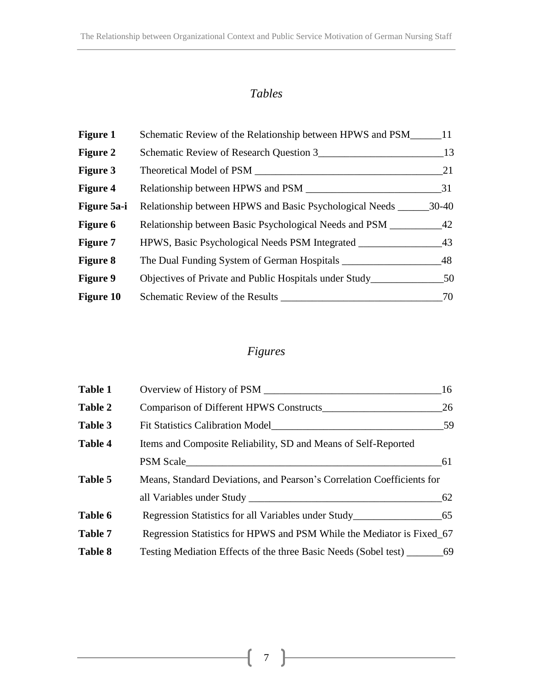# *Tables*

| <b>Figure 1</b>  | Schematic Review of the Relationship between HPWS and PSM_   | 11        |
|------------------|--------------------------------------------------------------|-----------|
| <b>Figure 2</b>  | Schematic Review of Research Question 3                      | 13        |
| <b>Figure 3</b>  | Theoretical Model of PSM                                     | 21        |
| <b>Figure 4</b>  | Relationship between HPWS and PSM                            | 31        |
| Figure 5a-i      | Relationship between HPWS and Basic Psychological Needs ____ | $30 - 40$ |
| <b>Figure 6</b>  | Relationship between Basic Psychological Needs and PSM       | 42        |
| <b>Figure 7</b>  | HPWS, Basic Psychological Needs PSM Integrated               | 43        |
| <b>Figure 8</b>  |                                                              | 48        |
| <b>Figure 9</b>  | Objectives of Private and Public Hospitals under Study_      | 50        |
| <b>Figure 10</b> | Schematic Review of the Results                              | 70        |

# *Figures*

| <b>Table 1</b> |                                                                        | 16 |
|----------------|------------------------------------------------------------------------|----|
| Table 2        |                                                                        | 26 |
| Table 3        | <b>Fit Statistics Calibration Model</b>                                | 59 |
| Table 4        | Items and Composite Reliability, SD and Means of Self-Reported         |    |
|                | PSM Scale                                                              | 61 |
| Table 5        | Means, Standard Deviations, and Pearson's Correlation Coefficients for |    |
|                |                                                                        | 62 |
| Table 6        |                                                                        |    |
| Table 7        | Regression Statistics for HPWS and PSM While the Mediator is Fixed 67  |    |
| <b>Table 8</b> |                                                                        |    |

 $\big($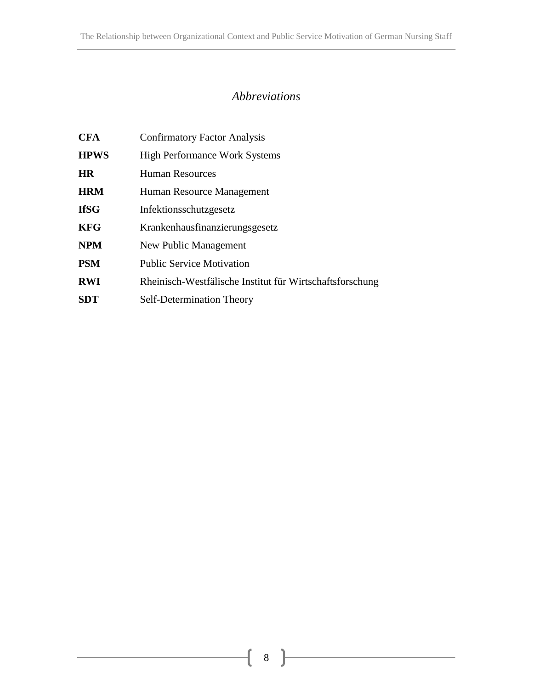# *Abbreviations*

| <b>CFA</b>  | <b>Confirmatory Factor Analysis</b>                      |
|-------------|----------------------------------------------------------|
| <b>HPWS</b> | <b>High Performance Work Systems</b>                     |
| ΗR          | <b>Human Resources</b>                                   |
| <b>HRM</b>  | Human Resource Management                                |
| IfSG        | Infektionsschutzgesetz                                   |
| KFG         | Krankenhausfinanzierungsgesetz                           |
| NPM         | New Public Management                                    |
| PSM         | <b>Public Service Motivation</b>                         |
| RWI         | Rheinisch-Westfälische Institut für Wirtschaftsforschung |
| SDT         | Self-Determination Theory                                |

ſ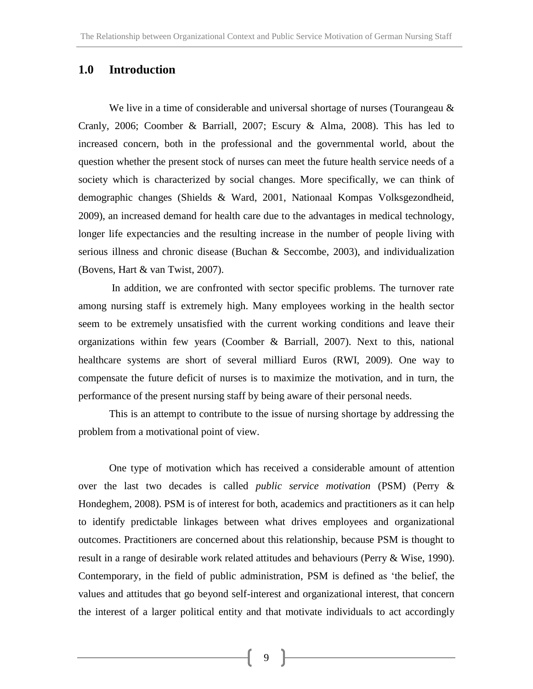## **1.0 Introduction**

We live in a time of considerable and universal shortage of nurses (Tourangeau  $\&$ Cranly, 2006; Coomber & Barriall, 2007; Escury & Alma, 2008). This has led to increased concern, both in the professional and the governmental world, about the question whether the present stock of nurses can meet the future health service needs of a society which is characterized by social changes. More specifically, we can think of demographic changes (Shields & Ward, 2001, Nationaal Kompas Volksgezondheid, 2009), an increased demand for health care due to the advantages in medical technology, longer life expectancies and the resulting increase in the number of people living with serious illness and chronic disease (Buchan & Seccombe, 2003), and individualization (Bovens, Hart & van Twist, 2007).

In addition, we are confronted with sector specific problems. The turnover rate among nursing staff is extremely high. Many employees working in the health sector seem to be extremely unsatisfied with the current working conditions and leave their organizations within few years (Coomber & Barriall, 2007). Next to this, national healthcare systems are short of several milliard Euros (RWI, 2009). One way to compensate the future deficit of nurses is to maximize the motivation, and in turn, the performance of the present nursing staff by being aware of their personal needs.

This is an attempt to contribute to the issue of nursing shortage by addressing the problem from a motivational point of view.

One type of motivation which has received a considerable amount of attention over the last two decades is called *public service motivation* (PSM) (Perry & Hondeghem, 2008). PSM is of interest for both, academics and practitioners as it can help to identify predictable linkages between what drives employees and organizational outcomes. Practitioners are concerned about this relationship, because PSM is thought to result in a range of desirable work related attitudes and behaviours (Perry & Wise, 1990). Contemporary, in the field of public administration, PSM is defined as 'the belief, the values and attitudes that go beyond self-interest and organizational interest, that concern the interest of a larger political entity and that motivate individuals to act accordingly

9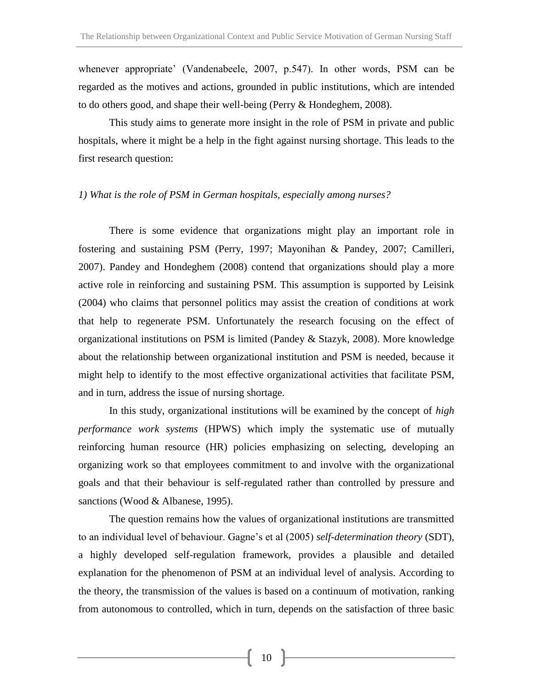whenever appropriate' (Vandenabeele, 2007, p.547). In other words, PSM can be regarded as the motives and actions, grounded in public institutions, which are intended to do others good, and shape their well-being (Perry & Hondeghem, 2008).

This study aims to generate more insight in the role of PSM in private and public hospitals, where it might be a help in the fight against nursing shortage. This leads to the first research question:

#### *1) What is the role of PSM in German hospitals, especially among nurses?*

There is some evidence that organizations might play an important role in fostering and sustaining PSM (Perry, 1997; Mayonihan & Pandey, 2007; Camilleri, 2007). Pandey and Hondeghem (2008) contend that organizations should play a more active role in reinforcing and sustaining PSM. This assumption is supported by Leisink (2004) who claims that personnel politics may assist the creation of conditions at work that help to regenerate PSM. Unfortunately the research focusing on the effect of organizational institutions on PSM is limited (Pandey & Stazyk, 2008). More knowledge about the relationship between organizational institution and PSM is needed, because it might help to identify to the most effective organizational activities that facilitate PSM, and in turn, address the issue of nursing shortage.

In this study, organizational institutions will be examined by the concept of *high performance work systems* (HPWS) which imply the systematic use of mutually reinforcing human resource (HR) policies emphasizing on selecting, developing an organizing work so that employees commitment to and involve with the organizational goals and that their behaviour is self-regulated rather than controlled by pressure and sanctions (Wood & Albanese, 1995).

The question remains how the values of organizational institutions are transmitted to an individual level of behaviour. Gagne's et al (2005) *self-determination theory* (SDT), a highly developed self-regulation framework, provides a plausible and detailed explanation for the phenomenon of PSM at an individual level of analysis. According to the theory, the transmission of the values is based on a continuum of motivation, ranking from autonomous to controlled, which in turn, depends on the satisfaction of three basic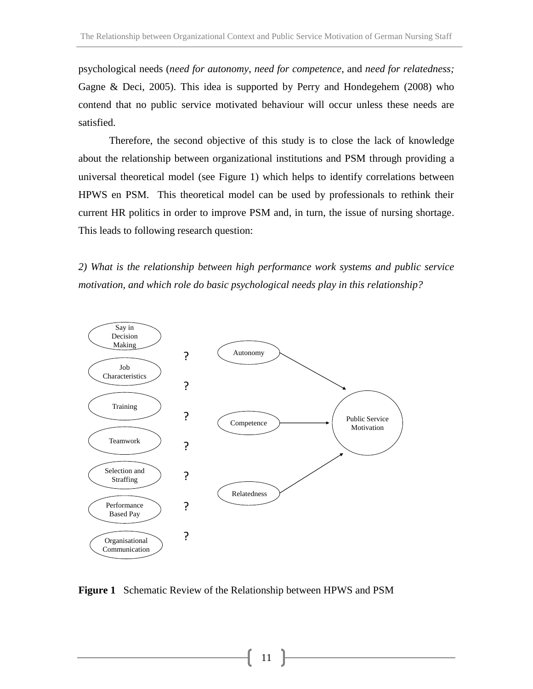psychological needs (*need for autonomy*, *need for competence*, and *need for relatedness;*  Gagne & Deci, 2005). This idea is supported by Perry and Hondegehem (2008) who contend that no public service motivated behaviour will occur unless these needs are satisfied.

Therefore, the second objective of this study is to close the lack of knowledge about the relationship between organizational institutions and PSM through providing a universal theoretical model (see Figure 1) which helps to identify correlations between HPWS en PSM. This theoretical model can be used by professionals to rethink their current HR politics in order to improve PSM and, in turn, the issue of nursing shortage. This leads to following research question:

*2) What is the relationship between high performance work systems and public service motivation, and which role do basic psychological needs play in this relationship?*



**Figure 1** Schematic Review of the Relationship between HPWS and PSM

11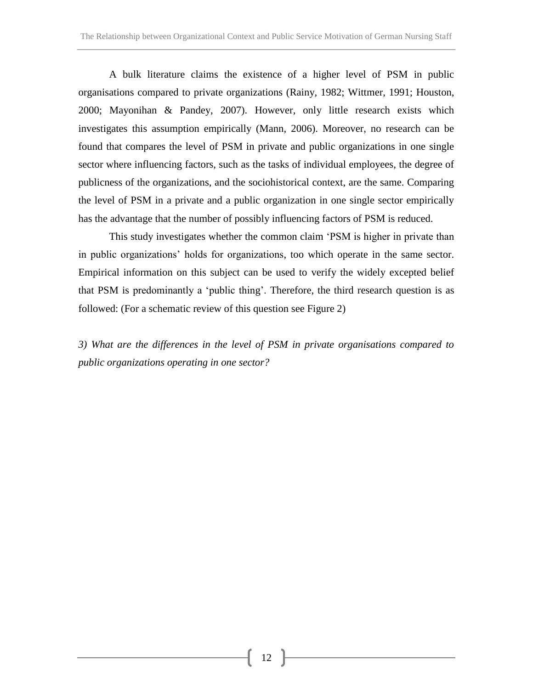A bulk literature claims the existence of a higher level of PSM in public organisations compared to private organizations (Rainy, 1982; Wittmer, 1991; Houston, 2000; Mayonihan & Pandey, 2007). However, only little research exists which investigates this assumption empirically (Mann, 2006). Moreover, no research can be found that compares the level of PSM in private and public organizations in one single sector where influencing factors, such as the tasks of individual employees, the degree of publicness of the organizations, and the sociohistorical context, are the same. Comparing the level of PSM in a private and a public organization in one single sector empirically has the advantage that the number of possibly influencing factors of PSM is reduced.

This study investigates whether the common claim 'PSM is higher in private than in public organizations' holds for organizations, too which operate in the same sector. Empirical information on this subject can be used to verify the widely excepted belief that PSM is predominantly a 'public thing'. Therefore, the third research question is as followed: (For a schematic review of this question see Figure 2)

*3) What are the differences in the level of PSM in private organisations compared to public organizations operating in one sector?*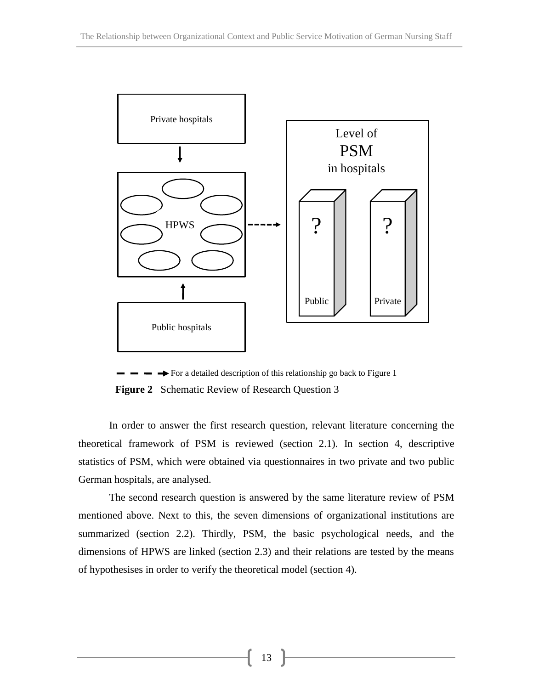

For a detailed description of this relationship go back to Figure 1 **Figure 2** Schematic Review of Research Question 3

In order to answer the first research question, relevant literature concerning the theoretical framework of PSM is reviewed (section 2.1). In section 4, descriptive statistics of PSM, which were obtained via questionnaires in two private and two public German hospitals, are analysed.

The second research question is answered by the same literature review of PSM mentioned above. Next to this, the seven dimensions of organizational institutions are summarized (section 2.2). Thirdly, PSM, the basic psychological needs, and the dimensions of HPWS are linked (section 2.3) and their relations are tested by the means of hypothesises in order to verify the theoretical model (section 4).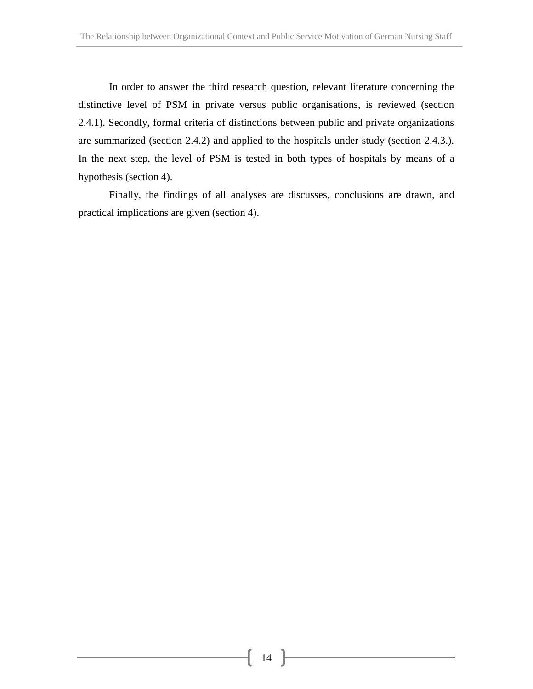In order to answer the third research question, relevant literature concerning the distinctive level of PSM in private versus public organisations, is reviewed (section 2.4.1). Secondly, formal criteria of distinctions between public and private organizations are summarized (section 2.4.2) and applied to the hospitals under study (section 2.4.3.). In the next step, the level of PSM is tested in both types of hospitals by means of a hypothesis (section 4).

Finally, the findings of all analyses are discusses, conclusions are drawn, and practical implications are given (section 4).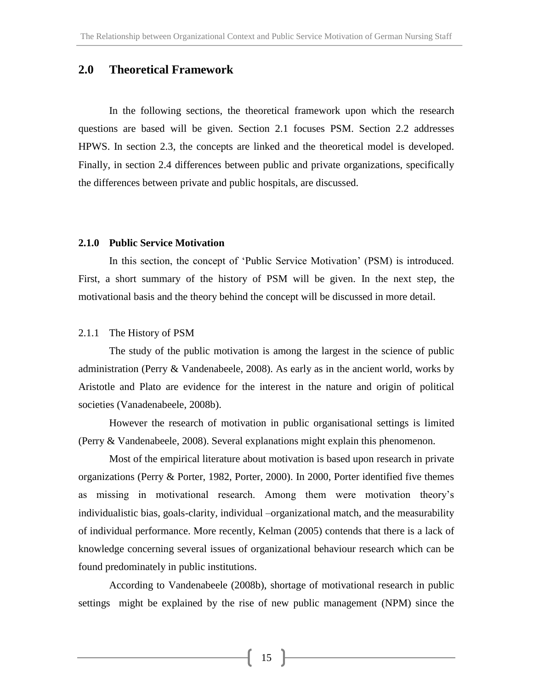#### **2.0 Theoretical Framework**

In the following sections, the theoretical framework upon which the research questions are based will be given. Section 2.1 focuses PSM. Section 2.2 addresses HPWS. In section 2.3, the concepts are linked and the theoretical model is developed. Finally, in section 2.4 differences between public and private organizations, specifically the differences between private and public hospitals, are discussed.

#### **2.1.0 Public Service Motivation**

In this section, the concept of 'Public Service Motivation' (PSM) is introduced. First, a short summary of the history of PSM will be given. In the next step, the motivational basis and the theory behind the concept will be discussed in more detail.

#### 2.1.1 The History of PSM

The study of the public motivation is among the largest in the science of public administration (Perry & Vandenabeele, 2008). As early as in the ancient world, works by Aristotle and Plato are evidence for the interest in the nature and origin of political societies (Vanadenabeele, 2008b).

However the research of motivation in public organisational settings is limited (Perry & Vandenabeele, 2008). Several explanations might explain this phenomenon.

Most of the empirical literature about motivation is based upon research in private organizations (Perry & Porter, 1982, Porter, 2000). In 2000, Porter identified five themes as missing in motivational research. Among them were motivation theory's individualistic bias, goals-clarity, individual –organizational match, and the measurability of individual performance. More recently, Kelman (2005) contends that there is a lack of knowledge concerning several issues of organizational behaviour research which can be found predominately in public institutions.

According to Vandenabeele (2008b), shortage of motivational research in public settings might be explained by the rise of new public management (NPM) since the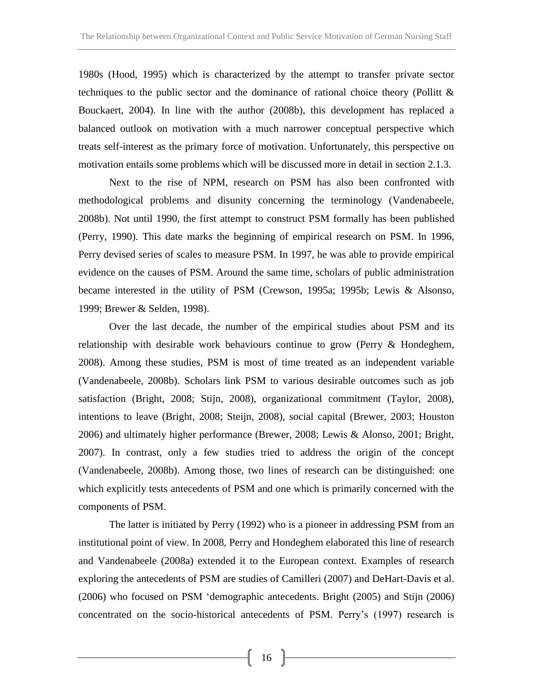1980s (Hood, 1995) which is characterized by the attempt to transfer private sector techniques to the public sector and the dominance of rational choice theory (Pollitt & Bouckaert, 2004). In line with the author (2008b), this development has replaced a balanced outlook on motivation with a much narrower conceptual perspective which treats self-interest as the primary force of motivation. Unfortunately, this perspective on motivation entails some problems which will be discussed more in detail in section 2.1.3.

Next to the rise of NPM, research on PSM has also been confronted with methodological problems and disunity concerning the terminology (Vandenabeele, 2008b). Not until 1990, the first attempt to construct PSM formally has been published (Perry, 1990). This date marks the beginning of empirical research on PSM. In 1996, Perry devised series of scales to measure PSM. In 1997, he was able to provide empirical evidence on the causes of PSM. Around the same time, scholars of public administration became interested in the utility of PSM (Crewson, 1995a; 1995b; Lewis & Alsonso, 1999; Brewer & Selden, 1998).

Over the last decade, the number of the empirical studies about PSM and its relationship with desirable work behaviours continue to grow (Perry & Hondeghem, 2008). Among these studies, PSM is most of time treated as an independent variable (Vandenabeele, 2008b). Scholars link PSM to various desirable outcomes such as job satisfaction (Bright, 2008; Stijn, 2008), organizational commitment (Taylor, 2008), intentions to leave (Bright, 2008; Steijn, 2008), social capital (Brewer, 2003; Houston 2006) and ultimately higher performance (Brewer, 2008; Lewis & Alonso, 2001; Bright, 2007). In contrast, only a few studies tried to address the origin of the concept (Vandenabeele, 2008b). Among those, two lines of research can be distinguished: one which explicitly tests antecedents of PSM and one which is primarily concerned with the components of PSM.

The latter is initiated by Perry (1992) who is a pioneer in addressing PSM from an institutional point of view. In 2008, Perry and Hondeghem elaborated this line of research and Vandenabeele (2008a) extended it to the European context. Examples of research exploring the antecedents of PSM are studies of Camilleri (2007) and DeHart-Davis et al. (2006) who focused on PSM 'demographic antecedents. Bright (2005) and Stijn (2006) concentrated on the socio-historical antecedents of PSM. Perry's (1997) research is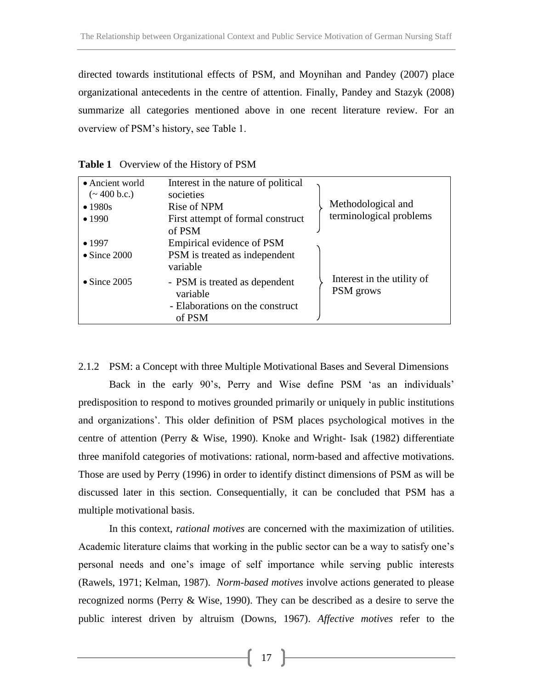directed towards institutional effects of PSM, and Moynihan and Pandey (2007) place organizational antecedents in the centre of attention. Finally, Pandey and Stazyk (2008) summarize all categories mentioned above in one recent literature review. For an overview of PSM's history, see Table 1.

| • Ancient world<br>$({\sim} 400$ b.c.)<br>$\bullet$ 1980s<br>•1990 | Interest in the nature of political<br>societies<br>Rise of NPM<br>First attempt of formal construct<br>of PSM | Methodological and<br>terminological problems |
|--------------------------------------------------------------------|----------------------------------------------------------------------------------------------------------------|-----------------------------------------------|
| •1997                                                              | Empirical evidence of PSM                                                                                      |                                               |
| $\bullet$ Since 2000                                               | PSM is treated as independent<br>variable                                                                      |                                               |
| $\bullet$ Since 2005                                               | - PSM is treated as dependent<br>variable<br>- Elaborations on the construct<br>of PSM                         | Interest in the utility of<br>PSM grows       |

**Table 1** Overview of the History of PSM

2.1.2 PSM: a Concept with three Multiple Motivational Bases and Several Dimensions Back in the early 90's, Perry and Wise define PSM 'as an individuals' predisposition to respond to motives grounded primarily or uniquely in public institutions and organizations'. This older definition of PSM places psychological motives in the centre of attention (Perry & Wise, 1990). Knoke and Wright- Isak (1982) differentiate three manifold categories of motivations: rational, norm-based and affective motivations. Those are used by Perry (1996) in order to identify distinct dimensions of PSM as will be discussed later in this section. Consequentially, it can be concluded that PSM has a multiple motivational basis.

In this context, *rational motives* are concerned with the maximization of utilities. Academic literature claims that working in the public sector can be a way to satisfy one's personal needs and one's image of self importance while serving public interests (Rawels, 1971; Kelman, 1987). *Norm-based motives* involve actions generated to please recognized norms (Perry & Wise, 1990). They can be described as a desire to serve the public interest driven by altruism (Downs, 1967). *Affective motives* refer to the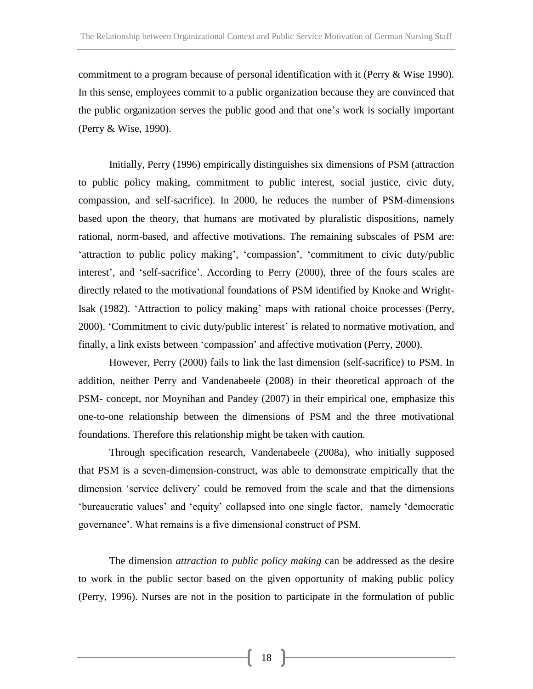commitment to a program because of personal identification with it (Perry & Wise 1990). In this sense, employees commit to a public organization because they are convinced that the public organization serves the public good and that one's work is socially important (Perry & Wise, 1990).

Initially, Perry (1996) empirically distinguishes six dimensions of PSM (attraction to public policy making, commitment to public interest, social justice, civic duty, compassion, and self-sacrifice). In 2000, he reduces the number of PSM-dimensions based upon the theory, that humans are motivated by pluralistic dispositions, namely rational, norm-based, and affective motivations. The remaining subscales of PSM are: 'attraction to public policy making', 'compassion', 'commitment to civic duty/public interest', and 'self-sacrifice'. According to Perry (2000), three of the fours scales are directly related to the motivational foundations of PSM identified by Knoke and Wright-Isak (1982). 'Attraction to policy making' maps with rational choice processes (Perry, 2000). 'Commitment to civic duty/public interest' is related to normative motivation, and finally, a link exists between 'compassion' and affective motivation (Perry, 2000).

However, Perry (2000) fails to link the last dimension (self-sacrifice) to PSM. In addition, neither Perry and Vandenabeele (2008) in their theoretical approach of the PSM- concept, nor Moynihan and Pandey (2007) in their empirical one, emphasize this one-to-one relationship between the dimensions of PSM and the three motivational foundations. Therefore this relationship might be taken with caution.

Through specification research, Vandenabeele (2008a), who initially supposed that PSM is a seven-dimension-construct, was able to demonstrate empirically that the dimension 'service delivery' could be removed from the scale and that the dimensions 'bureaucratic values' and 'equity' collapsed into one single factor, namely 'democratic governance'. What remains is a five dimensional construct of PSM.

The dimension *attraction to public policy making* can be addressed as the desire to work in the public sector based on the given opportunity of making public policy (Perry, 1996). Nurses are not in the position to participate in the formulation of public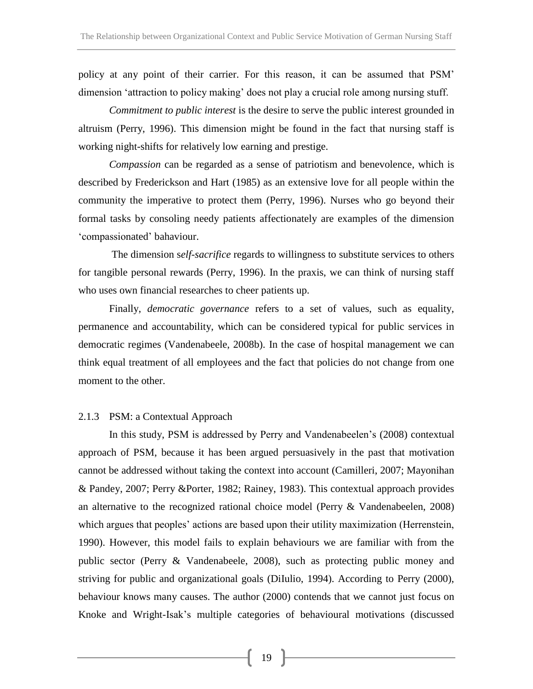policy at any point of their carrier. For this reason, it can be assumed that PSM' dimension 'attraction to policy making' does not play a crucial role among nursing stuff.

*Commitment to public interest* is the desire to serve the public interest grounded in altruism (Perry, 1996). This dimension might be found in the fact that nursing staff is working night-shifts for relatively low earning and prestige.

*Compassion* can be regarded as a sense of patriotism and benevolence, which is described by Frederickson and Hart (1985) as an extensive love for all people within the community the imperative to protect them (Perry, 1996). Nurses who go beyond their formal tasks by consoling needy patients affectionately are examples of the dimension 'compassionated' bahaviour.

The dimension s*elf-sacrifice* regards to willingness to substitute services to others for tangible personal rewards (Perry, 1996). In the praxis, we can think of nursing staff who uses own financial researches to cheer patients up.

Finally, *democratic governance* refers to a set of values, such as equality, permanence and accountability, which can be considered typical for public services in democratic regimes (Vandenabeele, 2008b). In the case of hospital management we can think equal treatment of all employees and the fact that policies do not change from one moment to the other.

#### 2.1.3 PSM: a Contextual Approach

In this study, PSM is addressed by Perry and Vandenabeelen's (2008) contextual approach of PSM, because it has been argued persuasively in the past that motivation cannot be addressed without taking the context into account (Camilleri, 2007; Mayonihan & Pandey, 2007; Perry &Porter, 1982; Rainey, 1983). This contextual approach provides an alternative to the recognized rational choice model (Perry & Vandenabeelen, 2008) which argues that peoples' actions are based upon their utility maximization (Herrenstein, 1990). However, this model fails to explain behaviours we are familiar with from the public sector (Perry & Vandenabeele, 2008), such as protecting public money and striving for public and organizational goals (DiIulio, 1994). According to Perry (2000), behaviour knows many causes. The author (2000) contends that we cannot just focus on Knoke and Wright-Isak's multiple categories of behavioural motivations (discussed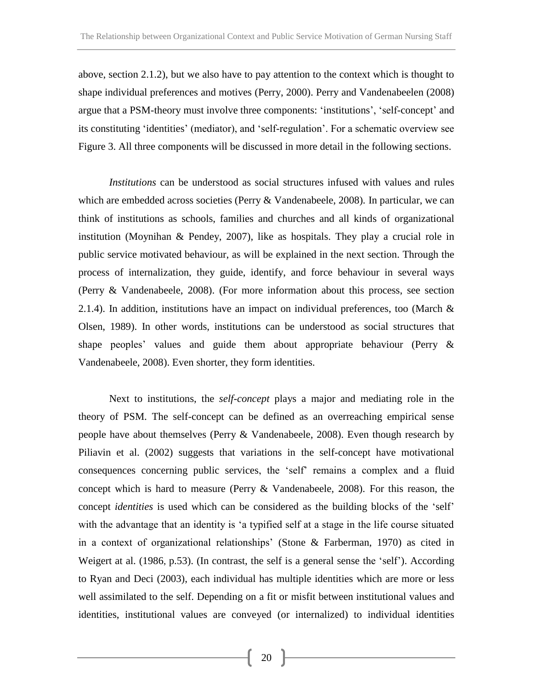above, section 2.1.2), but we also have to pay attention to the context which is thought to shape individual preferences and motives (Perry, 2000). Perry and Vandenabeelen (2008) argue that a PSM-theory must involve three components: 'institutions', 'self-concept' and its constituting 'identities' (mediator), and 'self-regulation'. For a schematic overview see Figure 3. All three components will be discussed in more detail in the following sections.

*Institutions* can be understood as social structures infused with values and rules which are embedded across societies (Perry & Vandenabeele, 2008). In particular, we can think of institutions as schools, families and churches and all kinds of organizational institution (Moynihan & Pendey, 2007), like as hospitals. They play a crucial role in public service motivated behaviour, as will be explained in the next section. Through the process of internalization, they guide, identify, and force behaviour in several ways (Perry & Vandenabeele, 2008). (For more information about this process, see section 2.1.4). In addition, institutions have an impact on individual preferences, too (March  $\&$ Olsen, 1989). In other words, institutions can be understood as social structures that shape peoples' values and guide them about appropriate behaviour (Perry & Vandenabeele, 2008). Even shorter, they form identities.

Next to institutions, the *self-concept* plays a major and mediating role in the theory of PSM. The self-concept can be defined as an overreaching empirical sense people have about themselves (Perry & Vandenabeele, 2008). Even though research by Piliavin et al. (2002) suggests that variations in the self-concept have motivational consequences concerning public services, the 'self' remains a complex and a fluid concept which is hard to measure (Perry & Vandenabeele, 2008). For this reason, the concept *identities* is used which can be considered as the building blocks of the 'self' with the advantage that an identity is 'a typified self at a stage in the life course situated in a context of organizational relationships' (Stone & Farberman, 1970) as cited in Weigert at al. (1986, p.53). (In contrast, the self is a general sense the 'self'). According to Ryan and Deci (2003), each individual has multiple identities which are more or less well assimilated to the self. Depending on a fit or misfit between institutional values and identities, institutional values are conveyed (or internalized) to individual identities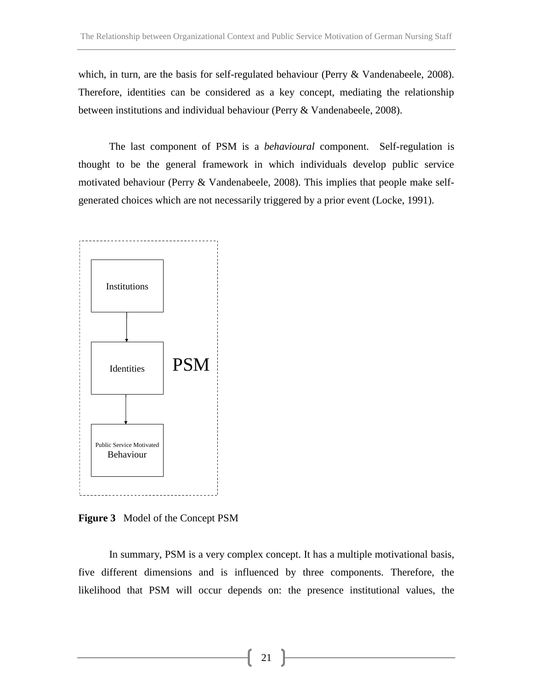which, in turn, are the basis for self-regulated behaviour (Perry & Vandenabeele, 2008). Therefore, identities can be considered as a key concept, mediating the relationship between institutions and individual behaviour (Perry & Vandenabeele, 2008).

The last component of PSM is a *behavioural* component. Self-regulation is thought to be the general framework in which individuals develop public service motivated behaviour (Perry & Vandenabeele, 2008). This implies that people make selfgenerated choices which are not necessarily triggered by a prior event (Locke, 1991).



**Figure 3** Model of the Concept PSM

In summary, PSM is a very complex concept. It has a multiple motivational basis, five different dimensions and is influenced by three components. Therefore, the likelihood that PSM will occur depends on: the presence institutional values, the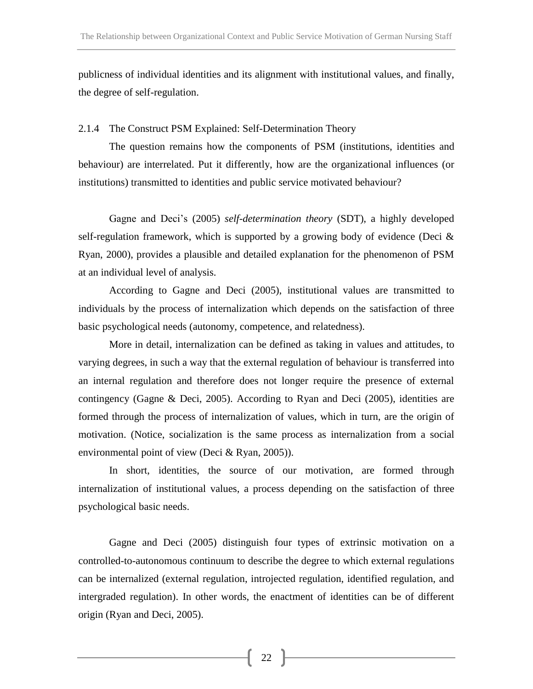publicness of individual identities and its alignment with institutional values, and finally, the degree of self-regulation.

#### 2.1.4 The Construct PSM Explained: Self-Determination Theory

The question remains how the components of PSM (institutions, identities and behaviour) are interrelated. Put it differently, how are the organizational influences (or institutions) transmitted to identities and public service motivated behaviour?

Gagne and Deci's (2005) *self-determination theory* (SDT), a highly developed self-regulation framework, which is supported by a growing body of evidence (Deci  $\&$ Ryan, 2000), provides a plausible and detailed explanation for the phenomenon of PSM at an individual level of analysis.

According to Gagne and Deci (2005), institutional values are transmitted to individuals by the process of internalization which depends on the satisfaction of three basic psychological needs (autonomy, competence, and relatedness).

More in detail, internalization can be defined as taking in values and attitudes, to varying degrees, in such a way that the external regulation of behaviour is transferred into an internal regulation and therefore does not longer require the presence of external contingency (Gagne & Deci, 2005). According to Ryan and Deci (2005), identities are formed through the process of internalization of values, which in turn, are the origin of motivation. (Notice, socialization is the same process as internalization from a social environmental point of view (Deci & Ryan, 2005)).

In short, identities, the source of our motivation, are formed through internalization of institutional values, a process depending on the satisfaction of three psychological basic needs.

Gagne and Deci (2005) distinguish four types of extrinsic motivation on a controlled-to-autonomous continuum to describe the degree to which external regulations can be internalized (external regulation, introjected regulation, identified regulation, and intergraded regulation). In other words, the enactment of identities can be of different origin (Ryan and Deci, 2005).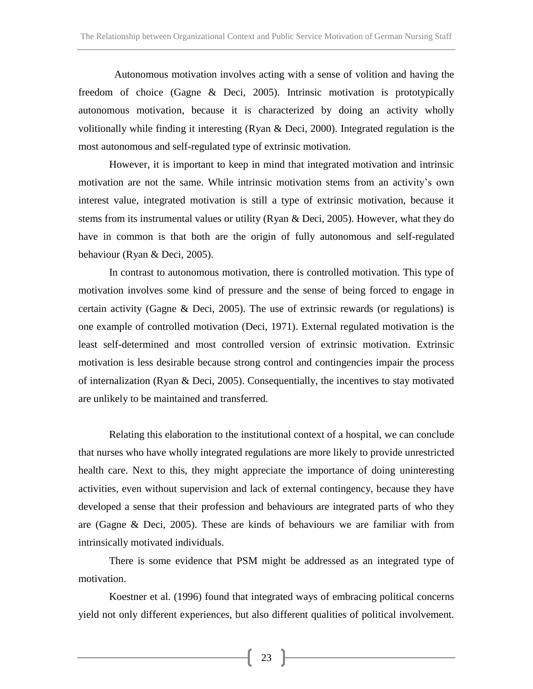Autonomous motivation involves acting with a sense of volition and having the freedom of choice (Gagne & Deci, 2005). Intrinsic motivation is prototypically autonomous motivation, because it is characterized by doing an activity wholly volitionally while finding it interesting (Ryan & Deci, 2000). Integrated regulation is the most autonomous and self-regulated type of extrinsic motivation.

However, it is important to keep in mind that integrated motivation and intrinsic motivation are not the same. While intrinsic motivation stems from an activity's own interest value, integrated motivation is still a type of extrinsic motivation, because it stems from its instrumental values or utility (Ryan & Deci, 2005). However, what they do have in common is that both are the origin of fully autonomous and self-regulated behaviour (Ryan & Deci, 2005).

In contrast to autonomous motivation, there is controlled motivation. This type of motivation involves some kind of pressure and the sense of being forced to engage in certain activity (Gagne & Deci, 2005). The use of extrinsic rewards (or regulations) is one example of controlled motivation (Deci, 1971). External regulated motivation is the least self-determined and most controlled version of extrinsic motivation. Extrinsic motivation is less desirable because strong control and contingencies impair the process of internalization (Ryan & Deci, 2005). Consequentially, the incentives to stay motivated are unlikely to be maintained and transferred.

Relating this elaboration to the institutional context of a hospital, we can conclude that nurses who have wholly integrated regulations are more likely to provide unrestricted health care. Next to this, they might appreciate the importance of doing uninteresting activities, even without supervision and lack of external contingency, because they have developed a sense that their profession and behaviours are integrated parts of who they are (Gagne & Deci, 2005). These are kinds of behaviours we are familiar with from intrinsically motivated individuals.

There is some evidence that PSM might be addressed as an integrated type of motivation.

Koestner et al. (1996) found that integrated ways of embracing political concerns yield not only different experiences, but also different qualities of political involvement.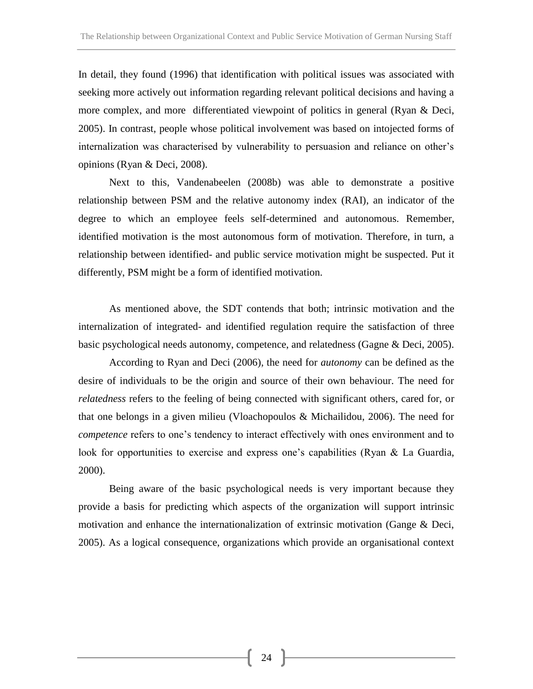In detail, they found (1996) that identification with political issues was associated with seeking more actively out information regarding relevant political decisions and having a more complex, and more differentiated viewpoint of politics in general (Ryan & Deci, 2005). In contrast, people whose political involvement was based on intojected forms of internalization was characterised by vulnerability to persuasion and reliance on other's opinions (Ryan & Deci, 2008).

Next to this, Vandenabeelen (2008b) was able to demonstrate a positive relationship between PSM and the relative autonomy index (RAI), an indicator of the degree to which an employee feels self-determined and autonomous. Remember, identified motivation is the most autonomous form of motivation. Therefore, in turn, a relationship between identified- and public service motivation might be suspected. Put it differently, PSM might be a form of identified motivation.

As mentioned above, the SDT contends that both; intrinsic motivation and the internalization of integrated- and identified regulation require the satisfaction of three basic psychological needs autonomy, competence, and relatedness (Gagne & Deci, 2005).

According to Ryan and Deci (2006), the need for *autonomy* can be defined as the desire of individuals to be the origin and source of their own behaviour. The need for *relatedness* refers to the feeling of being connected with significant others, cared for, or that one belongs in a given milieu (Vloachopoulos & Michailidou, 2006). The need for *competence* refers to one's tendency to interact effectively with ones environment and to look for opportunities to exercise and express one's capabilities (Ryan & La Guardia, 2000).

Being aware of the basic psychological needs is very important because they provide a basis for predicting which aspects of the organization will support intrinsic motivation and enhance the internationalization of extrinsic motivation (Gange & Deci, 2005). As a logical consequence, organizations which provide an organisational context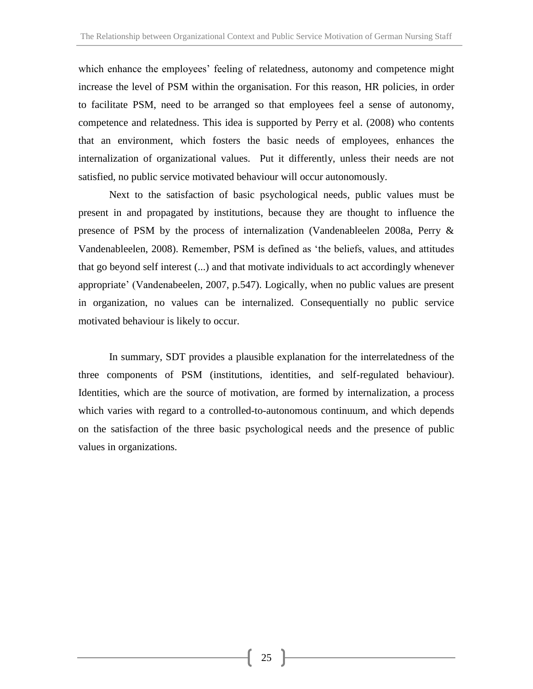which enhance the employees' feeling of relatedness, autonomy and competence might increase the level of PSM within the organisation. For this reason, HR policies, in order to facilitate PSM, need to be arranged so that employees feel a sense of autonomy, competence and relatedness. This idea is supported by Perry et al. (2008) who contents that an environment, which fosters the basic needs of employees, enhances the internalization of organizational values. Put it differently, unless their needs are not satisfied, no public service motivated behaviour will occur autonomously.

Next to the satisfaction of basic psychological needs, public values must be present in and propagated by institutions, because they are thought to influence the presence of PSM by the process of internalization (Vandenableelen 2008a, Perry & Vandenableelen, 2008). Remember, PSM is defined as 'the beliefs, values, and attitudes that go beyond self interest (...) and that motivate individuals to act accordingly whenever appropriate' (Vandenabeelen, 2007, p.547). Logically, when no public values are present in organization, no values can be internalized. Consequentially no public service motivated behaviour is likely to occur.

In summary, SDT provides a plausible explanation for the interrelatedness of the three components of PSM (institutions, identities, and self-regulated behaviour). Identities, which are the source of motivation, are formed by internalization, a process which varies with regard to a controlled-to-autonomous continuum, and which depends on the satisfaction of the three basic psychological needs and the presence of public values in organizations.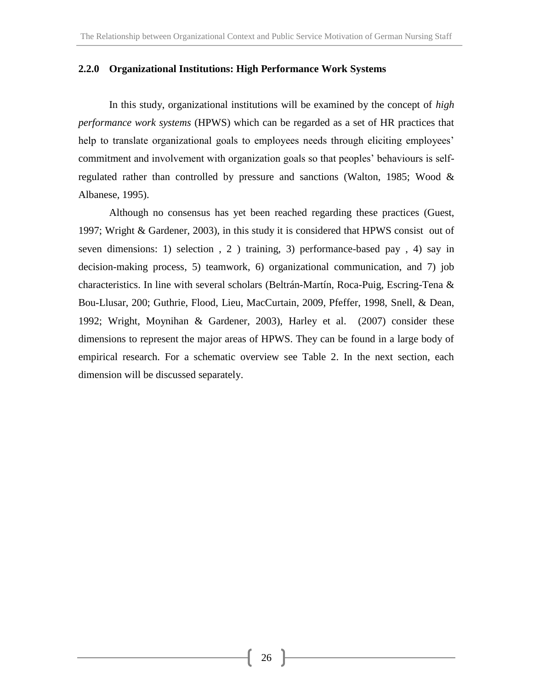#### **2.2.0 Organizational Institutions: High Performance Work Systems**

In this study, organizational institutions will be examined by the concept of *high performance work systems* (HPWS) which can be regarded as a set of HR practices that help to translate organizational goals to employees needs through eliciting employees' commitment and involvement with organization goals so that peoples' behaviours is selfregulated rather than controlled by pressure and sanctions (Walton, 1985; Wood & Albanese, 1995).

Although no consensus has yet been reached regarding these practices (Guest, 1997; Wright & Gardener, 2003), in this study it is considered that HPWS consist out of seven dimensions: 1) selection , 2 ) training, 3) performance-based pay , 4) say in decision-making process, 5) teamwork, 6) organizational communication, and 7) job characteristics. In line with several scholars (Beltrán-Martín, Roca-Puig, Escring-Tena & Bou-Llusar, 200; Guthrie, Flood, Lieu, MacCurtain, 2009, Pfeffer, 1998, Snell, & Dean, 1992; Wright, Moynihan & Gardener, 2003), Harley et al. (2007) consider these dimensions to represent the major areas of HPWS. They can be found in a large body of empirical research. For a schematic overview see Table 2. In the next section, each dimension will be discussed separately.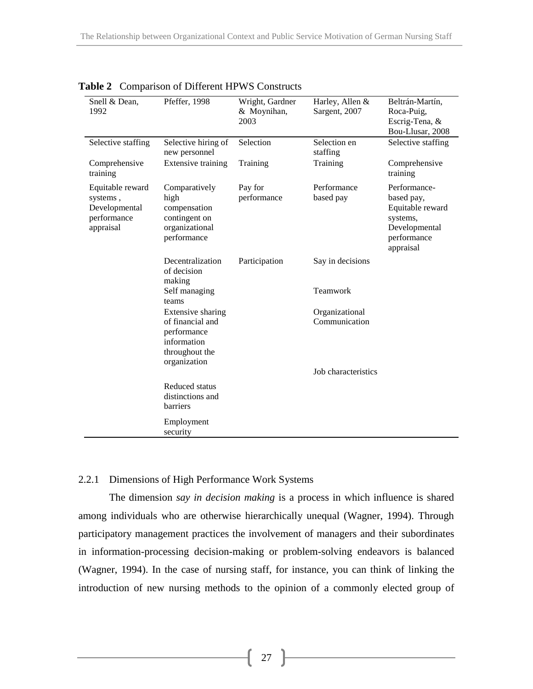| Snell & Dean,<br>1992                                                     | Pfeffer, 1998                                                                                         | Wright, Gardner<br>& Moynihan,<br>2003 | Harley, Allen &<br>Sargent, 2007 | Beltrán-Martín,<br>Roca-Puig,<br>Escrig-Tena, &<br>Bou-Llusar, 2008                                     |
|---------------------------------------------------------------------------|-------------------------------------------------------------------------------------------------------|----------------------------------------|----------------------------------|---------------------------------------------------------------------------------------------------------|
| Selective staffing                                                        | Selective hiring of<br>new personnel                                                                  | Selection                              | Selection en<br>staffing         | Selective staffing                                                                                      |
| Comprehensive<br>training                                                 | Extensive training                                                                                    | Training                               | Training                         | Comprehensive<br>training                                                                               |
| Equitable reward<br>systems,<br>Developmental<br>performance<br>appraisal | Comparatively<br>high<br>compensation<br>contingent on<br>organizational<br>performance               | Pay for<br>performance                 | Performance<br>based pay         | Performance-<br>based pay,<br>Equitable reward<br>systems,<br>Developmental<br>performance<br>appraisal |
|                                                                           | Decentralization<br>of decision<br>making                                                             | Participation                          | Say in decisions                 |                                                                                                         |
|                                                                           | Self managing<br>teams                                                                                |                                        | Teamwork                         |                                                                                                         |
|                                                                           | Extensive sharing<br>of financial and<br>performance<br>information<br>throughout the<br>organization |                                        | Organizational<br>Communication  |                                                                                                         |
|                                                                           |                                                                                                       |                                        | Job characteristics              |                                                                                                         |
|                                                                           | Reduced status<br>distinctions and<br>barriers                                                        |                                        |                                  |                                                                                                         |
|                                                                           | Employment<br>security                                                                                |                                        |                                  |                                                                                                         |

**Table 2** Comparison of Different HPWS Constructs

#### 2.2.1 Dimensions of High Performance Work Systems

The dimension *say in decision making* is a process in which influence is shared among individuals who are otherwise hierarchically unequal (Wagner, 1994). Through participatory management practices the involvement of managers and their subordinates in information-processing decision-making or problem-solving endeavors is balanced (Wagner, 1994). In the case of nursing staff, for instance, you can think of linking the introduction of new nursing methods to the opinion of a commonly elected group of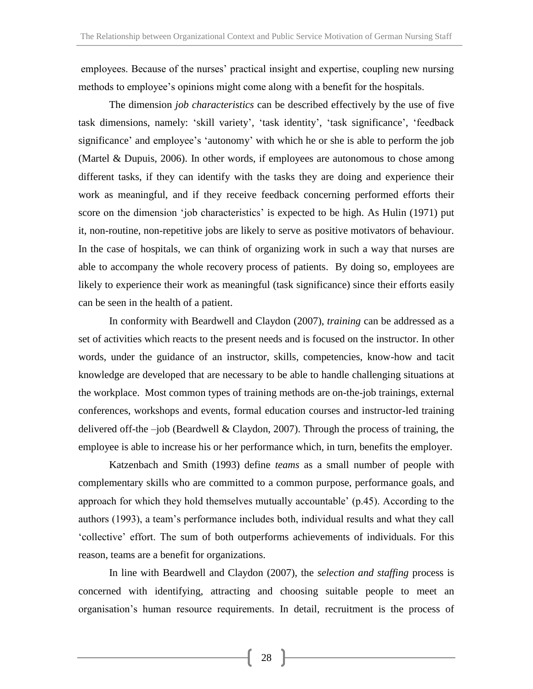employees. Because of the nurses' practical insight and expertise, coupling new nursing methods to employee's opinions might come along with a benefit for the hospitals.

The dimension *job characteristics* can be described effectively by the use of five task dimensions, namely: 'skill variety', 'task identity', 'task significance', 'feedback significance' and employee's 'autonomy' with which he or she is able to perform the job (Martel & Dupuis, 2006). In other words, if employees are autonomous to chose among different tasks, if they can identify with the tasks they are doing and experience their work as meaningful, and if they receive feedback concerning performed efforts their score on the dimension 'job characteristics' is expected to be high. As Hulin (1971) put it, non-routine, non-repetitive jobs are likely to serve as positive motivators of behaviour. In the case of hospitals, we can think of organizing work in such a way that nurses are able to accompany the whole recovery process of patients. By doing so, employees are likely to experience their work as meaningful (task significance) since their efforts easily can be seen in the health of a patient.

In conformity with Beardwell and Claydon (2007), *training* can be addressed as a set of activities which reacts to the present needs and is focused on the instructor. In other words, under the guidance of an instructor, skills, competencies, know-how and tacit knowledge are developed that are necessary to be able to handle challenging situations at the workplace. Most common types of training methods are on-the-job trainings, external conferences, workshops and events, formal education courses and instructor-led training delivered off-the –job (Beardwell & Claydon, 2007). Through the process of training, the employee is able to increase his or her performance which, in turn, benefits the employer.

Katzenbach and Smith (1993) define *teams* as a small number of people with complementary skills who are committed to a common purpose, performance goals, and approach for which they hold themselves mutually accountable' (p.45). According to the authors (1993), a team's performance includes both, individual results and what they call 'collective' effort. The sum of both outperforms achievements of individuals. For this reason, teams are a benefit for organizations.

In line with Beardwell and Claydon (2007), the *selection and staffing* process is concerned with identifying, attracting and choosing suitable people to meet an organisation's human resource requirements. In detail, recruitment is the process of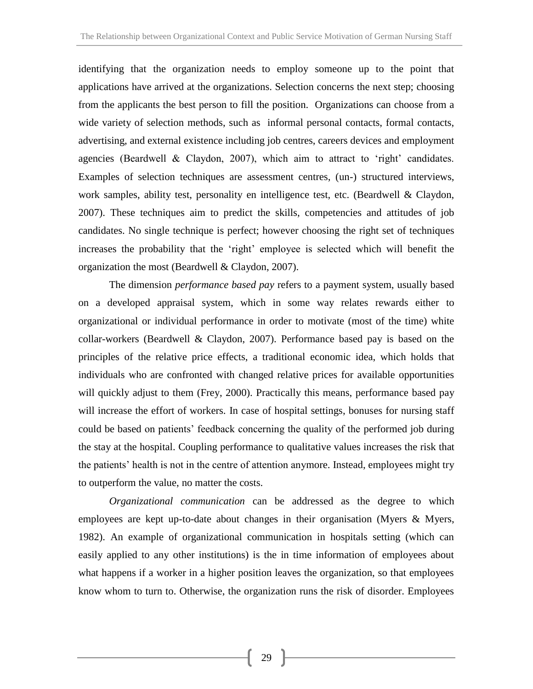identifying that the organization needs to employ someone up to the point that applications have arrived at the organizations. Selection concerns the next step; choosing from the applicants the best person to fill the position. Organizations can choose from a wide variety of selection methods, such as informal personal contacts, formal contacts, advertising, and external existence including job centres, careers devices and employment agencies (Beardwell & Claydon, 2007), which aim to attract to 'right' candidates. Examples of selection techniques are assessment centres, (un-) structured interviews, work samples, ability test, personality en intelligence test, etc. (Beardwell & Claydon, 2007). These techniques aim to predict the skills, competencies and attitudes of job candidates. No single technique is perfect; however choosing the right set of techniques increases the probability that the 'right' employee is selected which will benefit the organization the most (Beardwell & Claydon, 2007).

The dimension *performance based pay* refers to a payment system, usually based on a developed appraisal system, which in some way relates rewards either to organizational or individual performance in order to motivate (most of the time) white collar-workers (Beardwell & Claydon, 2007). Performance based pay is based on the principles of the relative price effects, a traditional economic idea, which holds that individuals who are confronted with changed relative prices for available opportunities will quickly adjust to them (Frey, 2000). Practically this means, performance based pay will increase the effort of workers. In case of hospital settings, bonuses for nursing staff could be based on patients' feedback concerning the quality of the performed job during the stay at the hospital. Coupling performance to qualitative values increases the risk that the patients' health is not in the centre of attention anymore. Instead, employees might try to outperform the value, no matter the costs.

*Organizational communication* can be addressed as the degree to which employees are kept up-to-date about changes in their organisation (Myers & Myers, 1982). An example of organizational communication in hospitals setting (which can easily applied to any other institutions) is the in time information of employees about what happens if a worker in a higher position leaves the organization, so that employees know whom to turn to. Otherwise, the organization runs the risk of disorder. Employees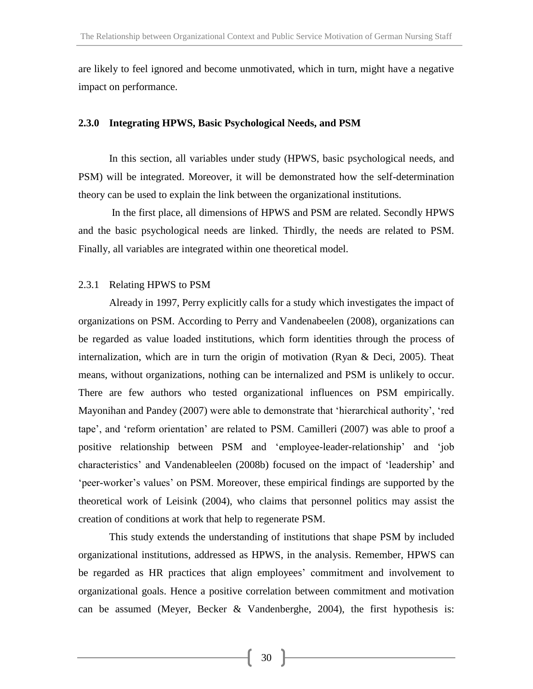are likely to feel ignored and become unmotivated, which in turn, might have a negative impact on performance.

#### **2.3.0 Integrating HPWS, Basic Psychological Needs, and PSM**

In this section, all variables under study (HPWS, basic psychological needs, and PSM) will be integrated. Moreover, it will be demonstrated how the self-determination theory can be used to explain the link between the organizational institutions.

In the first place, all dimensions of HPWS and PSM are related. Secondly HPWS and the basic psychological needs are linked. Thirdly, the needs are related to PSM. Finally, all variables are integrated within one theoretical model.

#### 2.3.1 Relating HPWS to PSM

Already in 1997, Perry explicitly calls for a study which investigates the impact of organizations on PSM. According to Perry and Vandenabeelen (2008), organizations can be regarded as value loaded institutions, which form identities through the process of internalization, which are in turn the origin of motivation (Ryan & Deci, 2005). Theat means, without organizations, nothing can be internalized and PSM is unlikely to occur. There are few authors who tested organizational influences on PSM empirically. Mayonihan and Pandey (2007) were able to demonstrate that 'hierarchical authority', 'red tape', and 'reform orientation' are related to PSM. Camilleri (2007) was able to proof a positive relationship between PSM and 'employee-leader-relationship' and 'job characteristics' and Vandenableelen (2008b) focused on the impact of 'leadership' and 'peer-worker's values' on PSM. Moreover, these empirical findings are supported by the theoretical work of Leisink (2004), who claims that personnel politics may assist the creation of conditions at work that help to regenerate PSM.

This study extends the understanding of institutions that shape PSM by included organizational institutions, addressed as HPWS, in the analysis. Remember, HPWS can be regarded as HR practices that align employees' commitment and involvement to organizational goals. Hence a positive correlation between commitment and motivation can be assumed (Meyer, Becker & Vandenberghe, 2004), the first hypothesis is: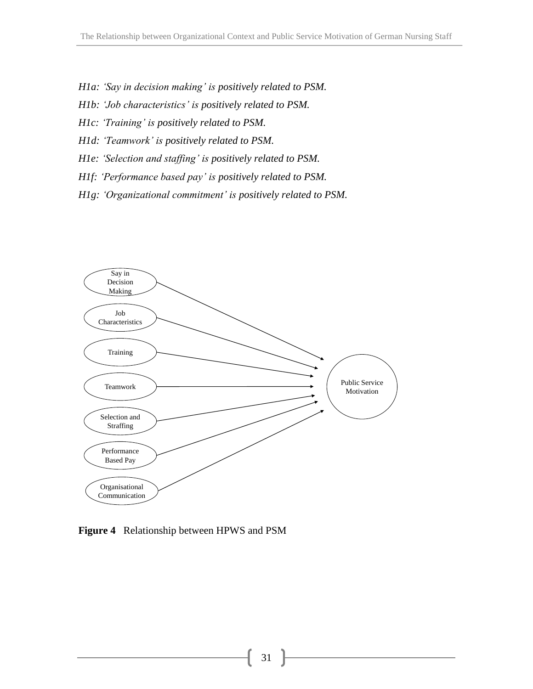- *H1a: 'Say in decision making' is positively related to PSM.*
- *H1b: 'Job characteristics' is positively related to PSM.*
- *H1c: 'Training' is positively related to PSM.*
- *H1d: 'Teamwork' is positively related to PSM.*
- *H1e: 'Selection and staffing' is positively related to PSM.*
- *H1f: 'Performance based pay' is positively related to PSM.*
- *H1g: 'Organizational commitment' is positively related to PSM.*



**Figure 4** Relationship between HPWS and PSM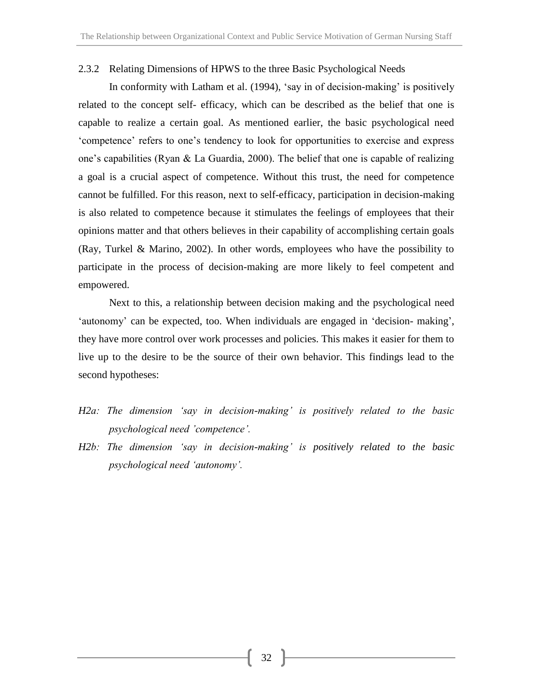#### 2.3.2 Relating Dimensions of HPWS to the three Basic Psychological Needs

In conformity with Latham et al. (1994), 'say in of decision-making' is positively related to the concept self- efficacy, which can be described as the belief that one is capable to realize a certain goal. As mentioned earlier, the basic psychological need 'competence' refers to one's tendency to look for opportunities to exercise and express one's capabilities (Ryan & La Guardia, 2000). The belief that one is capable of realizing a goal is a crucial aspect of competence. Without this trust, the need for competence cannot be fulfilled. For this reason, next to self-efficacy, participation in decision-making is also related to competence because it stimulates the feelings of employees that their opinions matter and that others believes in their capability of accomplishing certain goals (Ray, Turkel & Marino, 2002). In other words, employees who have the possibility to participate in the process of decision-making are more likely to feel competent and empowered.

Next to this, a relationship between decision making and the psychological need 'autonomy' can be expected, too. When individuals are engaged in 'decision- making', they have more control over work processes and policies. This makes it easier for them to live up to the desire to be the source of their own behavior. This findings lead to the second hypotheses:

- *H2a: The dimension 'say in decision-making' is positively related to the basic psychological need 'competence'.*
- *H2b: The dimension 'say in decision-making' is positively related to the basic psychological need 'autonomy'.*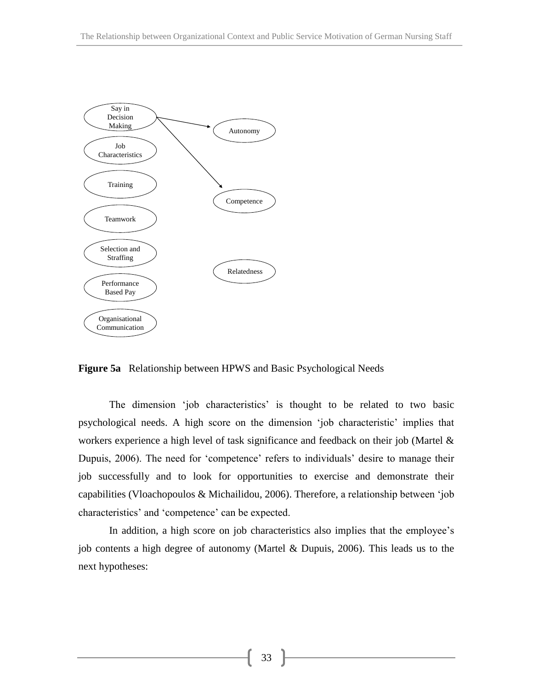

**Figure 5a** Relationship between HPWS and Basic Psychological Needs

The dimension 'job characteristics' is thought to be related to two basic psychological needs. A high score on the dimension 'job characteristic' implies that workers experience a high level of task significance and feedback on their job (Martel & Dupuis, 2006). The need for 'competence' refers to individuals' desire to manage their job successfully and to look for opportunities to exercise and demonstrate their capabilities (Vloachopoulos & Michailidou, 2006). Therefore, a relationship between 'job characteristics' and 'competence' can be expected.

In addition, a high score on job characteristics also implies that the employee's job contents a high degree of autonomy (Martel & Dupuis, 2006). This leads us to the next hypotheses: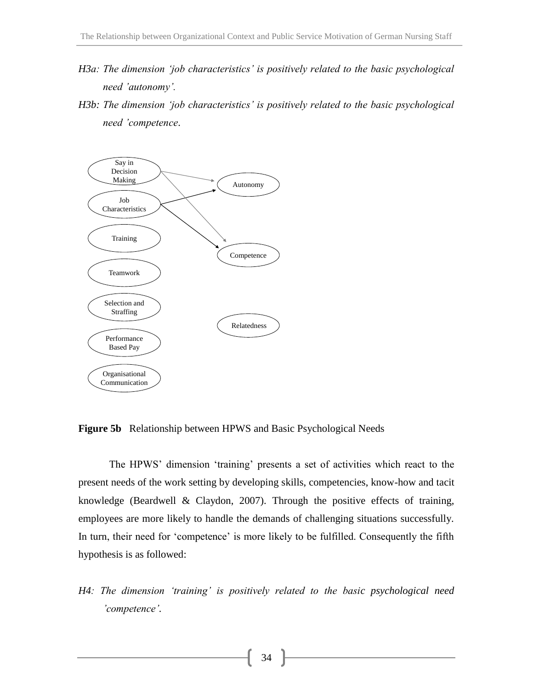- *H3a: The dimension 'job characteristics' is positively related to the basic psychological need 'autonomy'.*
- *H3b: The dimension 'job characteristics' is positively related to the basic psychological need 'competence*.



**Figure 5b** Relationship between HPWS and Basic Psychological Needs

The HPWS' dimension 'training' presents a set of activities which react to the present needs of the work setting by developing skills, competencies, know-how and tacit knowledge (Beardwell & Claydon, 2007). Through the positive effects of training, employees are more likely to handle the demands of challenging situations successfully. In turn, their need for 'competence' is more likely to be fulfilled. Consequently the fifth hypothesis is as followed:

*H4: The dimension 'training' is positively related to the basic psychological need 'competence'.*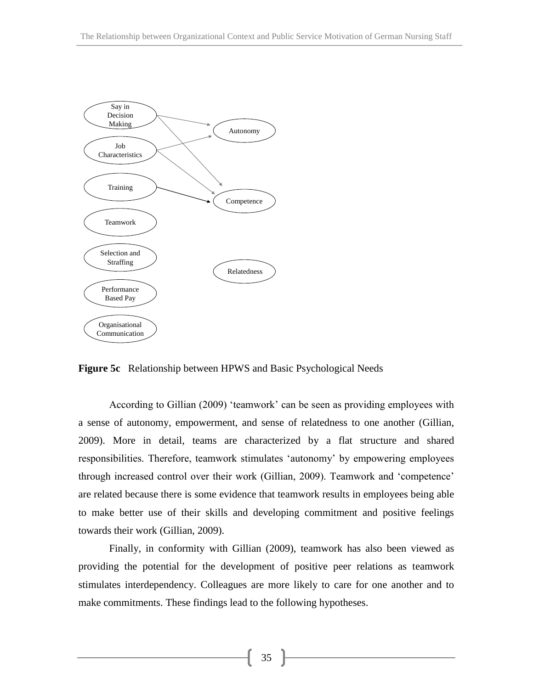

**Figure 5c** Relationship between HPWS and Basic Psychological Needs

According to Gillian (2009) 'teamwork' can be seen as providing employees with a sense of autonomy, empowerment, and sense of relatedness to one another (Gillian, 2009). More in detail, teams are characterized by a flat structure and shared responsibilities. Therefore, teamwork stimulates 'autonomy' by empowering employees through increased control over their work (Gillian, 2009). Teamwork and 'competence' are related because there is some evidence that teamwork results in employees being able to make better use of their skills and developing commitment and positive feelings towards their work (Gillian, 2009).

Finally, in conformity with Gillian (2009), teamwork has also been viewed as providing the potential for the development of positive peer relations as teamwork stimulates interdependency. Colleagues are more likely to care for one another and to make commitments. These findings lead to the following hypotheses.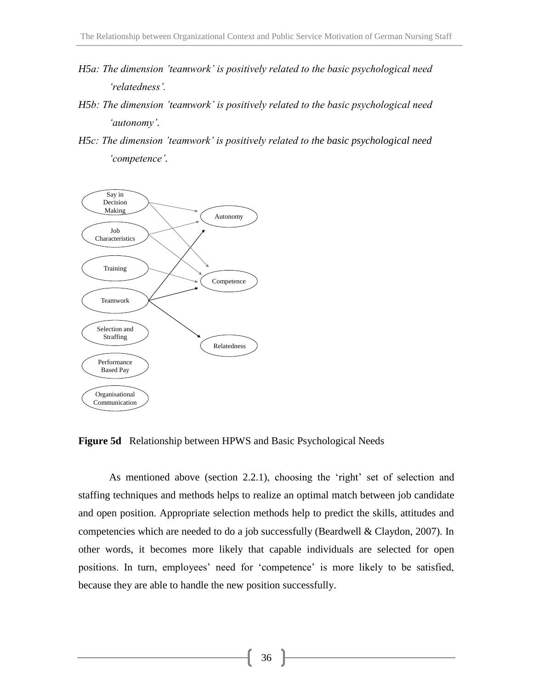- *H5a: The dimension 'teamwork' is positively related to the basic psychological need 'relatedness'.*
- *H5b: The dimension 'teamwork' is positively related to the basic psychological need 'autonomy'.*
- *H5c: The dimension 'teamwork' is positively related to the basic psychological need 'competence'.*



**Figure 5d** Relationship between HPWS and Basic Psychological Needs

As mentioned above (section 2.2.1), choosing the 'right' set of selection and staffing techniques and methods helps to realize an optimal match between job candidate and open position. Appropriate selection methods help to predict the skills, attitudes and competencies which are needed to do a job successfully (Beardwell & Claydon, 2007). In other words, it becomes more likely that capable individuals are selected for open positions. In turn, employees' need for 'competence' is more likely to be satisfied, because they are able to handle the new position successfully.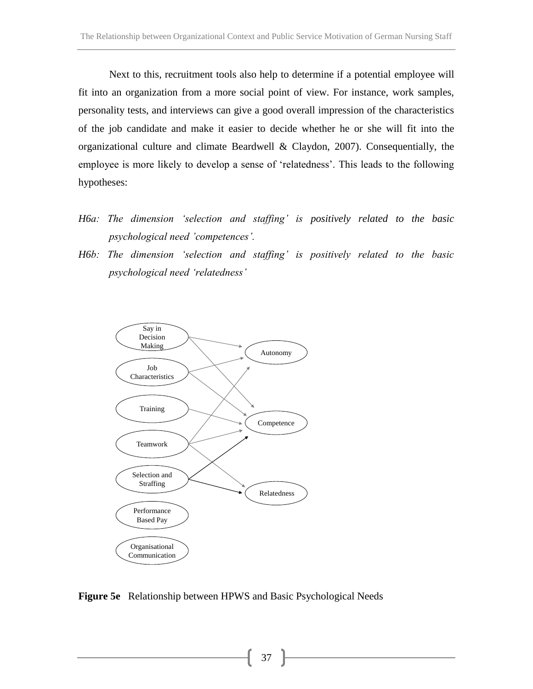Next to this, recruitment tools also help to determine if a potential employee will fit into an organization from a more social point of view. For instance, work samples, personality tests, and interviews can give a good overall impression of the characteristics of the job candidate and make it easier to decide whether he or she will fit into the organizational culture and climate Beardwell & Claydon, 2007). Consequentially, the employee is more likely to develop a sense of 'relatedness'. This leads to the following hypotheses:

- *H6a: The dimension 'selection and staffing' is positively related to the basic psychological need 'competences'.*
- *H6b: The dimension 'selection and staffing' is positively related to the basic psychological need 'relatedness'*



**Figure 5e** Relationship between HPWS and Basic Psychological Needs

37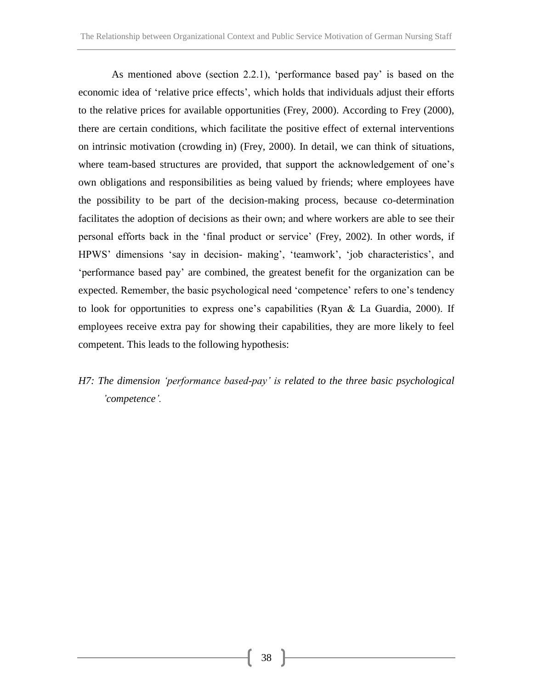As mentioned above (section 2.2.1), 'performance based pay' is based on the economic idea of 'relative price effects', which holds that individuals adjust their efforts to the relative prices for available opportunities (Frey, 2000). According to Frey (2000), there are certain conditions, which facilitate the positive effect of external interventions on intrinsic motivation (crowding in) (Frey, 2000). In detail, we can think of situations, where team-based structures are provided, that support the acknowledgement of one's own obligations and responsibilities as being valued by friends; where employees have the possibility to be part of the decision-making process, because co-determination facilitates the adoption of decisions as their own; and where workers are able to see their personal efforts back in the 'final product or service' (Frey, 2002). In other words, if HPWS' dimensions 'say in decision- making', 'teamwork', 'job characteristics', and 'performance based pay' are combined, the greatest benefit for the organization can be expected. Remember, the basic psychological need 'competence' refers to one's tendency to look for opportunities to express one's capabilities (Ryan & La Guardia, 2000). If employees receive extra pay for showing their capabilities, they are more likely to feel competent. This leads to the following hypothesis:

*H7: The dimension 'performance based-pay' is related to the three basic psychological 'competence'.*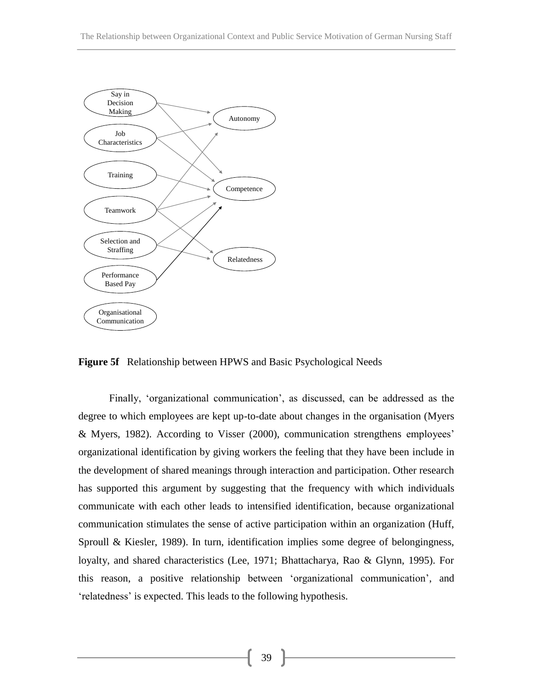

**Figure 5f** Relationship between HPWS and Basic Psychological Needs

Finally, 'organizational communication', as discussed, can be addressed as the degree to which employees are kept up-to-date about changes in the organisation (Myers & Myers, 1982). According to Visser (2000), communication strengthens employees' organizational identification by giving workers the feeling that they have been include in the development of shared meanings through interaction and participation. Other research has supported this argument by suggesting that the frequency with which individuals communicate with each other leads to intensified identification, because organizational communication stimulates the sense of active participation within an organization (Huff, Sproull & Kiesler, 1989). In turn, identification implies some degree of belongingness, loyalty, and shared characteristics (Lee, 1971; Bhattacharya, Rao & Glynn, 1995). For this reason, a positive relationship between 'organizational communication', and 'relatedness' is expected. This leads to the following hypothesis.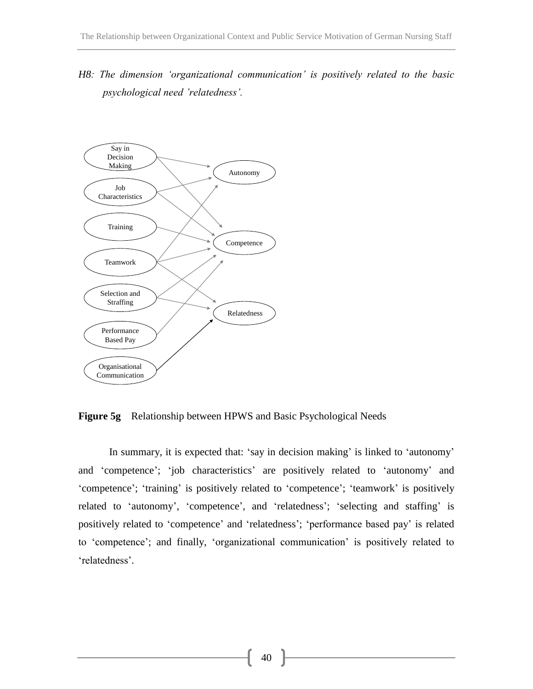*H8: The dimension 'organizational communication' is positively related to the basic psychological need 'relatedness'.*



**Figure 5g** Relationship between HPWS and Basic Psychological Needs

In summary, it is expected that: 'say in decision making' is linked to 'autonomy' and 'competence'; 'job characteristics' are positively related to 'autonomy' and 'competence'; 'training' is positively related to 'competence'; 'teamwork' is positively related to 'autonomy', 'competence', and 'relatedness'; 'selecting and staffing' is positively related to 'competence' and 'relatedness'; 'performance based pay' is related to 'competence'; and finally, 'organizational communication' is positively related to 'relatedness'.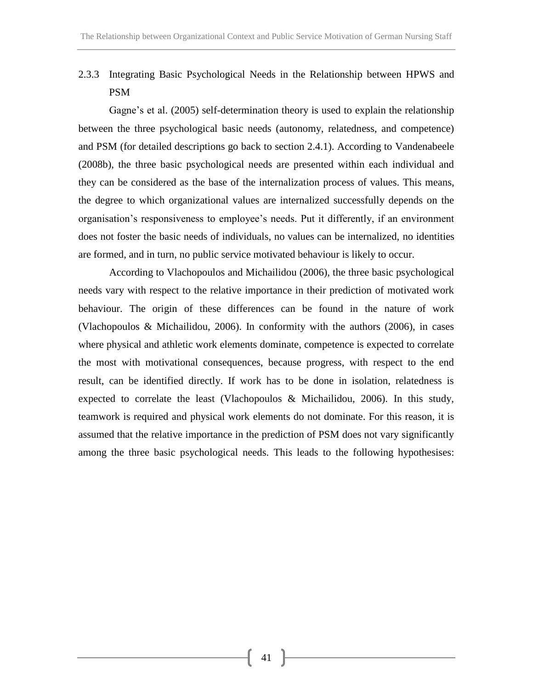2.3.3 Integrating Basic Psychological Needs in the Relationship between HPWS and PSM

Gagne's et al. (2005) self-determination theory is used to explain the relationship between the three psychological basic needs (autonomy, relatedness, and competence) and PSM (for detailed descriptions go back to section 2.4.1). According to Vandenabeele (2008b), the three basic psychological needs are presented within each individual and they can be considered as the base of the internalization process of values. This means, the degree to which organizational values are internalized successfully depends on the organisation's responsiveness to employee's needs. Put it differently, if an environment does not foster the basic needs of individuals, no values can be internalized, no identities are formed, and in turn, no public service motivated behaviour is likely to occur.

According to Vlachopoulos and Michailidou (2006), the three basic psychological needs vary with respect to the relative importance in their prediction of motivated work behaviour. The origin of these differences can be found in the nature of work (Vlachopoulos & Michailidou, 2006). In conformity with the authors (2006), in cases where physical and athletic work elements dominate, competence is expected to correlate the most with motivational consequences, because progress, with respect to the end result, can be identified directly. If work has to be done in isolation, relatedness is expected to correlate the least (Vlachopoulos & Michailidou, 2006). In this study, teamwork is required and physical work elements do not dominate. For this reason, it is assumed that the relative importance in the prediction of PSM does not vary significantly among the three basic psychological needs. This leads to the following hypothesises: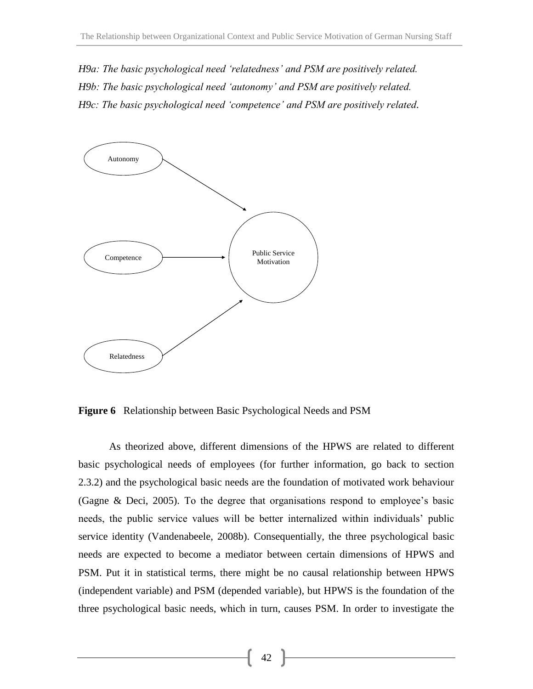*H9a: The basic psychological need 'relatedness' and PSM are positively related. H9b: The basic psychological need 'autonomy' and PSM are positively related. H9c: The basic psychological need 'competence' and PSM are positively related.*



**Figure 6** Relationship between Basic Psychological Needs and PSM

As theorized above, different dimensions of the HPWS are related to different basic psychological needs of employees (for further information, go back to section 2.3.2) and the psychological basic needs are the foundation of motivated work behaviour (Gagne & Deci, 2005). To the degree that organisations respond to employee's basic needs, the public service values will be better internalized within individuals' public service identity (Vandenabeele, 2008b). Consequentially, the three psychological basic needs are expected to become a mediator between certain dimensions of HPWS and PSM. Put it in statistical terms, there might be no causal relationship between HPWS (independent variable) and PSM (depended variable), but HPWS is the foundation of the three psychological basic needs, which in turn, causes PSM. In order to investigate the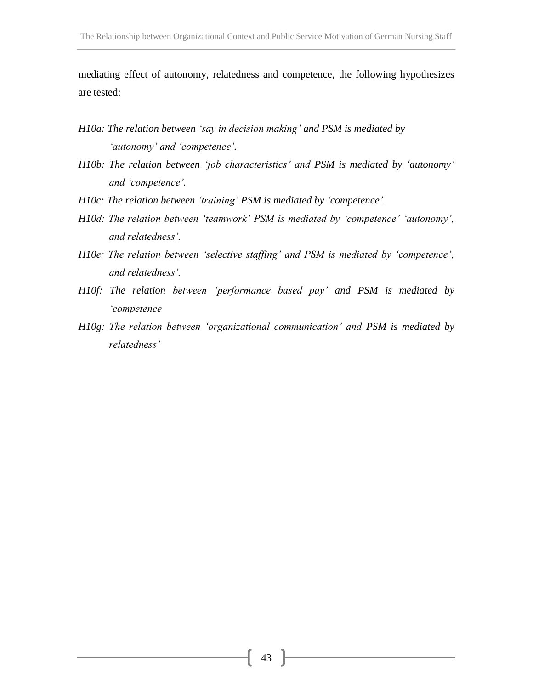mediating effect of autonomy, relatedness and competence, the following hypothesizes are tested:

- *H10a: The relation between 'say in decision making' and PSM is mediated by 'autonomy' and 'competence'.*
- *H10b: The relation between 'job characteristics' and PSM is mediated by 'autonomy' and 'competence'.*
- *H10c: The relation between 'training' PSM is mediated by 'competence'.*
- *H10d: The relation between 'teamwork' PSM is mediated by 'competence' 'autonomy', and relatedness'.*
- *H10e: The relation between 'selective staffing' and PSM is mediated by 'competence', and relatedness'.*
- *H10f: The relation between 'performance based pay' and PSM is mediated by 'competence*
- *H10g: The relation between 'organizational communication' and PSM is mediated by relatedness'*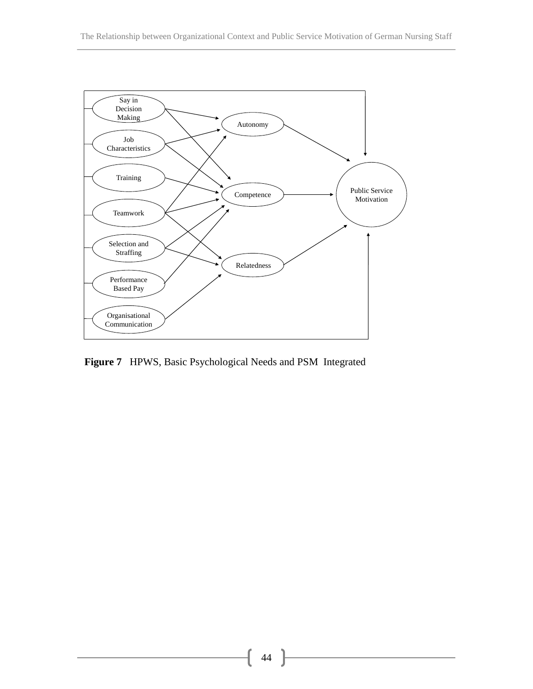

**Figure 7** HPWS, Basic Psychological Needs and PSM Integrated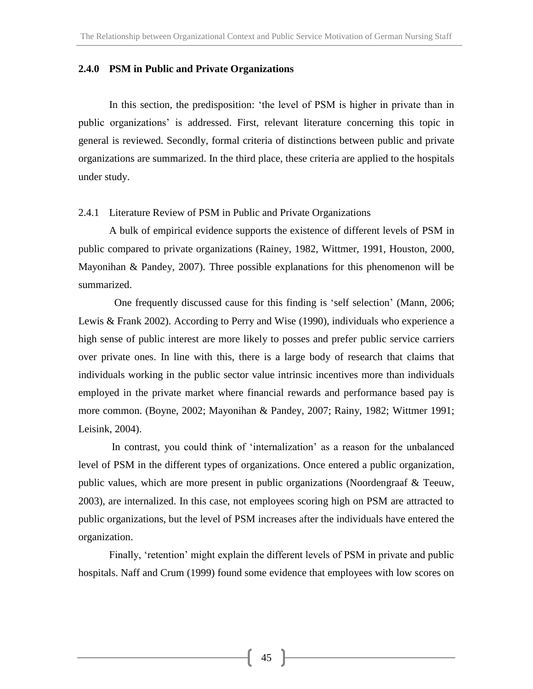### **2.4.0 PSM in Public and Private Organizations**

In this section, the predisposition: 'the level of PSM is higher in private than in public organizations' is addressed. First, relevant literature concerning this topic in general is reviewed. Secondly, formal criteria of distinctions between public and private organizations are summarized. In the third place, these criteria are applied to the hospitals under study.

#### 2.4.1 Literature Review of PSM in Public and Private Organizations

A bulk of empirical evidence supports the existence of different levels of PSM in public compared to private organizations (Rainey, 1982, Wittmer, 1991, Houston, 2000, Mayonihan & Pandey, 2007). Three possible explanations for this phenomenon will be summarized.

 One frequently discussed cause for this finding is 'self selection' (Mann, 2006; Lewis & Frank 2002). According to Perry and Wise (1990), individuals who experience a high sense of public interest are more likely to posses and prefer public service carriers over private ones. In line with this, there is a large body of research that claims that individuals working in the public sector value intrinsic incentives more than individuals employed in the private market where financial rewards and performance based pay is more common. (Boyne, 2002; Mayonihan & Pandey, 2007; Rainy, 1982; Wittmer 1991; Leisink, 2004).

In contrast, you could think of 'internalization' as a reason for the unbalanced level of PSM in the different types of organizations. Once entered a public organization, public values, which are more present in public organizations (Noordengraaf & Teeuw, 2003), are internalized. In this case, not employees scoring high on PSM are attracted to public organizations, but the level of PSM increases after the individuals have entered the organization.

Finally, 'retention' might explain the different levels of PSM in private and public hospitals. Naff and Crum (1999) found some evidence that employees with low scores on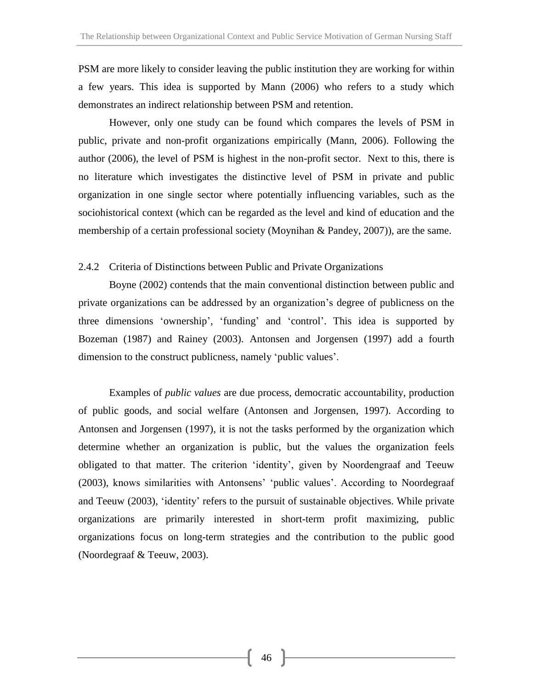PSM are more likely to consider leaving the public institution they are working for within a few years. This idea is supported by Mann (2006) who refers to a study which demonstrates an indirect relationship between PSM and retention.

However, only one study can be found which compares the levels of PSM in public, private and non-profit organizations empirically (Mann, 2006). Following the author (2006), the level of PSM is highest in the non-profit sector. Next to this, there is no literature which investigates the distinctive level of PSM in private and public organization in one single sector where potentially influencing variables, such as the sociohistorical context (which can be regarded as the level and kind of education and the membership of a certain professional society (Moynihan & Pandey, 2007)), are the same.

# 2.4.2 Criteria of Distinctions between Public and Private Organizations

Boyne (2002) contends that the main conventional distinction between public and private organizations can be addressed by an organization's degree of publicness on the three dimensions 'ownership', 'funding' and 'control'. This idea is supported by Bozeman (1987) and Rainey (2003). Antonsen and Jorgensen (1997) add a fourth dimension to the construct publicness, namely 'public values'.

Examples of *public values* are due process, democratic accountability, production of public goods, and social welfare (Antonsen and Jorgensen, 1997). According to Antonsen and Jorgensen (1997), it is not the tasks performed by the organization which determine whether an organization is public, but the values the organization feels obligated to that matter. The criterion 'identity', given by Noordengraaf and Teeuw (2003), knows similarities with Antonsens' 'public values'. According to Noordegraaf and Teeuw (2003), 'identity' refers to the pursuit of sustainable objectives. While private organizations are primarily interested in short-term profit maximizing, public organizations focus on long-term strategies and the contribution to the public good (Noordegraaf & Teeuw, 2003).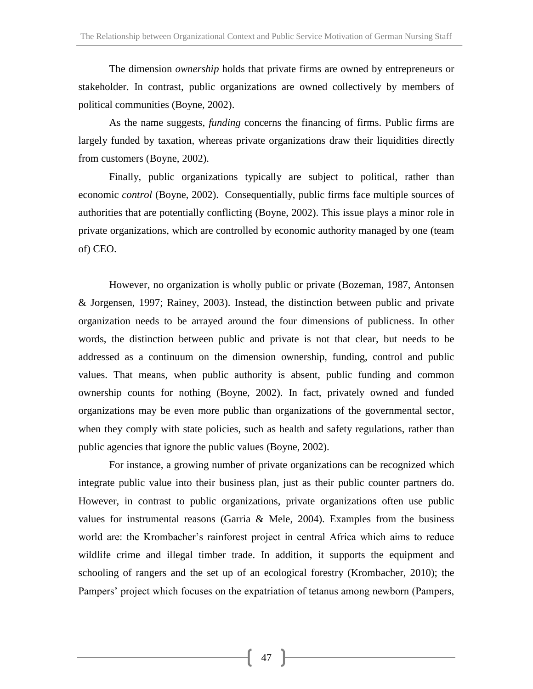The dimension *ownership* holds that private firms are owned by entrepreneurs or stakeholder. In contrast, public organizations are owned collectively by members of political communities (Boyne, 2002).

As the name suggests, *funding* concerns the financing of firms. Public firms are largely funded by taxation, whereas private organizations draw their liquidities directly from customers (Boyne, 2002).

Finally, public organizations typically are subject to political, rather than economic *control* (Boyne, 2002). Consequentially, public firms face multiple sources of authorities that are potentially conflicting (Boyne, 2002). This issue plays a minor role in private organizations, which are controlled by economic authority managed by one (team of) CEO.

However, no organization is wholly public or private (Bozeman, 1987, Antonsen & Jorgensen, 1997; Rainey, 2003). Instead, the distinction between public and private organization needs to be arrayed around the four dimensions of publicness. In other words, the distinction between public and private is not that clear, but needs to be addressed as a continuum on the dimension ownership, funding, control and public values. That means, when public authority is absent, public funding and common ownership counts for nothing (Boyne, 2002). In fact, privately owned and funded organizations may be even more public than organizations of the governmental sector, when they comply with state policies, such as health and safety regulations, rather than public agencies that ignore the public values (Boyne, 2002).

For instance, a growing number of private organizations can be recognized which integrate public value into their business plan, just as their public counter partners do. However, in contrast to public organizations, private organizations often use public values for instrumental reasons (Garria  $\&$  Mele, 2004). Examples from the business world are: the Krombacher's rainforest project in central Africa which aims to reduce wildlife crime and illegal timber trade. In addition, it supports the equipment and schooling of rangers and the set up of an ecological forestry (Krombacher, 2010); the Pampers' project which focuses on the expatriation of tetanus among newborn (Pampers,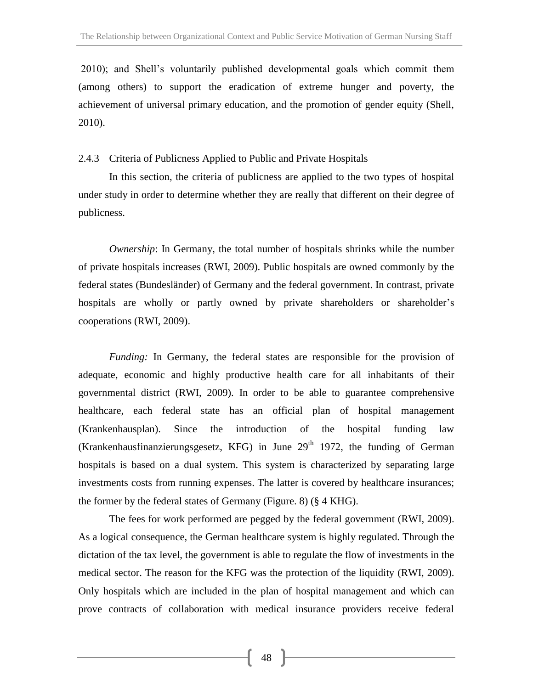2010); and Shell's voluntarily published developmental goals which commit them (among others) to support the eradication of extreme hunger and poverty, the achievement of universal primary education, and the promotion of gender equity (Shell, 2010).

# 2.4.3 Criteria of Publicness Applied to Public and Private Hospitals

In this section, the criteria of publicness are applied to the two types of hospital under study in order to determine whether they are really that different on their degree of publicness.

*Ownership*: In Germany, the total number of hospitals shrinks while the number of private hospitals increases (RWI, 2009). Public hospitals are owned commonly by the federal states (Bundesländer) of Germany and the federal government. In contrast, private hospitals are wholly or partly owned by private shareholders or shareholder's cooperations (RWI, 2009).

*Funding:* In Germany, the federal states are responsible for the provision of adequate, economic and highly productive health care for all inhabitants of their governmental district (RWI, 2009). In order to be able to guarantee comprehensive healthcare, each federal state has an official plan of hospital management (Krankenhausplan). Since the introduction of the hospital funding law (Krankenhausfinanzierungsgesetz, KFG) in June  $29<sup>th</sup> 1972$ , the funding of German hospitals is based on a dual system. This system is characterized by separating large investments costs from running expenses. The latter is covered by healthcare insurances; the former by the federal states of Germany (Figure. 8) (§ 4 KHG).

The fees for work performed are pegged by the federal government (RWI, 2009). As a logical consequence, the German healthcare system is highly regulated. Through the dictation of the tax level, the government is able to regulate the flow of investments in the medical sector. The reason for the KFG was the protection of the liquidity (RWI, 2009). Only hospitals which are included in the plan of hospital management and which can prove contracts of collaboration with medical insurance providers receive federal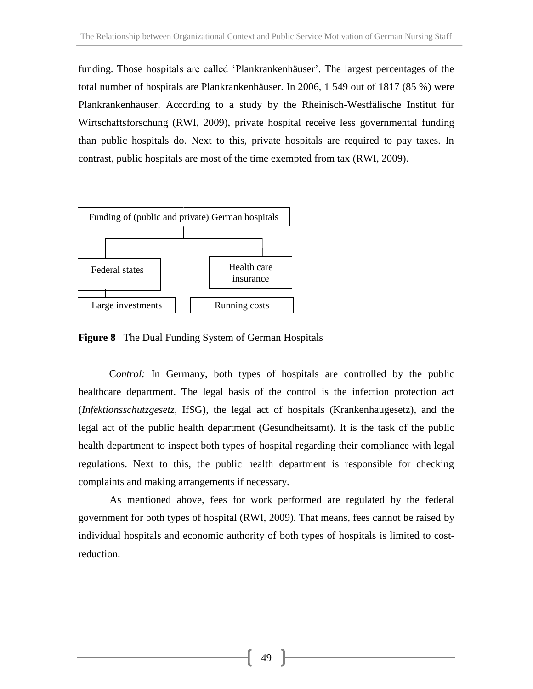funding. Those hospitals are called 'Plankrankenhäuser'. The largest percentages of the total number of hospitals are Plankrankenhäuser. In 2006, 1 549 out of 1817 (85 %) were Plankrankenhäuser. According to a study by the Rheinisch-Westfälische Institut für Wirtschaftsforschung (RWI, 2009), private hospital receive less governmental funding than public hospitals do. Next to this, private hospitals are required to pay taxes. In contrast, public hospitals are most of the time exempted from tax (RWI, 2009).



**Figure 8** The Dual Funding System of German Hospitals

C*ontrol:* In Germany, both types of hospitals are controlled by the public healthcare department. The legal basis of the control is the infection protection act (*Infektionsschutzgesetz*, IfSG), the legal act of hospitals (Krankenhaugesetz), and the legal act of the public health department (Gesundheitsamt). It is the task of the public health department to inspect both types of hospital regarding their compliance with legal regulations. Next to this, the public health department is responsible for checking complaints and making arrangements if necessary.

As mentioned above, fees for work performed are regulated by the federal government for both types of hospital (RWI, 2009). That means, fees cannot be raised by individual hospitals and economic authority of both types of hospitals is limited to costreduction.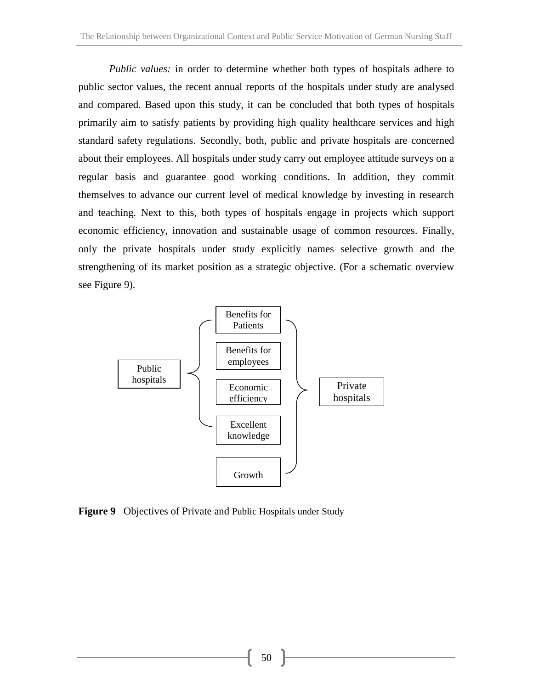*Public values:* in order to determine whether both types of hospitals adhere to public sector values, the recent annual reports of the hospitals under study are analysed and compared. Based upon this study, it can be concluded that both types of hospitals primarily aim to satisfy patients by providing high quality healthcare services and high standard safety regulations. Secondly, both, public and private hospitals are concerned about their employees. All hospitals under study carry out employee attitude surveys on a regular basis and guarantee good working conditions. In addition, they commit themselves to advance our current level of medical knowledge by investing in research and teaching. Next to this, both types of hospitals engage in projects which support economic efficiency, innovation and sustainable usage of common resources. Finally, only the private hospitals under study explicitly names selective growth and the strengthening of its market position as a strategic objective. (For a schematic overview see Figure 9).



**Figure 9** Objectives of Private and Public Hospitals under Study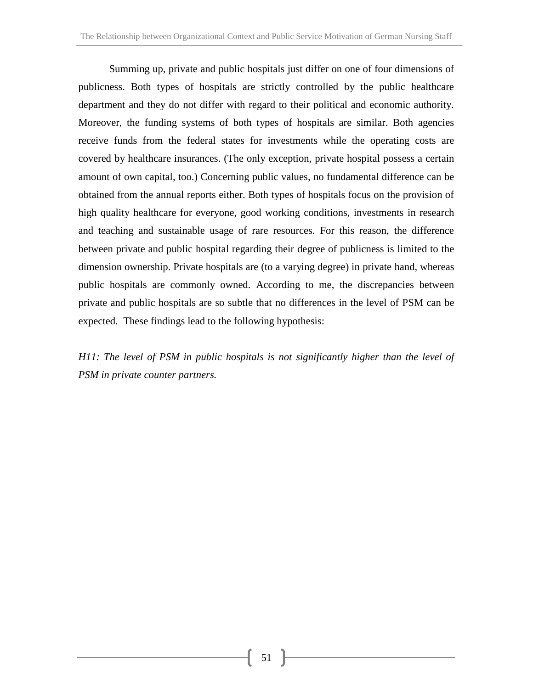Summing up, private and public hospitals just differ on one of four dimensions of publicness. Both types of hospitals are strictly controlled by the public healthcare department and they do not differ with regard to their political and economic authority. Moreover, the funding systems of both types of hospitals are similar. Both agencies receive funds from the federal states for investments while the operating costs are covered by healthcare insurances. (The only exception, private hospital possess a certain amount of own capital, too.) Concerning public values, no fundamental difference can be obtained from the annual reports either. Both types of hospitals focus on the provision of high quality healthcare for everyone, good working conditions, investments in research and teaching and sustainable usage of rare resources. For this reason, the difference between private and public hospital regarding their degree of publicness is limited to the dimension ownership. Private hospitals are (to a varying degree) in private hand, whereas public hospitals are commonly owned. According to me, the discrepancies between private and public hospitals are so subtle that no differences in the level of PSM can be expected. These findings lead to the following hypothesis:

*H11: The level of PSM in public hospitals is not significantly higher than the level of PSM in private counter partners.*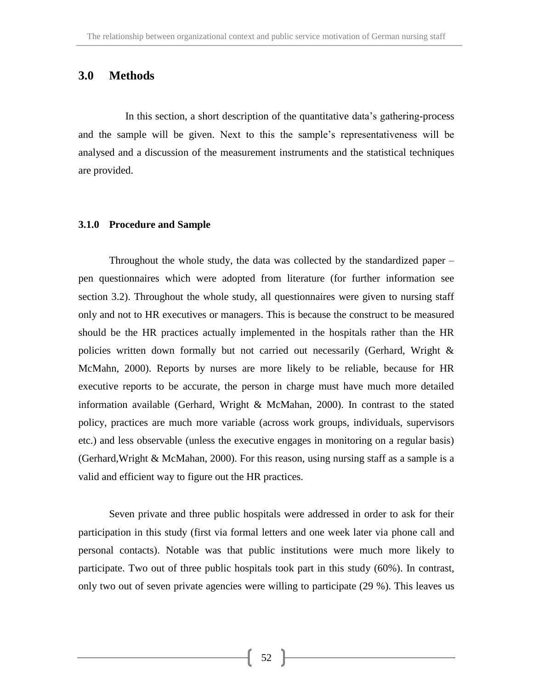# **3.0 Methods**

In this section, a short description of the quantitative data's gathering-process and the sample will be given. Next to this the sample's representativeness will be analysed and a discussion of the measurement instruments and the statistical techniques are provided.

### **3.1.0 Procedure and Sample**

Throughout the whole study, the data was collected by the standardized paper – pen questionnaires which were adopted from literature (for further information see section 3.2). Throughout the whole study, all questionnaires were given to nursing staff only and not to HR executives or managers. This is because the construct to be measured should be the HR practices actually implemented in the hospitals rather than the HR policies written down formally but not carried out necessarily (Gerhard, Wright & McMahn, 2000). Reports by nurses are more likely to be reliable, because for HR executive reports to be accurate, the person in charge must have much more detailed information available (Gerhard, Wright & McMahan, 2000). In contrast to the stated policy, practices are much more variable (across work groups, individuals, supervisors etc.) and less observable (unless the executive engages in monitoring on a regular basis) (Gerhard,Wright & McMahan, 2000). For this reason, using nursing staff as a sample is a valid and efficient way to figure out the HR practices.

Seven private and three public hospitals were addressed in order to ask for their participation in this study (first via formal letters and one week later via phone call and personal contacts). Notable was that public institutions were much more likely to participate. Two out of three public hospitals took part in this study (60%). In contrast, only two out of seven private agencies were willing to participate (29 %). This leaves us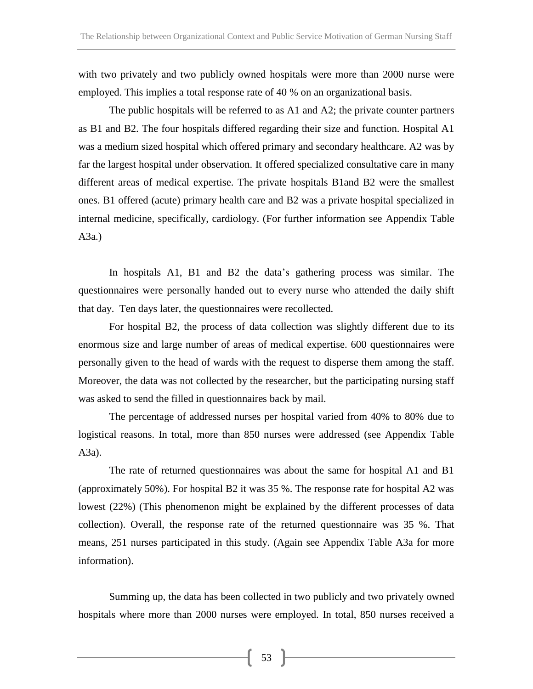with two privately and two publicly owned hospitals were more than 2000 nurse were employed. This implies a total response rate of 40 % on an organizational basis.

The public hospitals will be referred to as A1 and A2; the private counter partners as B1 and B2. The four hospitals differed regarding their size and function. Hospital A1 was a medium sized hospital which offered primary and secondary healthcare. A2 was by far the largest hospital under observation. It offered specialized consultative care in many different areas of medical expertise. The private hospitals B1and B2 were the smallest ones. B1 offered (acute) primary health care and B2 was a private hospital specialized in internal medicine, specifically, cardiology. (For further information see Appendix Table A3a.)

In hospitals A1, B1 and B2 the data's gathering process was similar. The questionnaires were personally handed out to every nurse who attended the daily shift that day. Ten days later, the questionnaires were recollected.

For hospital B2, the process of data collection was slightly different due to its enormous size and large number of areas of medical expertise. 600 questionnaires were personally given to the head of wards with the request to disperse them among the staff. Moreover, the data was not collected by the researcher, but the participating nursing staff was asked to send the filled in questionnaires back by mail.

The percentage of addressed nurses per hospital varied from 40% to 80% due to logistical reasons. In total, more than 850 nurses were addressed (see Appendix Table A3a).

The rate of returned questionnaires was about the same for hospital A1 and B1 (approximately 50%). For hospital B2 it was 35 %. The response rate for hospital A2 was lowest (22%) (This phenomenon might be explained by the different processes of data collection). Overall, the response rate of the returned questionnaire was 35 %. That means, 251 nurses participated in this study. (Again see Appendix Table A3a for more information).

Summing up, the data has been collected in two publicly and two privately owned hospitals where more than 2000 nurses were employed. In total, 850 nurses received a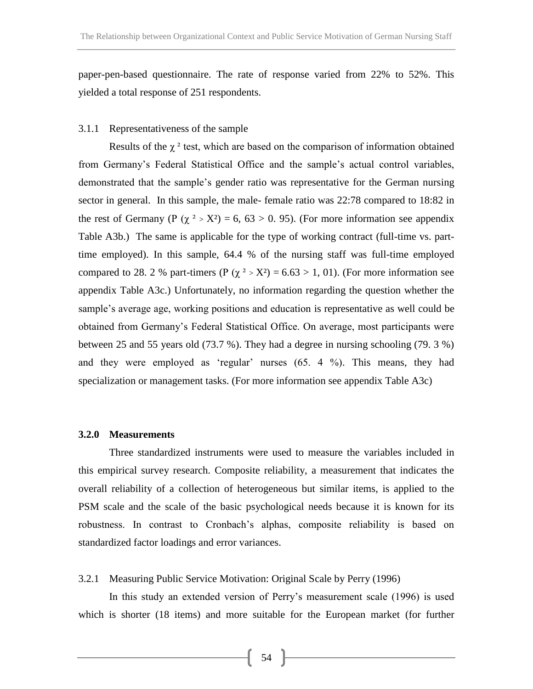paper-pen-based questionnaire. The rate of response varied from 22% to 52%. This yielded a total response of 251 respondents.

### 3.1.1 Representativeness of the sample

Results of the  $\chi^2$  test, which are based on the comparison of information obtained from Germany's Federal Statistical Office and the sample's actual control variables, demonstrated that the sample's gender ratio was representative for the German nursing sector in general. In this sample, the male- female ratio was 22:78 compared to 18:82 in the rest of Germany (P ( $\chi^2 > X^2$ ) = 6, 63 > 0. 95). (For more information see appendix Table A3b.) The same is applicable for the type of working contract (full-time vs. parttime employed). In this sample, 64.4 % of the nursing staff was full-time employed compared to 28. 2 % part-timers (P ( $\chi^2$  > X<sup>2</sup>) = 6.63 > 1, 01). (For more information see appendix Table A3c.) Unfortunately, no information regarding the question whether the sample's average age, working positions and education is representative as well could be obtained from Germany's Federal Statistical Office. On average, most participants were between 25 and 55 years old (73.7 %). They had a degree in nursing schooling (79. 3 %) and they were employed as 'regular' nurses (65. 4 %). This means, they had specialization or management tasks. (For more information see appendix Table A3c)

### **3.2.0 Measurements**

Three standardized instruments were used to measure the variables included in this empirical survey research. Composite reliability, a measurement that indicates the overall reliability of a collection of heterogeneous but similar items, is applied to the PSM scale and the scale of the basic psychological needs because it is known for its robustness. In contrast to Cronbach's alphas, composite reliability is based on standardized factor loadings and error variances.

## 3.2.1 Measuring Public Service Motivation: Original Scale by Perry (1996)

In this study an extended version of Perry's measurement scale (1996) is used which is shorter (18 items) and more suitable for the European market (for further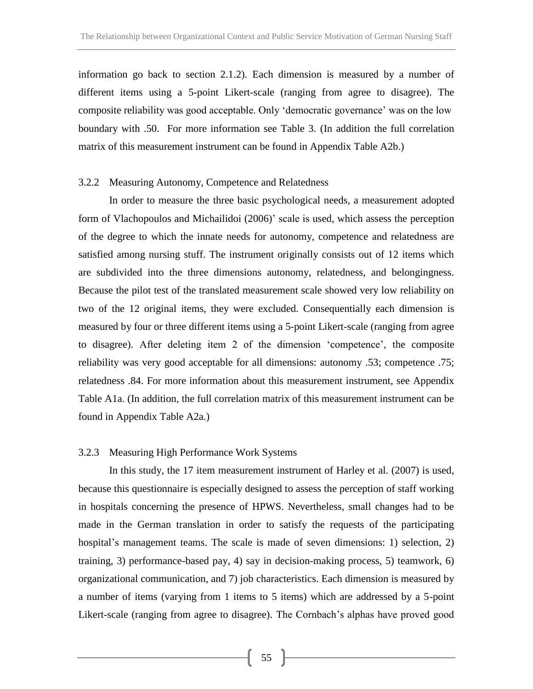information go back to section 2.1.2). Each dimension is measured by a number of different items using a 5-point Likert-scale (ranging from agree to disagree). The composite reliability was good acceptable. Only 'democratic governance' was on the low boundary with .50. For more information see Table 3. (In addition the full correlation matrix of this measurement instrument can be found in Appendix Table A2b.)

## 3.2.2 Measuring Autonomy, Competence and Relatedness

In order to measure the three basic psychological needs, a measurement adopted form of Vlachopoulos and Michailidoi (2006)' scale is used, which assess the perception of the degree to which the innate needs for autonomy, competence and relatedness are satisfied among nursing stuff. The instrument originally consists out of 12 items which are subdivided into the three dimensions autonomy, relatedness, and belongingness. Because the pilot test of the translated measurement scale showed very low reliability on two of the 12 original items, they were excluded. Consequentially each dimension is measured by four or three different items using a 5-point Likert-scale (ranging from agree to disagree). After deleting item 2 of the dimension 'competence', the composite reliability was very good acceptable for all dimensions: autonomy .53; competence .75; relatedness .84. For more information about this measurement instrument, see Appendix Table A1a. (In addition, the full correlation matrix of this measurement instrument can be found in Appendix Table A2a.)

#### 3.2.3 Measuring High Performance Work Systems

In this study, the 17 item measurement instrument of Harley et al. (2007) is used, because this questionnaire is especially designed to assess the perception of staff working in hospitals concerning the presence of HPWS. Nevertheless, small changes had to be made in the German translation in order to satisfy the requests of the participating hospital's management teams. The scale is made of seven dimensions: 1) selection, 2) training, 3) performance-based pay, 4) say in decision-making process, 5) teamwork, 6) organizational communication, and 7) job characteristics. Each dimension is measured by a number of items (varying from 1 items to 5 items) which are addressed by a 5-point Likert-scale (ranging from agree to disagree). The Cornbach's alphas have proved good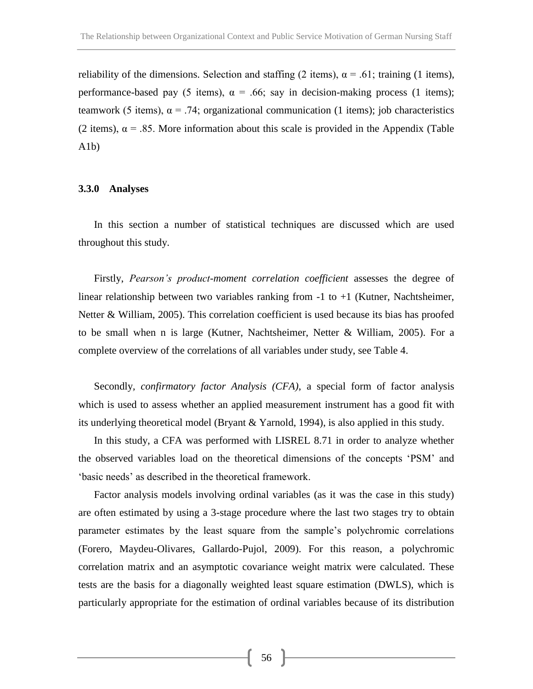reliability of the dimensions. Selection and staffing (2 items),  $\alpha$  = .61; training (1 items), performance-based pay (5 items),  $\alpha = .66$ ; say in decision-making process (1 items); teamwork (5 items),  $\alpha$  = .74; organizational communication (1 items); job characteristics (2 items),  $\alpha$  = .85. More information about this scale is provided in the Appendix (Table A1b)

### **3.3.0 Analyses**

In this section a number of statistical techniques are discussed which are used throughout this study.

Firstly, *Pearson's product-moment correlation coefficient* assesses the degree of linear relationship between two variables ranking from -1 to +1 (Kutner, Nachtsheimer, Netter & William, 2005). This correlation coefficient is used because its bias has proofed to be small when n is large (Kutner, Nachtsheimer, Netter & William, 2005). For a complete overview of the correlations of all variables under study, see Table 4.

Secondly*, confirmatory factor Analysis (CFA)*, a special form of factor analysis which is used to assess whether an applied measurement instrument has a good fit with its underlying theoretical model (Bryant & Yarnold, 1994), is also applied in this study.

In this study, a CFA was performed with LISREL 8.71 in order to analyze whether the observed variables load on the theoretical dimensions of the concepts 'PSM' and 'basic needs' as described in the theoretical framework.

Factor analysis models involving ordinal variables (as it was the case in this study) are often estimated by using a 3-stage procedure where the last two stages try to obtain parameter estimates by the least square from the sample's polychromic correlations (Forero, Maydeu-Olivares, Gallardo-Pujol, 2009). For this reason, a polychromic correlation matrix and an asymptotic covariance weight matrix were calculated. These tests are the basis for a diagonally weighted least square estimation (DWLS), which is particularly appropriate for the estimation of ordinal variables because of its distribution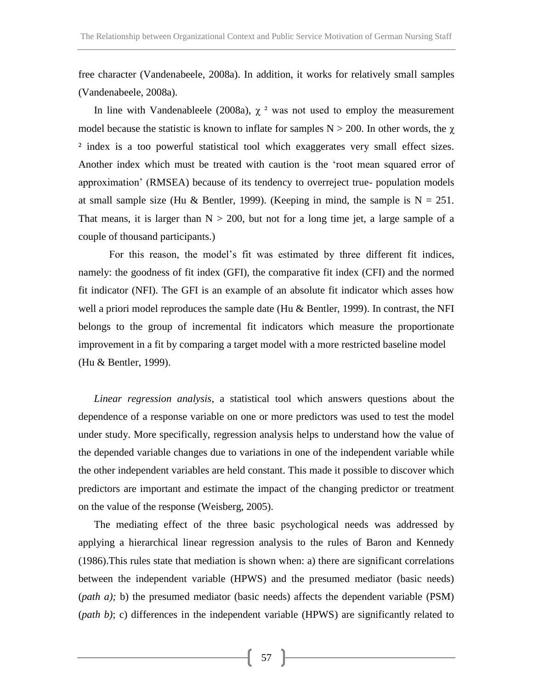free character (Vandenabeele, 2008a). In addition, it works for relatively small samples (Vandenabeele, 2008a).

In line with Vandenableele (2008a),  $\chi^2$  was not used to employ the measurement model because the statistic is known to inflate for samples  $N > 200$ . In other words, the  $\chi$ <sup>2</sup> index is a too powerful statistical tool which exaggerates very small effect sizes. Another index which must be treated with caution is the 'root mean squared error of approximation' (RMSEA) because of its tendency to overreject true- population models at small sample size (Hu & Bentler, 1999). (Keeping in mind, the sample is  $N = 251$ . That means, it is larger than  $N > 200$ , but not for a long time jet, a large sample of a couple of thousand participants.)

For this reason, the model's fit was estimated by three different fit indices, namely: the goodness of fit index (GFI), the comparative fit index (CFI) and the normed fit indicator (NFI). The GFI is an example of an absolute fit indicator which asses how well a priori model reproduces the sample date (Hu & Bentler, 1999). In contrast, the NFI belongs to the group of incremental fit indicators which measure the proportionate improvement in a fit by comparing a target model with a more restricted baseline model (Hu & Bentler, 1999).

*Linear regression analysis*, a statistical tool which answers questions about the dependence of a response variable on one or more predictors was used to test the model under study. More specifically, regression analysis helps to understand how the value of the depended variable changes due to variations in one of the independent variable while the other independent variables are held constant. This made it possible to discover which predictors are important and estimate the impact of the changing predictor or treatment on the value of the response (Weisberg, 2005).

The mediating effect of the three basic psychological needs was addressed by applying a hierarchical linear regression analysis to the rules of Baron and Kennedy (1986).This rules state that mediation is shown when: a) there are significant correlations between the independent variable (HPWS) and the presumed mediator (basic needs) (*path a);* b) the presumed mediator (basic needs) affects the dependent variable (PSM) (*path b)*; c) differences in the independent variable (HPWS) are significantly related to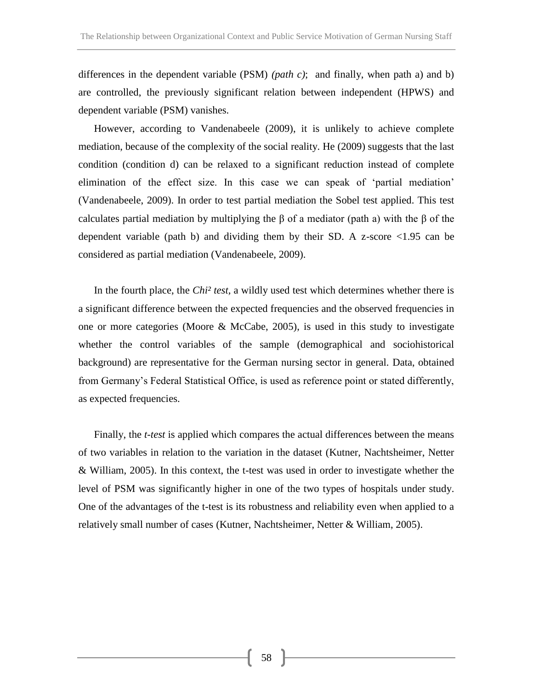differences in the dependent variable (PSM) *(path c)*; and finally, when path a) and b) are controlled, the previously significant relation between independent (HPWS) and dependent variable (PSM) vanishes.

However, according to Vandenabeele (2009), it is unlikely to achieve complete mediation, because of the complexity of the social reality. He (2009) suggests that the last condition (condition d) can be relaxed to a significant reduction instead of complete elimination of the effect size. In this case we can speak of 'partial mediation' (Vandenabeele, 2009). In order to test partial mediation the Sobel test applied. This test calculates partial mediation by multiplying the β of a mediator (path a) with the β of the dependent variable (path b) and dividing them by their SD. A z-score <1.95 can be considered as partial mediation (Vandenabeele, 2009).

In the fourth place, the *Chi² test,* a wildly used test which determines whether there is a significant difference between the expected frequencies and the observed frequencies in one or more categories (Moore & McCabe, 2005), is used in this study to investigate whether the control variables of the sample (demographical and sociohistorical background) are representative for the German nursing sector in general. Data, obtained from Germany's Federal Statistical Office, is used as reference point or stated differently, as expected frequencies.

Finally, the *t-test* is applied which compares the actual differences between the means of two variables in relation to the variation in the dataset (Kutner, Nachtsheimer, Netter & William, 2005). In this context, the t-test was used in order to investigate whether the level of PSM was significantly higher in one of the two types of hospitals under study. One of the advantages of the t-test is its robustness and reliability even when applied to a relatively small number of cases (Kutner, Nachtsheimer, Netter & William, 2005).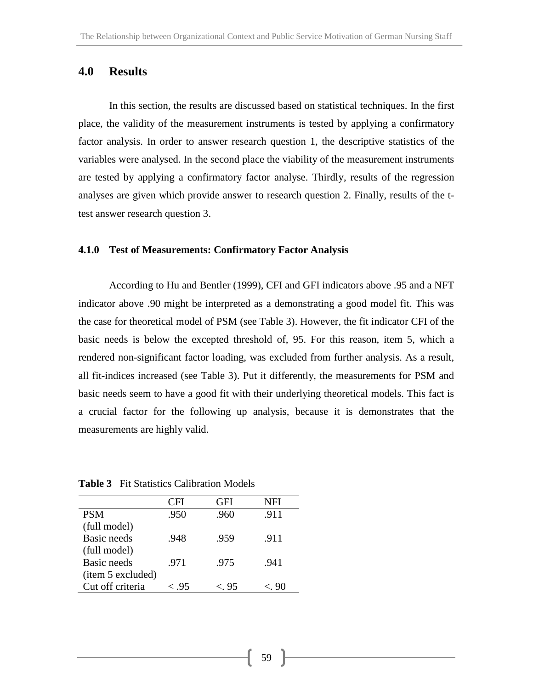# **4.0 Results**

In this section, the results are discussed based on statistical techniques. In the first place, the validity of the measurement instruments is tested by applying a confirmatory factor analysis. In order to answer research question 1, the descriptive statistics of the variables were analysed. In the second place the viability of the measurement instruments are tested by applying a confirmatory factor analyse. Thirdly, results of the regression analyses are given which provide answer to research question 2. Finally, results of the ttest answer research question 3.

#### **4.1.0 Test of Measurements: Confirmatory Factor Analysis**

According to Hu and Bentler (1999), CFI and GFI indicators above .95 and a NFT indicator above .90 might be interpreted as a demonstrating a good model fit. This was the case for theoretical model of PSM (see Table 3). However, the fit indicator CFI of the basic needs is below the excepted threshold of, 95. For this reason, item 5, which a rendered non-significant factor loading, was excluded from further analysis. As a result, all fit-indices increased (see Table 3). Put it differently, the measurements for PSM and basic needs seem to have a good fit with their underlying theoretical models. This fact is a crucial factor for the following up analysis, because it is demonstrates that the measurements are highly valid.

**Table 3** Fit Statistics Calibration Models

|                   | CFI  | <b>GFI</b> | NFI  |
|-------------------|------|------------|------|
| <b>PSM</b>        | .950 | .960       | .911 |
| (full model)      |      |            |      |
| Basic needs       | .948 | .959       | .911 |
| (full model)      |      |            |      |
| Basic needs       | .971 | .975       | .941 |
| (item 5 excluded) |      |            |      |
| Cut off criteria  | < 95 | < 95       | < 90 |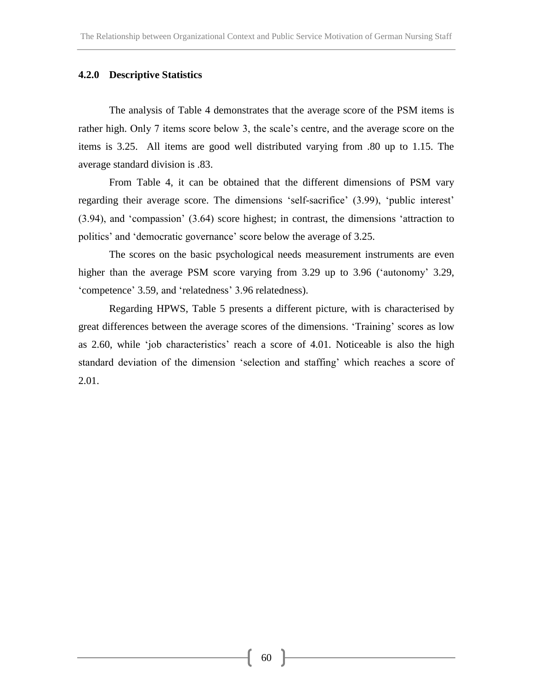### **4.2.0 Descriptive Statistics**

The analysis of Table 4 demonstrates that the average score of the PSM items is rather high. Only 7 items score below 3, the scale's centre, and the average score on the items is 3.25. All items are good well distributed varying from .80 up to 1.15. The average standard division is .83.

From Table 4, it can be obtained that the different dimensions of PSM vary regarding their average score. The dimensions 'self-sacrifice' (3.99), 'public interest' (3.94), and 'compassion' (3.64) score highest; in contrast, the dimensions 'attraction to politics' and 'democratic governance' score below the average of 3.25.

The scores on the basic psychological needs measurement instruments are even higher than the average PSM score varying from 3.29 up to 3.96 ('autonomy' 3.29, 'competence' 3.59, and 'relatedness' 3.96 relatedness).

Regarding HPWS, Table 5 presents a different picture, with is characterised by great differences between the average scores of the dimensions. 'Training' scores as low as 2.60, while 'job characteristics' reach a score of 4.01. Noticeable is also the high standard deviation of the dimension 'selection and staffing' which reaches a score of 2.01.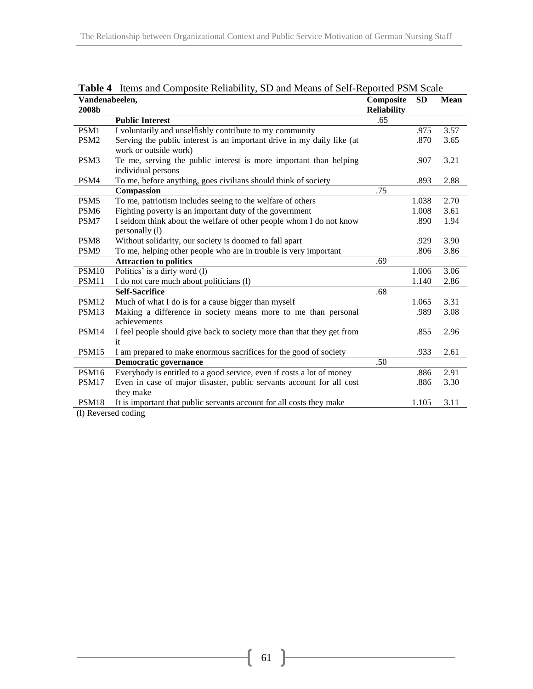| Vandenabeelen,    |                                                                        | Composite          | <b>SD</b> | <b>Mean</b> |
|-------------------|------------------------------------------------------------------------|--------------------|-----------|-------------|
| 2008b             |                                                                        | <b>Reliability</b> |           |             |
|                   | <b>Public Interest</b>                                                 | .65                |           |             |
| PSM1              | I voluntarily and unselfishly contribute to my community               |                    | .975      | 3.57        |
| PSM <sub>2</sub>  | Serving the public interest is an important drive in my daily like (at |                    | .870      | 3.65        |
|                   | work or outside work)                                                  |                    |           |             |
| PSM3              | Te me, serving the public interest is more important than helping      |                    | .907      | 3.21        |
|                   | individual persons                                                     |                    |           |             |
| PSM4              | To me, before anything, goes civilians should think of society         |                    | .893      | 2.88        |
|                   | Compassion                                                             | .75                |           |             |
| PSM5              | To me, patriotism includes seeing to the welfare of others             |                    | 1.038     | 2.70        |
| PSM <sub>6</sub>  | Fighting poverty is an important duty of the government                |                    | 1.008     | 3.61        |
| PSM7              | I seldom think about the welfare of other people whom I do not know    |                    | .890      | 1.94        |
|                   | personally (1)                                                         |                    |           |             |
| PSM <sub>8</sub>  | Without solidarity, our society is doomed to fall apart                |                    | .929      | 3.90        |
| PSM9              | To me, helping other people who are in trouble is very important       |                    | .806      | 3.86        |
|                   | <b>Attraction to politics</b>                                          | .69                |           |             |
| PSM10             | Politics' is a dirty word (1)                                          |                    | 1.006     | 3.06        |
| PSM11             | I do not care much about politicians (l)                               |                    | 1.140     | 2.86        |
|                   | <b>Self-Sacrifice</b>                                                  | .68                |           |             |
| PSM12             | Much of what I do is for a cause bigger than myself                    |                    | 1.065     | 3.31        |
| PSM13             | Making a difference in society means more to me than personal          |                    | .989      | 3.08        |
|                   | achievements                                                           |                    |           |             |
| PSM14             | I feel people should give back to society more than that they get from |                    | .855      | 2.96        |
|                   | it                                                                     |                    |           |             |
| PSM15             | I am prepared to make enormous sacrifices for the good of society      |                    | .933      | 2.61        |
|                   | <b>Democratic governance</b>                                           | .50                |           |             |
| PSM16             | Everybody is entitled to a good service, even if costs a lot of money  |                    | .886      | 2.91        |
| PSM17             | Even in case of major disaster, public servants account for all cost   |                    | .886      | 3.30        |
|                   | they make                                                              |                    |           |             |
| PSM <sub>18</sub> | It is important that public servants account for all costs they make   |                    | 1.105     | 3.11        |

**Table 4** Items and Composite Reliability, SD and Means of Self-Reported PSM Scale

(l) Reversed coding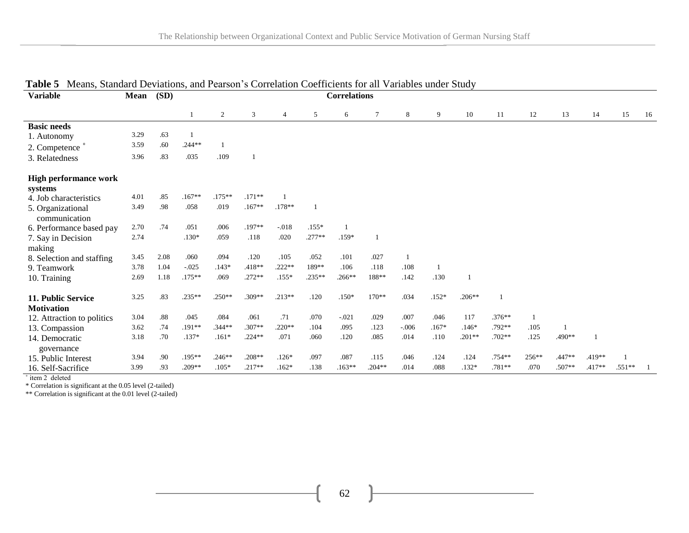| <b>Variable</b>                    | Mean | (SD) |           |                |          |          |                | <b>Correlations</b> |          |         |         |          |          |       |        |        |          |    |
|------------------------------------|------|------|-----------|----------------|----------|----------|----------------|---------------------|----------|---------|---------|----------|----------|-------|--------|--------|----------|----|
|                                    |      |      |           | $\overline{2}$ | 3        | 4        | 5              | 6                   | $\tau$   | 8       | 9       | 10       | 11       | 12    | 13     | 14     | 15       | 16 |
| <b>Basic needs</b>                 |      |      |           |                |          |          |                |                     |          |         |         |          |          |       |        |        |          |    |
| 1. Autonomy                        | 3.29 | .63  |           |                |          |          |                |                     |          |         |         |          |          |       |        |        |          |    |
| 2. Competence °                    | 3.59 | .60  | $.244**$  |                |          |          |                |                     |          |         |         |          |          |       |        |        |          |    |
| 3. Relatedness                     | 3.96 | .83  | .035      | .109           |          |          |                |                     |          |         |         |          |          |       |        |        |          |    |
| <b>High performance work</b>       |      |      |           |                |          |          |                |                     |          |         |         |          |          |       |        |        |          |    |
| systems                            |      |      |           |                |          |          |                |                     |          |         |         |          |          |       |        |        |          |    |
| 4. Job characteristics             | 4.01 | .85  | $.167**$  | $.175***$      | $.171**$ |          |                |                     |          |         |         |          |          |       |        |        |          |    |
| 5. Organizational<br>communication | 3.49 | .98  | .058      | .019           | $.167**$ | $.178**$ | $\overline{1}$ |                     |          |         |         |          |          |       |        |        |          |    |
| 6. Performance based pay           | 2.70 | .74  | .051      | .006           | .197**   | $-.018$  | $.155*$        |                     |          |         |         |          |          |       |        |        |          |    |
| 7. Say in Decision                 | 2.74 |      | $.130*$   | .059           | .118     | .020     | $.277**$       | $.159*$             |          |         |         |          |          |       |        |        |          |    |
| making                             |      |      |           |                |          |          |                |                     |          |         |         |          |          |       |        |        |          |    |
| 8. Selection and staffing          | 3.45 | 2.08 | .060      | .094           | .120     | .105     | .052           | .101                | .027     |         |         |          |          |       |        |        |          |    |
| 9. Teamwork                        | 3.78 | 1.04 | $-.025$   | $.143*$        | $.418**$ | $.222**$ | 189**          | .106                | .118     | .108    | -1      |          |          |       |        |        |          |    |
| 10. Training                       | 2.69 | 1.18 | $.175***$ | .069           | $.272**$ | $.155*$  | .235**         | $.266**$            | 188**    | .142    | .130    |          |          |       |        |        |          |    |
| 11. Public Service                 | 3.25 | .83  | $.235**$  | $.250**$       | .309**   | $.213**$ | .120           | $.150*$             | $170**$  | .034    | $.152*$ | $.206**$ |          |       |        |        |          |    |
| <b>Motivation</b>                  |      |      |           |                |          |          |                |                     |          |         |         |          |          |       |        |        |          |    |
| 12. Attraction to politics         | 3.04 | .88  | .045      | .084           | .061     | .71      | .070           | $-.021$             | .029     | .007    | .046    | 117      | $.376**$ | 1     |        |        |          |    |
| 13. Compassion                     | 3.62 | .74  | $.191**$  | $.344**$       | $.307**$ | $.220**$ | .104           | .095                | .123     | $-.006$ | $.167*$ | $.146*$  | .792**   | .105  |        |        |          |    |
| 14. Democratic                     | 3.18 | .70  | $.137*$   | $.161*$        | $.224**$ | .071     | .060           | .120                | .085     | .014    | .110    | $.201**$ | $.702**$ | .125  | .490** |        |          |    |
| governance                         |      |      |           |                |          |          |                |                     |          |         |         |          |          |       |        |        |          |    |
| 15. Public Interest                | 3.94 | .90  | $.195***$ | $.246**$       | $.208**$ | $.126*$  | .097           | .087                | .115     | .046    | .124    | .124     | .754**   | 256** | .447** | .419** |          |    |
| 16. Self-Sacrifice                 | 3.99 | .93  | $.209**$  | $.105*$        | $.217**$ | $.162*$  | .138           | $.163**$            | $.204**$ | .014    | .088    | $.132*$  | .781**   | .070  | .507** | .417** | $.551**$ |    |

# **Table 5** Means, Standard Deviations, and Pearson's Correlation Coefficients for all Variables under Study

 $\frac{15.5}{15.5}$  item 2 deleted

\* Correlation is significant at the 0.05 level (2-tailed)

\*\* Correlation is significant at the 0.01 level (2-tailed)

62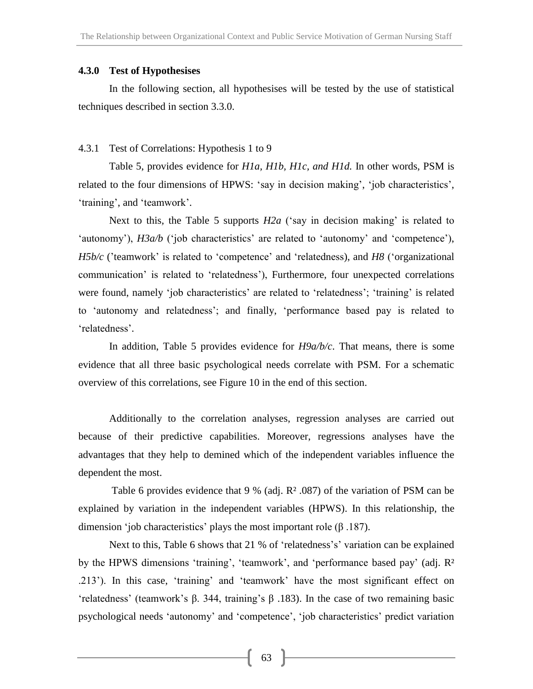## **4.3.0 Test of Hypothesises**

In the following section, all hypothesises will be tested by the use of statistical techniques described in section 3.3.0.

# 4.3.1 Test of Correlations: Hypothesis 1 to 9

Table 5, provides evidence for *H1a, H1b, H1c, and H1d.* In other words, PSM is related to the four dimensions of HPWS: 'say in decision making', 'job characteristics', 'training', and 'teamwork'.

Next to this, the Table 5 supports *H2a* ('say in decision making' is related to 'autonomy'), *H3a/b* ('job characteristics' are related to 'autonomy' and 'competence'), *H5b/c* ('teamwork' is related to 'competence' and 'relatedness), and *H8* ('organizational communication' is related to 'relatedness'), Furthermore, four unexpected correlations were found, namely 'job characteristics' are related to 'relatedness'; 'training' is related to 'autonomy and relatedness'; and finally, 'performance based pay is related to 'relatedness'.

In addition, Table 5 provides evidence for *H9a/b/c*. That means, there is some evidence that all three basic psychological needs correlate with PSM. For a schematic overview of this correlations, see Figure 10 in the end of this section.

Additionally to the correlation analyses, regression analyses are carried out because of their predictive capabilities. Moreover, regressions analyses have the advantages that they help to demined which of the independent variables influence the dependent the most.

Table 6 provides evidence that 9 % (adj. R² .087) of the variation of PSM can be explained by variation in the independent variables (HPWS). In this relationship, the dimension 'job characteristics' plays the most important role (β .187).

Next to this, Table 6 shows that 21 % of 'relatedness's' variation can be explained by the HPWS dimensions 'training', 'teamwork', and 'performance based pay' (adj. R² .213'). In this case, 'training' and 'teamwork' have the most significant effect on 'relatedness' (teamwork's β. 344, training's β .183). In the case of two remaining basic psychological needs 'autonomy' and 'competence', 'job characteristics' predict variation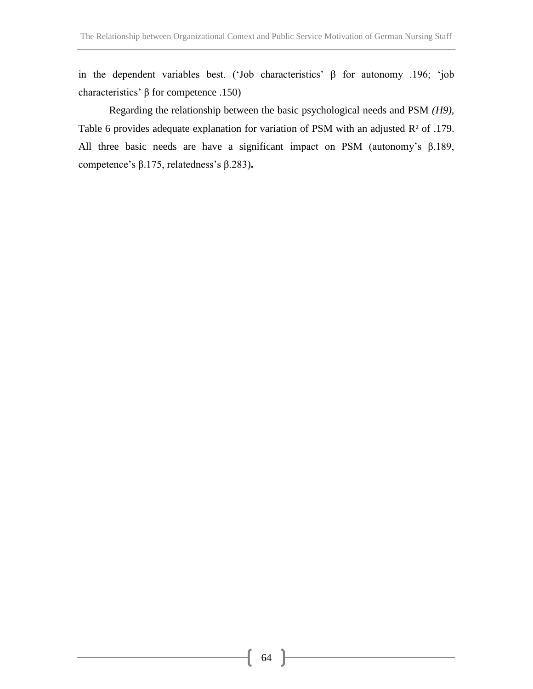in the dependent variables best. ('Job characteristics' β for autonomy .196; 'job characteristics' β for competence .150)

Regarding the relationship between the basic psychological needs and PSM *(H9),*  Table 6 provides adequate explanation for variation of PSM with an adjusted R² of .179. All three basic needs are have a significant impact on PSM (autonomy's β.189, competence's β.175, relatedness's β.283)**.**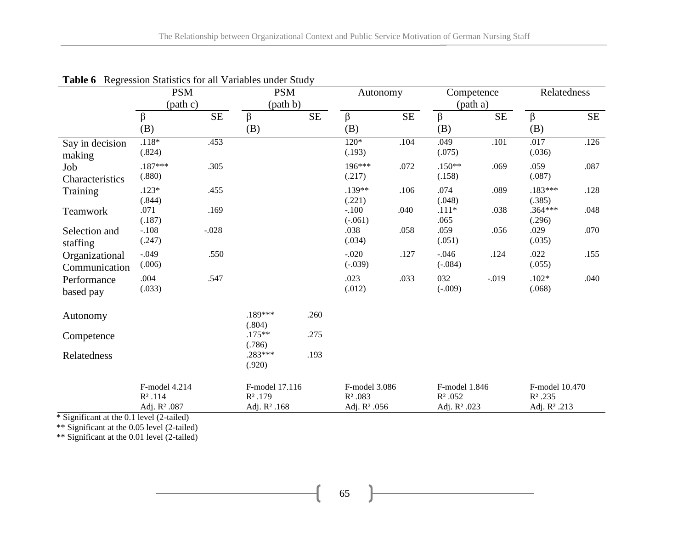|                                 | <b>PSM</b><br>(path c)                        |          | <b>PSM</b><br>(path b)                                  |          | Autonomy                                               |      | Competence<br>(path a)                        |          | Relatedness                                              |           |
|---------------------------------|-----------------------------------------------|----------|---------------------------------------------------------|----------|--------------------------------------------------------|------|-----------------------------------------------|----------|----------------------------------------------------------|-----------|
|                                 | β<br>(B)                                      | $\rm SE$ | $\beta$<br>(B)                                          | $\rm SE$ | $\beta$<br>(B)                                         | SE   | β<br>(B)                                      | $\rm SE$ | β<br>(B)                                                 | <b>SE</b> |
| Say in decision<br>making       | $.118*$<br>(.824)                             | .453     |                                                         |          | $120*$<br>(.193)                                       | .104 | .049<br>(.075)                                | .101     | .017<br>(.036)                                           | .126      |
| Job<br>Characteristics          | $.187***$<br>(.880)                           | .305     |                                                         |          | 196***<br>(.217)                                       | .072 | $.150**$<br>(.158)                            | .069     | .059<br>(.087)                                           | .087      |
| Training                        | $.123*$<br>(.844)                             | .455     |                                                         |          | .139**<br>(.221)                                       | .106 | .074<br>(.048)                                | .089     | $.183***$<br>(.385)                                      | .128      |
| Teamwork                        | .071<br>(.187)                                | .169     |                                                         |          | $-.100$<br>$(-.061)$                                   | .040 | $.111*$<br>.065                               | .038     | $.364***$<br>(.296)                                      | .048      |
| Selection and<br>staffing       | $-.108$<br>(.247)                             | $-.028$  |                                                         |          | .038<br>(.034)                                         | .058 | .059<br>(.051)                                | .056     | .029<br>(.035)                                           | .070      |
| Organizational<br>Communication | $-.049$<br>(.006)                             | .550     |                                                         |          | $-.020$<br>$(-.039)$                                   | .127 | $-.046$<br>$(-.084)$                          | .124     | .022<br>(.055)                                           | .155      |
| Performance<br>based pay        | .004<br>(.033)                                | .547     |                                                         |          | .023<br>(.012)                                         | .033 | 032<br>$(-.009)$                              | $-.019$  | $.102*$<br>(.068)                                        | .040      |
| Autonomy                        |                                               |          | $.189***$<br>(.804)                                     | .260     |                                                        |      |                                               |          |                                                          |           |
| Competence                      |                                               |          | $.175**$<br>(.786)                                      | .275     |                                                        |      |                                               |          |                                                          |           |
| Relatedness                     |                                               |          | $.283***$<br>(.920)                                     | .193     |                                                        |      |                                               |          |                                                          |           |
|                                 | F-model 4.214<br>$R^2.114$<br>Adj. $R^2$ .087 |          | F-model 17.116<br>$R^2.179$<br>Adj. R <sup>2</sup> .168 |          | F-model 3.086<br>$R^2.083$<br>Adj. R <sup>2</sup> .056 |      | F-model 1.846<br>$R^2.052$<br>Adj. $R^2$ .023 |          | F-model 10.470<br>$R^2$ .235<br>Adj. R <sup>2</sup> .213 |           |

**Table 6** Regression Statistics for all Variables under Study

\* Significant at the 0.1 level (2-tailed)

\*\* Significant at the 0.05 level (2-tailed)

\*\* Significant at the 0.01 level (2-tailed)

65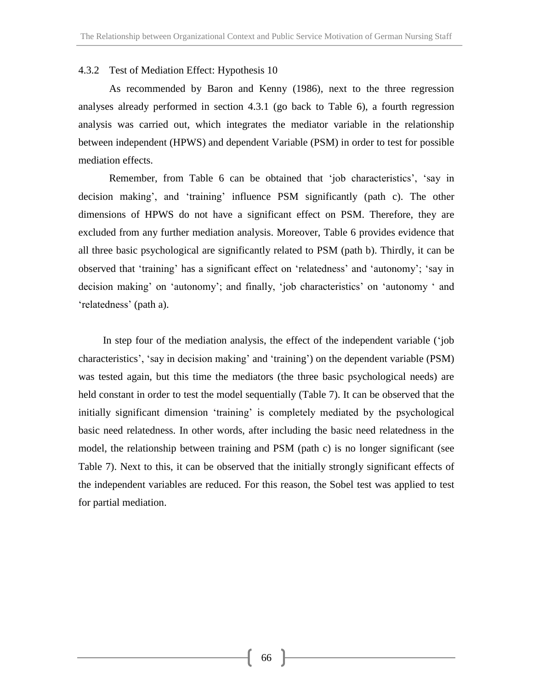# 4.3.2 Test of Mediation Effect: Hypothesis 10

As recommended by Baron and Kenny (1986), next to the three regression analyses already performed in section 4.3.1 (go back to Table 6), a fourth regression analysis was carried out, which integrates the mediator variable in the relationship between independent (HPWS) and dependent Variable (PSM) in order to test for possible mediation effects.

Remember, from Table 6 can be obtained that 'job characteristics', 'say in decision making', and 'training' influence PSM significantly (path c). The other dimensions of HPWS do not have a significant effect on PSM. Therefore, they are excluded from any further mediation analysis. Moreover, Table 6 provides evidence that all three basic psychological are significantly related to PSM (path b). Thirdly, it can be observed that 'training' has a significant effect on 'relatedness' and 'autonomy'; 'say in decision making' on 'autonomy'; and finally, 'job characteristics' on 'autonomy ' and 'relatedness' (path a).

In step four of the mediation analysis, the effect of the independent variable ('job characteristics', 'say in decision making' and 'training') on the dependent variable (PSM) was tested again, but this time the mediators (the three basic psychological needs) are held constant in order to test the model sequentially (Table 7). It can be observed that the initially significant dimension 'training' is completely mediated by the psychological basic need relatedness. In other words, after including the basic need relatedness in the model, the relationship between training and PSM (path c) is no longer significant (see Table 7). Next to this, it can be observed that the initially strongly significant effects of the independent variables are reduced. For this reason, the Sobel test was applied to test for partial mediation.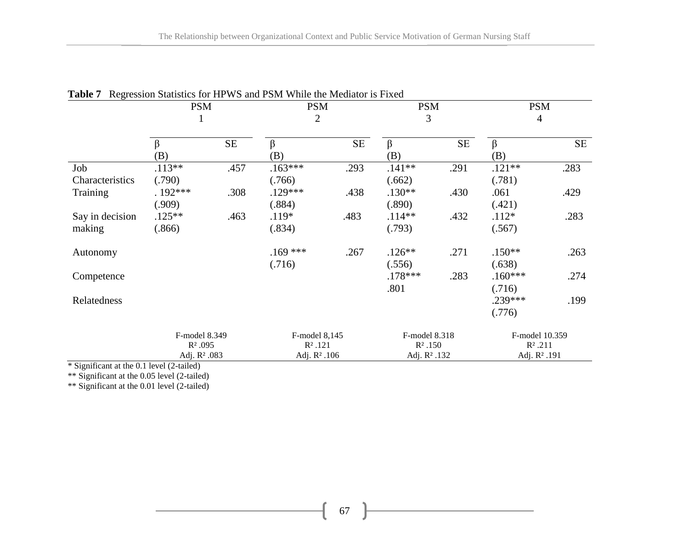|                           | <b>PSM</b>                                             |           | <b>PSM</b><br>$\overline{2}$                           |          | <b>PSM</b><br>3                                         |           | <b>PSM</b><br>$\overline{4}$                             |           |  |
|---------------------------|--------------------------------------------------------|-----------|--------------------------------------------------------|----------|---------------------------------------------------------|-----------|----------------------------------------------------------|-----------|--|
|                           | $\beta$<br>(B)                                         | <b>SE</b> | β<br>(B)                                               | $\rm SE$ | β<br>(B)                                                | <b>SE</b> | $\beta$<br>(B)                                           | <b>SE</b> |  |
| Job<br>Characteristics    | $.113**$<br>(.790)                                     | .457      | $.163***$<br>(.766)                                    | .293     | $.141**$<br>(.662)                                      | .291      | $.121**$<br>(.781)                                       | .283      |  |
| Training                  | $.192***$<br>(.909)                                    | .308      | $.129***$<br>(.884)                                    | .438     | $.130**$<br>(.890)                                      | .430      | .061<br>(.421)                                           | .429      |  |
| Say in decision<br>making | $.125***$<br>(.866)                                    | .463      | $.119*$<br>(.834)                                      | .483     | $.114**$<br>(.793)                                      | .432      | $.112*$<br>(.567)                                        | .283      |  |
| Autonomy                  |                                                        |           | $.169$ ***<br>(.716)                                   | .267     | $.126**$<br>(.556)                                      | .271      | $.150**$<br>(.638)                                       | .263      |  |
| Competence                |                                                        |           |                                                        |          | $.178***$<br>.801                                       | .283      | $.160***$<br>(.716)                                      | .274      |  |
| Relatedness               |                                                        |           |                                                        |          |                                                         |           | .239***<br>(.776)                                        | .199      |  |
|                           | F-model 8.349<br>$R^2.095$<br>Adj. R <sup>2</sup> .083 |           | F-model 8,145<br>$R^2.121$<br>Adj. R <sup>2</sup> .106 |          | F-model 8.318<br>$R^2$ .150<br>Adj. R <sup>2</sup> .132 |           | F-model 10.359<br>$R^2$ .211<br>Adj. R <sup>2</sup> .191 |           |  |

|  |  |  |  | <b>Table 7</b> Regression Statistics for HPWS and PSM While the Mediator is Fixed |
|--|--|--|--|-----------------------------------------------------------------------------------|
|--|--|--|--|-----------------------------------------------------------------------------------|

\* Significant at the 0.1 level (2-tailed)

\*\* Significant at the 0.05 level (2-tailed)

\*\* Significant at the 0.01 level (2-tailed)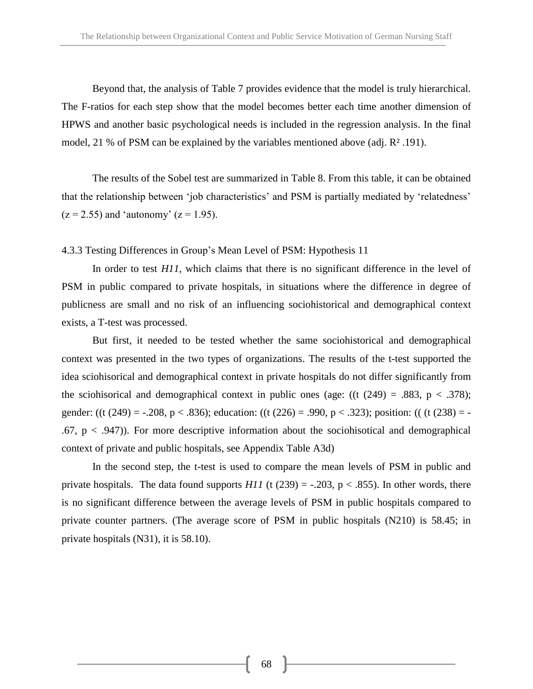Beyond that, the analysis of Table 7 provides evidence that the model is truly hierarchical. The F-ratios for each step show that the model becomes better each time another dimension of HPWS and another basic psychological needs is included in the regression analysis. In the final model, 21 % of PSM can be explained by the variables mentioned above (adj. R² .191).

The results of the Sobel test are summarized in Table 8. From this table, it can be obtained that the relationship between 'job characteristics' and PSM is partially mediated by 'relatedness'  $(z = 2.55)$  and 'autonomy'  $(z = 1.95)$ .

## 4.3.3 Testing Differences in Group's Mean Level of PSM: Hypothesis 11

In order to test *H11*, which claims that there is no significant difference in the level of PSM in public compared to private hospitals, in situations where the difference in degree of publicness are small and no risk of an influencing sociohistorical and demographical context exists, a T-test was processed.

But first, it needed to be tested whether the same sociohistorical and demographical context was presented in the two types of organizations. The results of the t-test supported the idea sciohisorical and demographical context in private hospitals do not differ significantly from the sciohisorical and demographical context in public ones (age:  $((t (249) = .883, p < .378))$ ; gender: ((t (249) = -.208, p < .836); education: ((t (226) = .990, p < .323); position: (( (t (238) = -.67,  $p < .947$ )). For more descriptive information about the sociohisotical and demographical context of private and public hospitals, see Appendix Table A3d)

In the second step, the t-test is used to compare the mean levels of PSM in public and private hospitals. The data found supports  $H11$  (t (239) = -.203, p < .855). In other words, there is no significant difference between the average levels of PSM in public hospitals compared to private counter partners. (The average score of PSM in public hospitals (N210) is 58.45; in private hospitals (N31), it is 58.10).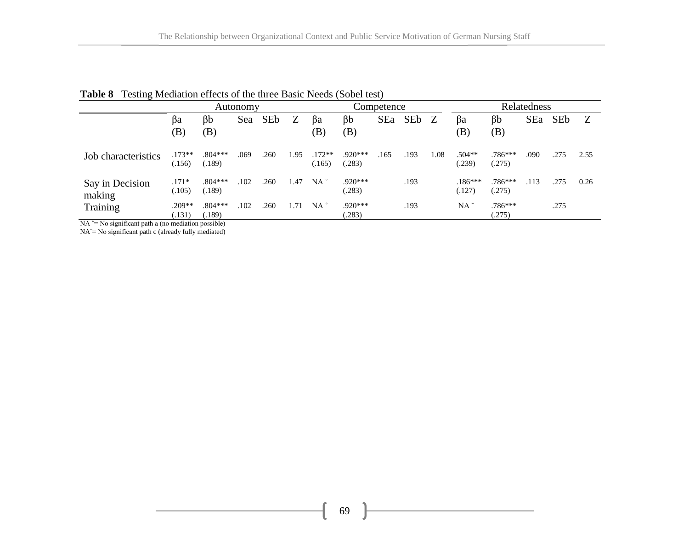|                                                                                                                                                 | Autonomy           |                     |      |                 | Competence |                    |                     |      | Relatedness |              |                                  |                     |      |                 |      |
|-------------------------------------------------------------------------------------------------------------------------------------------------|--------------------|---------------------|------|-----------------|------------|--------------------|---------------------|------|-------------|--------------|----------------------------------|---------------------|------|-----------------|------|
|                                                                                                                                                 | Bа<br>(B)          | βb<br>(B)           | Sea  | SE <sub>b</sub> | Z          | βa<br>(B)          | $\beta b$<br>(B)    | SEa  | SEb         | <sup>Z</sup> | Ba<br>$\left( \mathrm{B}\right)$ | βb<br>(B)           | SEa  | SE <sub>b</sub> | Z    |
| Job characteristics                                                                                                                             | $.173**$<br>(.156) | $.804***$<br>(.189) | .069 | .260            | 1.95       | $.172**$<br>(.165) | $.920***$<br>(.283) | .165 | .193        | .08          | $.504**$<br>(.239)               | $.786***$<br>(.275) | .090 | .275            | 2.55 |
| Say in Decision<br>making                                                                                                                       | $.171*$<br>(.105)  | $.804***$<br>(.189) | .102 | .260            | 1.47       | $NA^{\circ}$       | $.920***$<br>(.283) |      | .193        |              | $.186***$<br>(.127)              | $.786***$<br>(.275) | .113 | .275            | 0.26 |
| Training<br>$\mathbf{M}$ and $\mathbf{M}$ and $\mathbf{M}$ and $\mathbf{M}$ and $\mathbf{M}$ and $\mathbf{M}$ and $\mathbf{M}$ and $\mathbf{M}$ | $.209**$<br>(.131) | $.804***$<br>(.189) | .102 | .260            | 1.71       | $NA^{\circ}$       | $.920***$<br>(.283) |      | .193        |              | $NA^{\sim}$                      | $.786***$<br>(.275) |      | .275            |      |

|  |  | <b>Table 8</b> Testing Mediation effects of the three Basic Needs (Sobel test) |  |  |  |
|--|--|--------------------------------------------------------------------------------|--|--|--|
|--|--|--------------------------------------------------------------------------------|--|--|--|

 $NA \cong No$  significant path a (no mediation possible)

NA<sup> $=$ </sup> No significant path c (already fully mediated)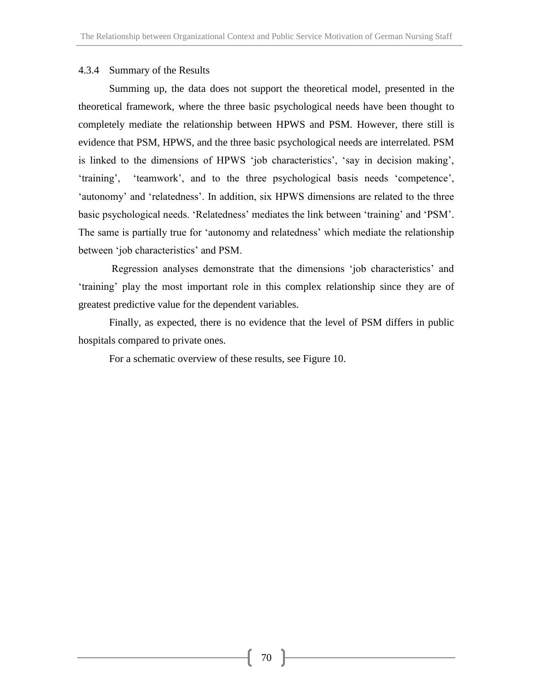# 4.3.4 Summary of the Results

Summing up, the data does not support the theoretical model, presented in the theoretical framework, where the three basic psychological needs have been thought to completely mediate the relationship between HPWS and PSM. However, there still is evidence that PSM, HPWS, and the three basic psychological needs are interrelated. PSM is linked to the dimensions of HPWS 'job characteristics', 'say in decision making', 'training', 'teamwork', and to the three psychological basis needs 'competence', 'autonomy' and 'relatedness'. In addition, six HPWS dimensions are related to the three basic psychological needs. 'Relatedness' mediates the link between 'training' and 'PSM'. The same is partially true for 'autonomy and relatedness' which mediate the relationship between 'job characteristics' and PSM.

Regression analyses demonstrate that the dimensions 'job characteristics' and 'training' play the most important role in this complex relationship since they are of greatest predictive value for the dependent variables.

Finally, as expected, there is no evidence that the level of PSM differs in public hospitals compared to private ones.

For a schematic overview of these results, see Figure 10.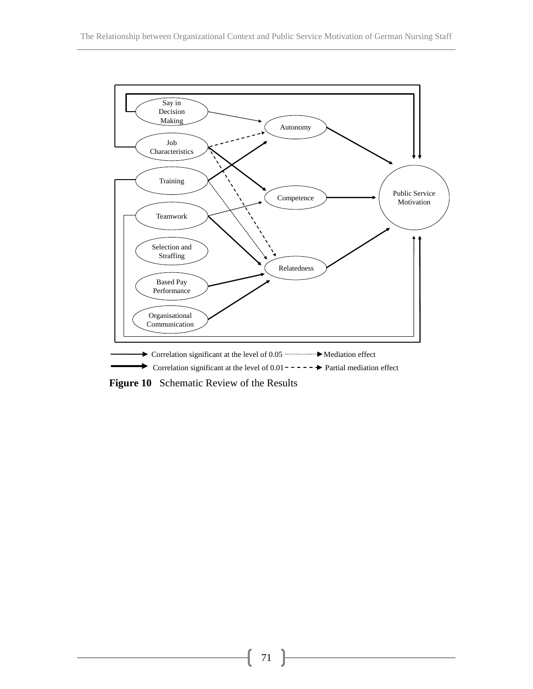

**Figure 10** Schematic Review of the Results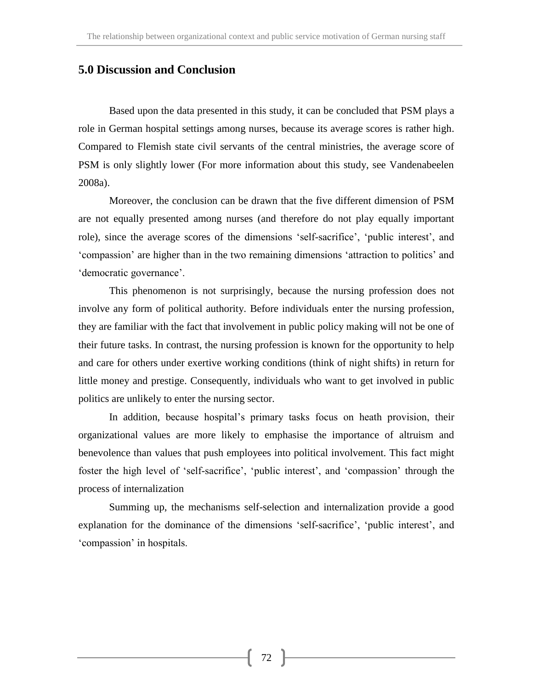# **5.0 Discussion and Conclusion**

Based upon the data presented in this study, it can be concluded that PSM plays a role in German hospital settings among nurses, because its average scores is rather high. Compared to Flemish state civil servants of the central ministries, the average score of PSM is only slightly lower (For more information about this study, see Vandenabeelen 2008a).

Moreover, the conclusion can be drawn that the five different dimension of PSM are not equally presented among nurses (and therefore do not play equally important role), since the average scores of the dimensions 'self-sacrifice', 'public interest', and 'compassion' are higher than in the two remaining dimensions 'attraction to politics' and 'democratic governance'.

This phenomenon is not surprisingly, because the nursing profession does not involve any form of political authority. Before individuals enter the nursing profession, they are familiar with the fact that involvement in public policy making will not be one of their future tasks. In contrast, the nursing profession is known for the opportunity to help and care for others under exertive working conditions (think of night shifts) in return for little money and prestige. Consequently, individuals who want to get involved in public politics are unlikely to enter the nursing sector.

In addition, because hospital's primary tasks focus on heath provision, their organizational values are more likely to emphasise the importance of altruism and benevolence than values that push employees into political involvement. This fact might foster the high level of 'self-sacrifice', 'public interest', and 'compassion' through the process of internalization

Summing up, the mechanisms self-selection and internalization provide a good explanation for the dominance of the dimensions 'self-sacrifice', 'public interest', and 'compassion' in hospitals.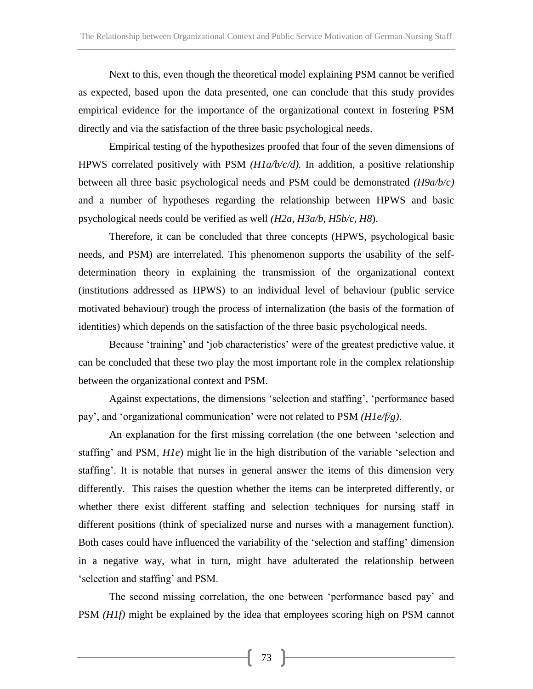Next to this, even though the theoretical model explaining PSM cannot be verified as expected, based upon the data presented, one can conclude that this study provides empirical evidence for the importance of the organizational context in fostering PSM directly and via the satisfaction of the three basic psychological needs.

Empirical testing of the hypothesizes proofed that four of the seven dimensions of HPWS correlated positively with PSM *(H1a/b/c/d).* In addition, a positive relationship between all three basic psychological needs and PSM could be demonstrated *(H9a/b/c)*  and a number of hypotheses regarding the relationship between HPWS and basic psychological needs could be verified as well *(H2a, H3a/b, H5b/c, H8*).

Therefore, it can be concluded that three concepts (HPWS, psychological basic needs, and PSM) are interrelated. This phenomenon supports the usability of the selfdetermination theory in explaining the transmission of the organizational context (institutions addressed as HPWS) to an individual level of behaviour (public service motivated behaviour) trough the process of internalization (the basis of the formation of identities) which depends on the satisfaction of the three basic psychological needs.

Because 'training' and 'job characteristics' were of the greatest predictive value, it can be concluded that these two play the most important role in the complex relationship between the organizational context and PSM.

Against expectations, the dimensions 'selection and staffing', 'performance based pay', and 'organizational communication' were not related to PSM *(H1e/f/g)*.

An explanation for the first missing correlation (the one between 'selection and staffing' and PSM, *H1e*) might lie in the high distribution of the variable 'selection and staffing'. It is notable that nurses in general answer the items of this dimension very differently. This raises the question whether the items can be interpreted differently, or whether there exist different staffing and selection techniques for nursing staff in different positions (think of specialized nurse and nurses with a management function). Both cases could have influenced the variability of the 'selection and staffing' dimension in a negative way, what in turn, might have adulterated the relationship between 'selection and staffing' and PSM.

The second missing correlation, the one between 'performance based pay' and PSM *(H1f)* might be explained by the idea that employees scoring high on PSM cannot

73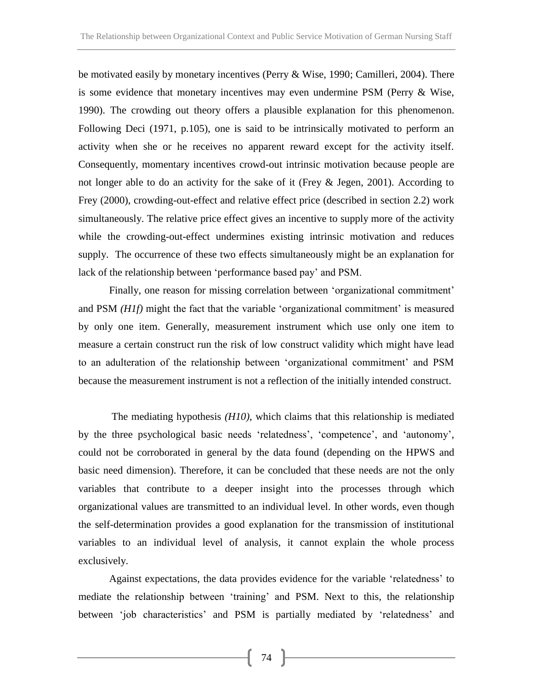be motivated easily by monetary incentives (Perry & Wise, 1990; Camilleri, 2004). There is some evidence that monetary incentives may even undermine PSM (Perry & Wise, 1990). The crowding out theory offers a plausible explanation for this phenomenon. Following Deci (1971, p.105), one is said to be intrinsically motivated to perform an activity when she or he receives no apparent reward except for the activity itself. Consequently, momentary incentives crowd-out intrinsic motivation because people are not longer able to do an activity for the sake of it (Frey & Jegen, 2001). According to Frey (2000), crowding-out-effect and relative effect price (described in section 2.2) work simultaneously. The relative price effect gives an incentive to supply more of the activity while the crowding-out-effect undermines existing intrinsic motivation and reduces supply. The occurrence of these two effects simultaneously might be an explanation for lack of the relationship between 'performance based pay' and PSM.

Finally, one reason for missing correlation between 'organizational commitment' and PSM *(H1f)* might the fact that the variable 'organizational commitment' is measured by only one item. Generally, measurement instrument which use only one item to measure a certain construct run the risk of low construct validity which might have lead to an adulteration of the relationship between 'organizational commitment' and PSM because the measurement instrument is not a reflection of the initially intended construct.

The mediating hypothesis *(H10)*, which claims that this relationship is mediated by the three psychological basic needs 'relatedness', 'competence', and 'autonomy', could not be corroborated in general by the data found (depending on the HPWS and basic need dimension). Therefore, it can be concluded that these needs are not the only variables that contribute to a deeper insight into the processes through which organizational values are transmitted to an individual level. In other words, even though the self-determination provides a good explanation for the transmission of institutional variables to an individual level of analysis, it cannot explain the whole process exclusively.

Against expectations, the data provides evidence for the variable 'relatedness' to mediate the relationship between 'training' and PSM. Next to this, the relationship between 'job characteristics' and PSM is partially mediated by 'relatedness' and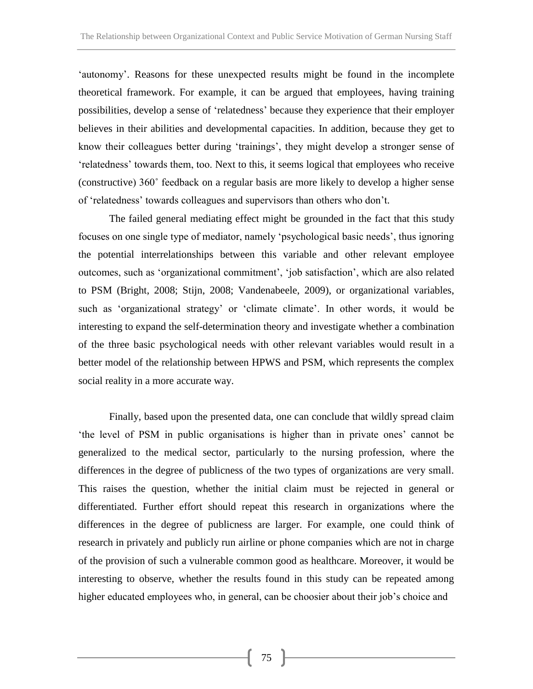'autonomy'. Reasons for these unexpected results might be found in the incomplete theoretical framework. For example, it can be argued that employees, having training possibilities, develop a sense of 'relatedness' because they experience that their employer believes in their abilities and developmental capacities. In addition, because they get to know their colleagues better during 'trainings', they might develop a stronger sense of 'relatedness' towards them, too. Next to this, it seems logical that employees who receive (constructive) 360˚ feedback on a regular basis are more likely to develop a higher sense of 'relatedness' towards colleagues and supervisors than others who don't.

The failed general mediating effect might be grounded in the fact that this study focuses on one single type of mediator, namely 'psychological basic needs', thus ignoring the potential interrelationships between this variable and other relevant employee outcomes, such as 'organizational commitment', 'job satisfaction', which are also related to PSM (Bright, 2008; Stijn, 2008; Vandenabeele, 2009), or organizational variables, such as 'organizational strategy' or 'climate climate'. In other words, it would be interesting to expand the self-determination theory and investigate whether a combination of the three basic psychological needs with other relevant variables would result in a better model of the relationship between HPWS and PSM, which represents the complex social reality in a more accurate way.

Finally, based upon the presented data, one can conclude that wildly spread claim 'the level of PSM in public organisations is higher than in private ones' cannot be generalized to the medical sector, particularly to the nursing profession, where the differences in the degree of publicness of the two types of organizations are very small. This raises the question, whether the initial claim must be rejected in general or differentiated. Further effort should repeat this research in organizations where the differences in the degree of publicness are larger. For example, one could think of research in privately and publicly run airline or phone companies which are not in charge of the provision of such a vulnerable common good as healthcare. Moreover, it would be interesting to observe, whether the results found in this study can be repeated among higher educated employees who, in general, can be choosier about their job's choice and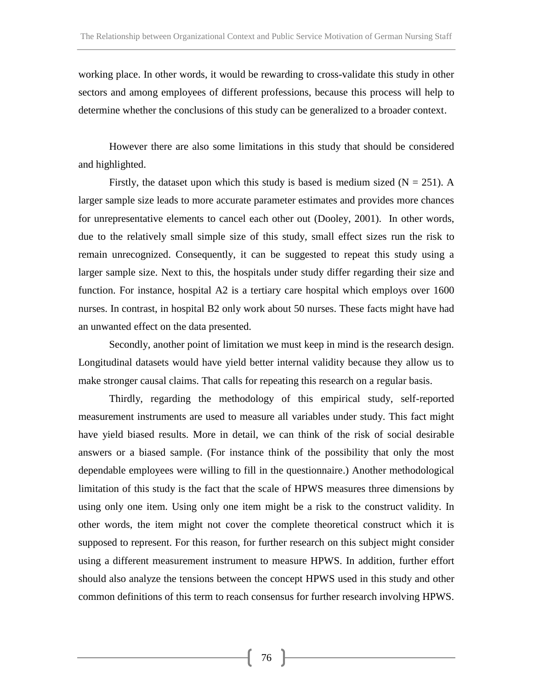working place. In other words, it would be rewarding to cross-validate this study in other sectors and among employees of different professions, because this process will help to determine whether the conclusions of this study can be generalized to a broader context.

However there are also some limitations in this study that should be considered and highlighted.

Firstly, the dataset upon which this study is based is medium sized  $(N = 251)$ . A larger sample size leads to more accurate parameter estimates and provides more chances for unrepresentative elements to cancel each other out (Dooley, 2001). In other words, due to the relatively small simple size of this study, small effect sizes run the risk to remain unrecognized. Consequently, it can be suggested to repeat this study using a larger sample size. Next to this, the hospitals under study differ regarding their size and function. For instance, hospital A2 is a tertiary care hospital which employs over 1600 nurses. In contrast, in hospital B2 only work about 50 nurses. These facts might have had an unwanted effect on the data presented.

Secondly, another point of limitation we must keep in mind is the research design. Longitudinal datasets would have yield better internal validity because they allow us to make stronger causal claims. That calls for repeating this research on a regular basis.

Thirdly, regarding the methodology of this empirical study, self-reported measurement instruments are used to measure all variables under study. This fact might have yield biased results. More in detail, we can think of the risk of social desirable answers or a biased sample. (For instance think of the possibility that only the most dependable employees were willing to fill in the questionnaire.) Another methodological limitation of this study is the fact that the scale of HPWS measures three dimensions by using only one item. Using only one item might be a risk to the construct validity. In other words, the item might not cover the complete theoretical construct which it is supposed to represent. For this reason, for further research on this subject might consider using a different measurement instrument to measure HPWS. In addition, further effort should also analyze the tensions between the concept HPWS used in this study and other common definitions of this term to reach consensus for further research involving HPWS.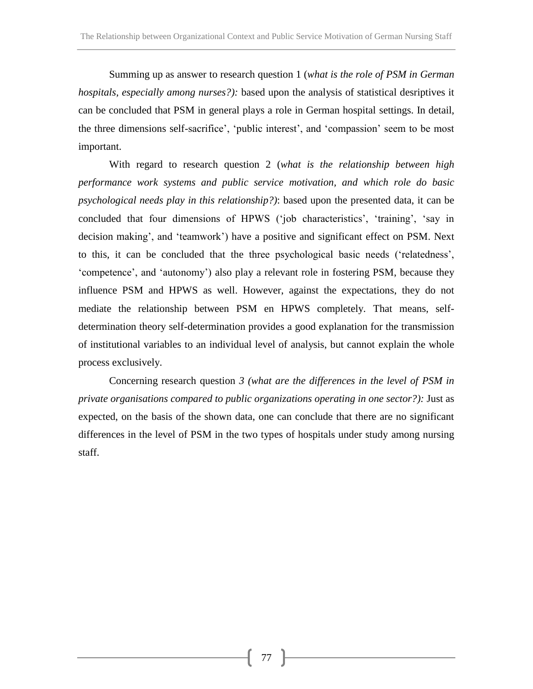Summing up as answer to research question 1 (*what is the role of PSM in German hospitals, especially among nurses?):* based upon the analysis of statistical desriptives it can be concluded that PSM in general plays a role in German hospital settings. In detail, the three dimensions self-sacrifice', 'public interest', and 'compassion' seem to be most important.

With regard to research question 2 (*what is the relationship between high performance work systems and public service motivation, and which role do basic psychological needs play in this relationship?)*: based upon the presented data, it can be concluded that four dimensions of HPWS ('job characteristics', 'training', 'say in decision making', and 'teamwork') have a positive and significant effect on PSM. Next to this, it can be concluded that the three psychological basic needs ('relatedness', 'competence', and 'autonomy') also play a relevant role in fostering PSM, because they influence PSM and HPWS as well. However, against the expectations, they do not mediate the relationship between PSM en HPWS completely. That means, selfdetermination theory self-determination provides a good explanation for the transmission of institutional variables to an individual level of analysis, but cannot explain the whole process exclusively.

Concerning research question *3 (what are the differences in the level of PSM in private organisations compared to public organizations operating in one sector?):* Just as expected, on the basis of the shown data, one can conclude that there are no significant differences in the level of PSM in the two types of hospitals under study among nursing staff.

77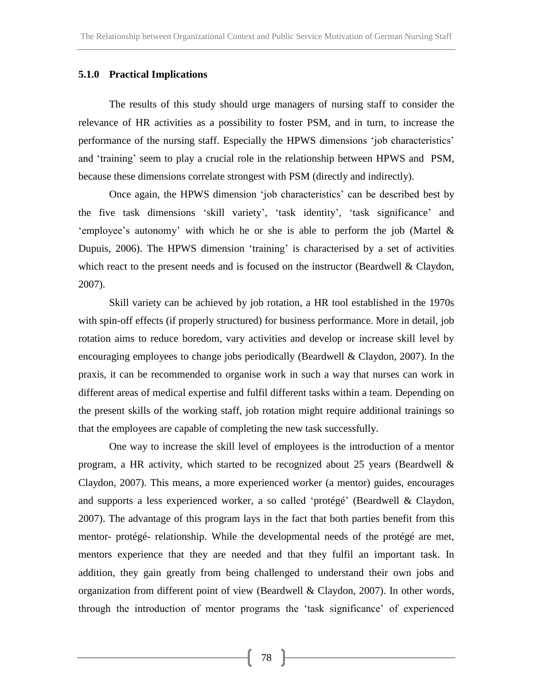#### **5.1.0 Practical Implications**

The results of this study should urge managers of nursing staff to consider the relevance of HR activities as a possibility to foster PSM, and in turn, to increase the performance of the nursing staff. Especially the HPWS dimensions 'job characteristics' and 'training' seem to play a crucial role in the relationship between HPWS and PSM, because these dimensions correlate strongest with PSM (directly and indirectly).

Once again, the HPWS dimension 'job characteristics' can be described best by the five task dimensions 'skill variety', 'task identity', 'task significance' and 'employee's autonomy' with which he or she is able to perform the job (Martel & Dupuis, 2006). The HPWS dimension 'training' is characterised by a set of activities which react to the present needs and is focused on the instructor (Beardwell & Claydon, 2007).

Skill variety can be achieved by job rotation, a HR tool established in the 1970s with spin-off effects (if properly structured) for business performance. More in detail, job rotation aims to reduce boredom, vary activities and develop or increase skill level by encouraging employees to change jobs periodically (Beardwell & Claydon, 2007). In the praxis, it can be recommended to organise work in such a way that nurses can work in different areas of medical expertise and fulfil different tasks within a team. Depending on the present skills of the working staff, job rotation might require additional trainings so that the employees are capable of completing the new task successfully.

One way to increase the skill level of employees is the introduction of a mentor program, a HR activity, which started to be recognized about 25 years (Beardwell & Claydon, 2007). This means, a more experienced worker (a mentor) guides, encourages and supports a less experienced worker, a so called 'protégé' (Beardwell & Claydon, 2007). The advantage of this program lays in the fact that both parties benefit from this mentor- protégé- relationship. While the developmental needs of the protégé are met, mentors experience that they are needed and that they fulfil an important task. In addition, they gain greatly from being challenged to understand their own jobs and organization from different point of view (Beardwell & Claydon, 2007). In other words, through the introduction of mentor programs the 'task significance' of experienced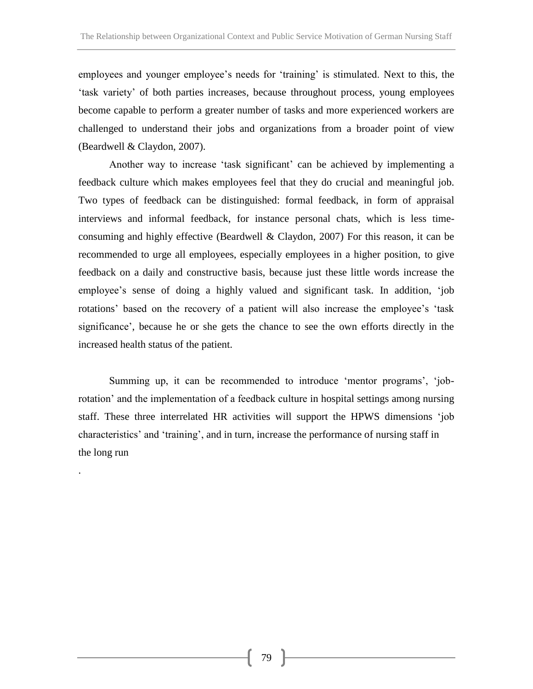employees and younger employee's needs for 'training' is stimulated. Next to this, the 'task variety' of both parties increases, because throughout process, young employees become capable to perform a greater number of tasks and more experienced workers are challenged to understand their jobs and organizations from a broader point of view (Beardwell & Claydon, 2007).

Another way to increase 'task significant' can be achieved by implementing a feedback culture which makes employees feel that they do crucial and meaningful job. Two types of feedback can be distinguished: formal feedback, in form of appraisal interviews and informal feedback, for instance personal chats, which is less timeconsuming and highly effective (Beardwell & Claydon, 2007) For this reason, it can be recommended to urge all employees, especially employees in a higher position, to give feedback on a daily and constructive basis, because just these little words increase the employee's sense of doing a highly valued and significant task. In addition, 'job rotations' based on the recovery of a patient will also increase the employee's 'task significance', because he or she gets the chance to see the own efforts directly in the increased health status of the patient.

Summing up, it can be recommended to introduce 'mentor programs', 'jobrotation' and the implementation of a feedback culture in hospital settings among nursing staff. These three interrelated HR activities will support the HPWS dimensions 'job characteristics' and 'training', and in turn, increase the performance of nursing staff in the long run

.

79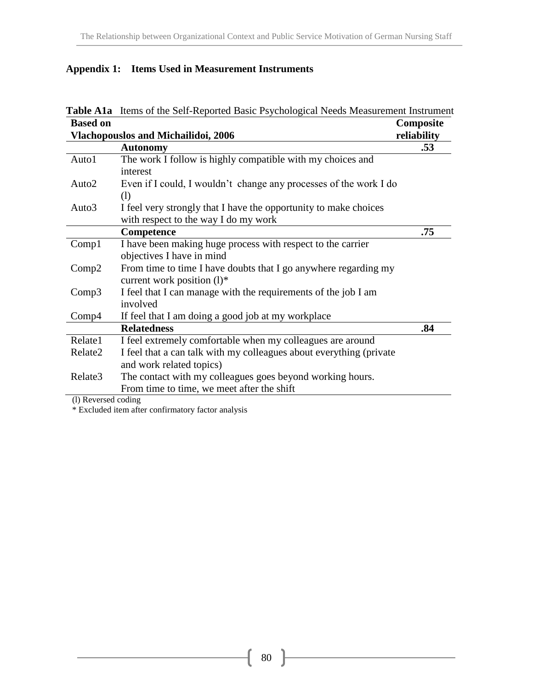|  |  | <b>Appendix 1: Items Used in Measurement Instruments</b> |  |
|--|--|----------------------------------------------------------|--|
|--|--|----------------------------------------------------------|--|

|                     | Table A1a Items of the Self-Reported Basic Psychological Needs Measurement Instrument |             |
|---------------------|---------------------------------------------------------------------------------------|-------------|
| <b>Based on</b>     |                                                                                       | Composite   |
|                     | <b>Vlachopouslos and Michailidoi, 2006</b>                                            | reliability |
|                     | <b>Autonomy</b>                                                                       | .53         |
| Auto1               | The work I follow is highly compatible with my choices and                            |             |
|                     | interest                                                                              |             |
| Auto <sub>2</sub>   | Even if I could, I wouldn't change any processes of the work I do<br>(1)              |             |
| Auto3               | I feel very strongly that I have the opportunity to make choices                      |             |
|                     | with respect to the way I do my work                                                  |             |
|                     | Competence                                                                            | .75         |
| Comp1               | I have been making huge process with respect to the carrier                           |             |
|                     | objectives I have in mind                                                             |             |
| Comp2               | From time to time I have doubts that I go anywhere regarding my                       |             |
|                     | current work position $(l)^*$                                                         |             |
| Comp3               | I feel that I can manage with the requirements of the job I am                        |             |
|                     | involved                                                                              |             |
| Comp4               | If feel that I am doing a good job at my workplace                                    |             |
|                     | <b>Relatedness</b>                                                                    | .84         |
| Relate1             | I feel extremely comfortable when my colleagues are around                            |             |
| Relate2             | I feel that a can talk with my colleagues about everything (private                   |             |
|                     | and work related topics)                                                              |             |
| Relate3             | The contact with my colleagues goes beyond working hours.                             |             |
|                     | From time to time, we meet after the shift                                            |             |
| (l) Reversed coding |                                                                                       |             |

\* Excluded item after confirmatory factor analysis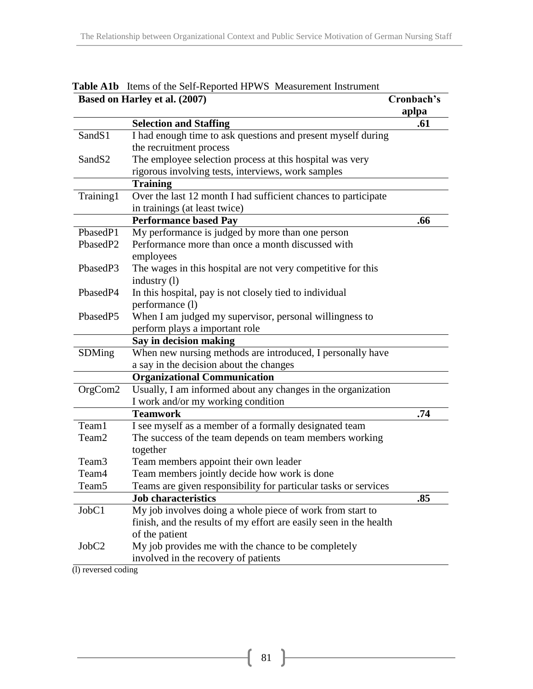|                    | Based on Harley et al. (2007)                                      | Cronbach's<br>aplpa |
|--------------------|--------------------------------------------------------------------|---------------------|
|                    | <b>Selection and Staffing</b>                                      | .61                 |
| SandS1             | I had enough time to ask questions and present myself during       |                     |
|                    | the recruitment process                                            |                     |
| Sand <sub>S2</sub> | The employee selection process at this hospital was very           |                     |
|                    | rigorous involving tests, interviews, work samples                 |                     |
|                    | <b>Training</b>                                                    |                     |
| Training1          | Over the last 12 month I had sufficient chances to participate     |                     |
|                    | in trainings (at least twice)                                      |                     |
|                    | <b>Performance based Pay</b>                                       | .66                 |
| PbasedP1           | My performance is judged by more than one person                   |                     |
| PbasedP2           | Performance more than once a month discussed with                  |                     |
|                    | employees                                                          |                     |
| PbasedP3           | The wages in this hospital are not very competitive for this       |                     |
|                    | industry $(l)$                                                     |                     |
| PbasedP4           | In this hospital, pay is not closely tied to individual            |                     |
|                    | performance (l)                                                    |                     |
| PbasedP5           | When I am judged my supervisor, personal willingness to            |                     |
|                    | perform plays a important role                                     |                     |
|                    | Say in decision making                                             |                     |
| SDMing             | When new nursing methods are introduced, I personally have         |                     |
|                    | a say in the decision about the changes                            |                     |
|                    | <b>Organizational Communication</b>                                |                     |
| OrgCom2            | Usually, I am informed about any changes in the organization       |                     |
|                    | I work and/or my working condition                                 |                     |
|                    | <b>Teamwork</b>                                                    | .74                 |
| Team1              | I see myself as a member of a formally designated team             |                     |
| Team <sub>2</sub>  | The success of the team depends on team members working            |                     |
|                    | together                                                           |                     |
| Team3              | Team members appoint their own leader                              |                     |
| Team4              | Team members jointly decide how work is done                       |                     |
| Team <sub>5</sub>  | Teams are given responsibility for particular tasks or services    |                     |
|                    | <b>Job characteristics</b>                                         | .85                 |
| JobC1              | My job involves doing a whole piece of work from start to          |                     |
|                    | finish, and the results of my effort are easily seen in the health |                     |
|                    | of the patient                                                     |                     |
| JobC <sub>2</sub>  | My job provides me with the chance to be completely                |                     |
|                    | involved in the recovery of patients                               |                     |

**Table A1b** Items of the Self-Reported HPWS Measurement Instrument

(l) reversed coding

 $\{81\}$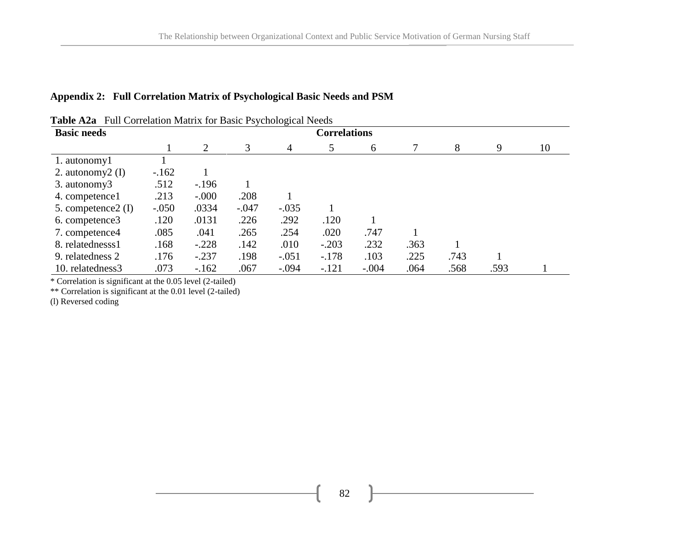### **Appendix 2: Full Correlation Matrix of Psychological Basic Needs and PSM**

| <b>Basic needs</b>  | <b>Correlations</b> |          |         |         |         |         |      |      |      |    |
|---------------------|---------------------|----------|---------|---------|---------|---------|------|------|------|----|
|                     |                     | 2        | 3       | 4       | 5       | 6       |      | 8    | 9    | 10 |
| 1. autonomy1        |                     |          |         |         |         |         |      |      |      |    |
| 2. autonomy $2$ (I) | $-162$              |          |         |         |         |         |      |      |      |    |
| 3. autonomy3        | .512                | $-196$   |         |         |         |         |      |      |      |    |
| 4. competence 1     | .213                | $-0.000$ | .208    |         |         |         |      |      |      |    |
| 5. competence2 (I)  | $-.050$             | .0334    | $-.047$ | $-.035$ |         |         |      |      |      |    |
| 6. competence3      | .120                | .0131    | .226    | .292    | .120    |         |      |      |      |    |
| 7. competence4      | .085                | .041     | .265    | .254    | .020    | .747    |      |      |      |    |
| 8. relatednesss1    | .168                | $-.228$  | .142    | .010    | $-.203$ | .232    | .363 |      |      |    |
| 9. relatedness 2    | .176                | $-.237$  | .198    | $-.051$ | $-.178$ | .103    | .225 | .743 |      |    |
| 10. relatedness3    | .073                | $-162$   | .067    | $-.094$ | $-.121$ | $-.004$ | .064 | .568 | .593 |    |

**Table A2a** Full Correlation Matrix for Basic Psychological Needs

\* Correlation is significant at the 0.05 level (2-tailed)

\*\* Correlation is significant at the 0.01 level (2-tailed)

(l) Reversed coding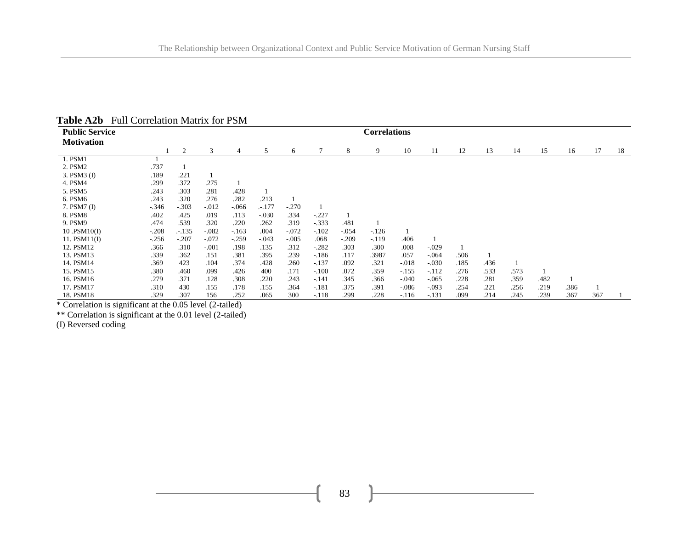| <b>Public Service</b> | <b>Correlations</b> |         |         |         |         |         |         |         |        |         |         |      |      |      |      |      |     |    |
|-----------------------|---------------------|---------|---------|---------|---------|---------|---------|---------|--------|---------|---------|------|------|------|------|------|-----|----|
| <b>Motivation</b>     |                     |         |         |         |         |         |         |         |        |         |         |      |      |      |      |      |     |    |
|                       |                     | 2       | 3       | 4       | 5       | 6       | 7       | 8       | 9      | 10      | 11      | 12   | 13   | 14   | 15   | 16   | 17  | 18 |
| 1. PSM1               |                     |         |         |         |         |         |         |         |        |         |         |      |      |      |      |      |     |    |
| 2. PSM2               | .737                |         |         |         |         |         |         |         |        |         |         |      |      |      |      |      |     |    |
| 3. PSM3 (I)           | .189                | .221    |         |         |         |         |         |         |        |         |         |      |      |      |      |      |     |    |
| 4. PSM4               | .299                | .372    | .275    |         |         |         |         |         |        |         |         |      |      |      |      |      |     |    |
| 5. PSM5               | .243                | .303    | .281    | .428    |         |         |         |         |        |         |         |      |      |      |      |      |     |    |
| 6. PSM6               | .243                | .320    | .276    | .282    | .213    |         |         |         |        |         |         |      |      |      |      |      |     |    |
| 7. PSM7 (I)           | $-.346$             | $-.303$ | $-.012$ | $-.066$ | $-.177$ | $-.270$ |         |         |        |         |         |      |      |      |      |      |     |    |
| 8. PSM8               | .402                | .425    | .019    | .113    | $-.030$ | .334    | $-.227$ |         |        |         |         |      |      |      |      |      |     |    |
| 9. PSM9               | .474                | .539    | .320    | .220    | .262    | .319    | $-.333$ | .481    |        |         |         |      |      |      |      |      |     |    |
| $10$ .PSM $10(I)$     | $-.208$             | $-.135$ | $-.082$ | $-.163$ | .004    | $-.072$ | $-.102$ | $-.054$ | $-126$ |         |         |      |      |      |      |      |     |    |
| 11. $PSM11(I)$        | $-256$              | $-.207$ | $-.072$ | $-.259$ | $-.043$ | $-.005$ | .068    | $-.209$ | $-119$ | .406    |         |      |      |      |      |      |     |    |
| 12. PSM12             | .366                | .310    | $-.001$ | .198    | .135    | .312    | $-.282$ | .303    | .300   | .008    | $-.029$ |      |      |      |      |      |     |    |
| 13. PSM13             | .339                | .362    | .151    | .381    | .395    | .239    | $-186$  | .117    | .3987  | .057    | $-.064$ | .506 |      |      |      |      |     |    |
| 14. PSM14             | .369                | 423     | .104    | .374    | .428    | .260    | $-.137$ | .092    | .321   | $-.018$ | $-.030$ | .185 | .436 |      |      |      |     |    |
| 15. PSM15             | .380                | .460    | .099    | .426    | 400     | .171    | $-.100$ | .072    | .359   | $-.155$ | $-.112$ | .276 | .533 | .573 |      |      |     |    |
| 16. PSM16             | .279                | .371    | .128    | .308    | .220    | .243    | $-.141$ | .345    | .366   | $-.040$ | $-.065$ | .228 | .281 | .359 | .482 |      |     |    |
| 17. PSM17             | .310                | 430     | .155    | .178    | .155    | .364    | $-181$  | .375    | .391   | $-.086$ | $-.093$ | .254 | .221 | .256 | .219 | .386 |     |    |
| 18. PSM18             | .329                | .307    | 156     | .252    | .065    | 300     | $-.118$ | .299    | .228   | $-116$  | $-.131$ | .099 | .214 | .245 | .239 | .367 | 367 |    |

**Table A2b** Full Correlation Matrix for PSM

\* Correlation is significant at the 0.05 level (2-tailed)

\*\* Correlation is significant at the 0.01 level (2-tailed)

(I) Reversed coding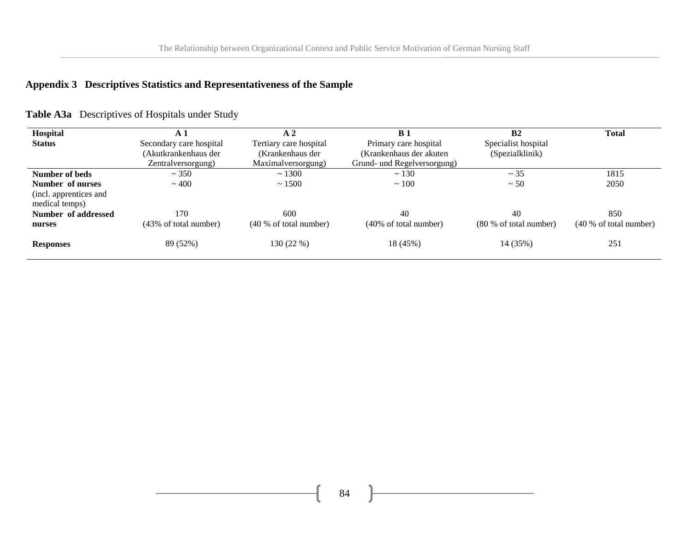# **Appendix 3 Descriptives Statistics and Representativeness of the Sample**

| Hospital                                 | $\mathbf{A}$ 1          | A <sub>2</sub>         | B <sub>1</sub>                   | B <sub>2</sub>                   | <b>Total</b>           |
|------------------------------------------|-------------------------|------------------------|----------------------------------|----------------------------------|------------------------|
| <b>Status</b>                            | Secondary care hospital | Tertiary care hospital | Primary care hospital            | Specialist hospital              |                        |
|                                          | (Akutkrankenhaus der    | (Krankenhaus der       | (Krankenhaus der akuten)         | (Spezialklinik)                  |                        |
|                                          | Zentralversorgung)      | Maximalversorgung)     | Grund- und Regelversorgung)      |                                  |                        |
| Number of beds                           | ~1.350                  | ~1300                  | ~130                             | $\sim$ 35                        | 1815                   |
| Number of nurses                         | ~100                    | ~1500                  | ~100                             | $~1$ 50                          | 2050                   |
| (incl. apprentices and<br>medical temps) |                         |                        |                                  |                                  |                        |
| Number of addressed                      | 170                     | 600                    | 40                               | 40                               | 850                    |
| nurses                                   | (43% of total number)   | (40 % of total number) | $(40\% \text{ of total number})$ | $(80\% \text{ of total number})$ | (40 % of total number) |
| <b>Responses</b>                         | 89 (52%)                | 130 (22 %)             | 18 (45%)                         | 14 (35%)                         | 251                    |

84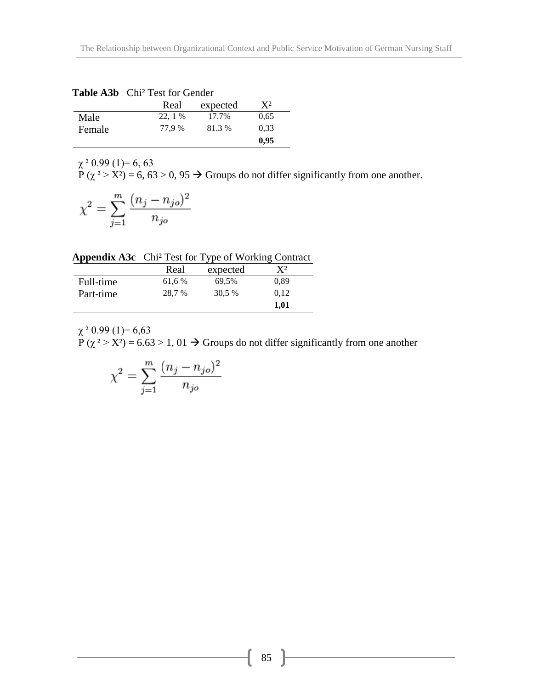|        | <b>Table AJD</b> CIII <sup>-</sup> Test for Genuer |          |           |
|--------|----------------------------------------------------|----------|-----------|
|        | Real                                               | expected | $\bf{Y}2$ |
| Male   | 22.1%                                              | 17.7%    | 0.65      |
| Female | 77.9 %                                             | 81.3%    | 0.33      |
|        |                                                    |          | 0,95      |

Table A<sub>3</sub>b Chi<sup>2</sup> Test for Gender

 $\chi^2$  0.99 (1)= 6, 63  $P(\chi^2 > X^2) = 6, 63 > 0, 95 \rightarrow$  Groups do not differ significantly from one another.

$$
\chi^2 = \sum_{j=1}^m \frac{(n_j - n_{jo})^2}{n_{jo}}
$$

**Appendix A3c** Chi² Test for Type of Working Contract

|           | Real   | expected | $\bf{Y}^2$ |  |
|-----------|--------|----------|------------|--|
| Full-time | 61,6 % | 69,5%    | 0.89       |  |
| Part-time | 28,7 % | 30.5 %   | 0.12       |  |
|           |        |          | 1,01       |  |

 $\chi^2$  0.99 (1)= 6,63  $P(\chi^2 > X^2) = 6.63 > 1, 01 \rightarrow$  Groups do not differ significantly from one another

$$
\chi^2=\sum_{j=1}^m\frac{(n_j-n_{jo})^2}{n_{jo}}
$$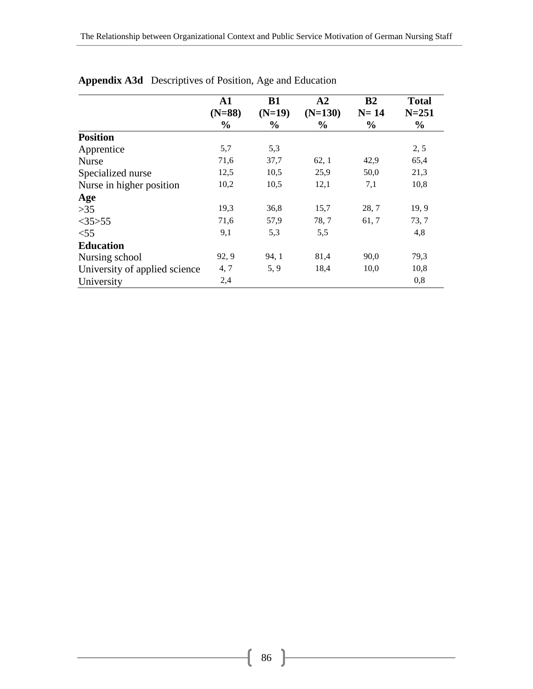|                               | ${\bf A1}$    | <b>B1</b>     | A <sub>2</sub> | B2            | <b>Total</b>  |
|-------------------------------|---------------|---------------|----------------|---------------|---------------|
|                               | $(N=88)$      | $(N=19)$      | $(N=130)$      | $N=14$        | $N = 251$     |
|                               | $\frac{0}{0}$ | $\frac{0}{0}$ | $\frac{6}{9}$  | $\frac{0}{0}$ | $\frac{6}{9}$ |
| <b>Position</b>               |               |               |                |               |               |
| Apprentice                    | 5,7           | 5,3           |                |               | 2, 5          |
| <b>Nurse</b>                  | 71,6          | 37,7          | 62, 1          | 42,9          | 65,4          |
| Specialized nurse             | 12,5          | 10,5          | 25,9           | 50,0          | 21,3          |
| Nurse in higher position      | 10,2          | 10,5          | 12,1           | 7,1           | 10,8          |
| Age                           |               |               |                |               |               |
| $>35$                         | 19,3          | 36,8          | 15,7           | 28,7          | 19, 9         |
| $<$ 35>55                     | 71,6          | 57,9          | 78, 7          | 61, 7         | 73, 7         |
| $<$ 55                        | 9,1           | 5,3           | 5,5            |               | 4,8           |
| <b>Education</b>              |               |               |                |               |               |
| Nursing school                | 92, 9         | 94, 1         | 81,4           | 90,0          | 79,3          |
| University of applied science | 4, 7          | 5, 9          | 18,4           | 10,0          | 10,8          |
| University                    | 2,4           |               |                |               | 0,8           |

## **Appendix A3d** Descriptives of Position, Age and Education

 $\overline{\mathfrak{f}}$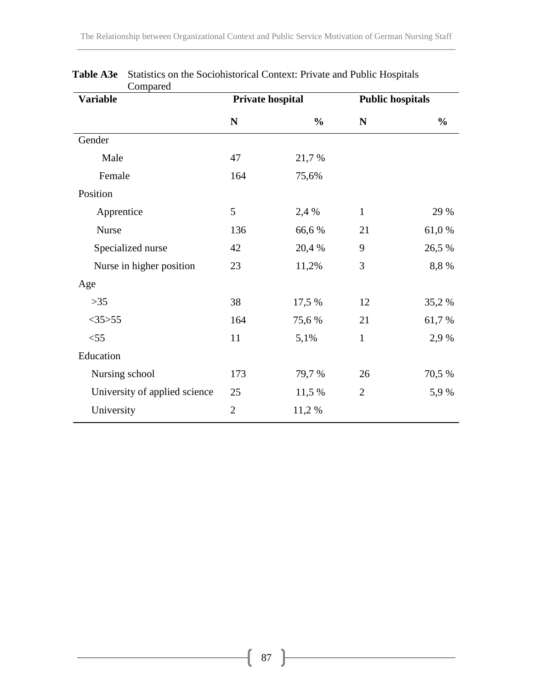| <b>Variable</b>               | Private hospital |               |                | <b>Public hospitals</b> |  |  |
|-------------------------------|------------------|---------------|----------------|-------------------------|--|--|
|                               | ${\bf N}$        | $\frac{0}{0}$ | N              | $\frac{0}{0}$           |  |  |
| Gender                        |                  |               |                |                         |  |  |
| Male                          | 47               | 21,7 %        |                |                         |  |  |
| Female                        | 164              | 75,6%         |                |                         |  |  |
| Position                      |                  |               |                |                         |  |  |
| Apprentice                    | 5                | 2,4 %         | $\mathbf{1}$   | 29 %                    |  |  |
| <b>Nurse</b>                  | 136              | 66,6%         | 21             | 61,0%                   |  |  |
| Specialized nurse             | 42               | 20,4 %        | 9              | 26,5 %                  |  |  |
| Nurse in higher position      | 23               | 11,2%         | 3              | 8,8 %                   |  |  |
| Age                           |                  |               |                |                         |  |  |
| $>35$                         | 38               | 17,5 %        | 12             | 35,2 %                  |  |  |
| $<$ 35>55                     | 164              | 75,6 %        | 21             | 61,7%                   |  |  |
| $<$ 55                        | 11               | 5,1%          | $\mathbf{1}$   | 2,9 %                   |  |  |
| Education                     |                  |               |                |                         |  |  |
| Nursing school                | 173              | 79,7 %        | 26             | 70,5 %                  |  |  |
| University of applied science | 25               | 11,5 %        | $\overline{2}$ | 5,9%                    |  |  |
| University                    | $\overline{2}$   | 11,2 %        |                |                         |  |  |

**Table A3e** Statistics on the Sociohistorical Context: Private and Public Hospitals Compared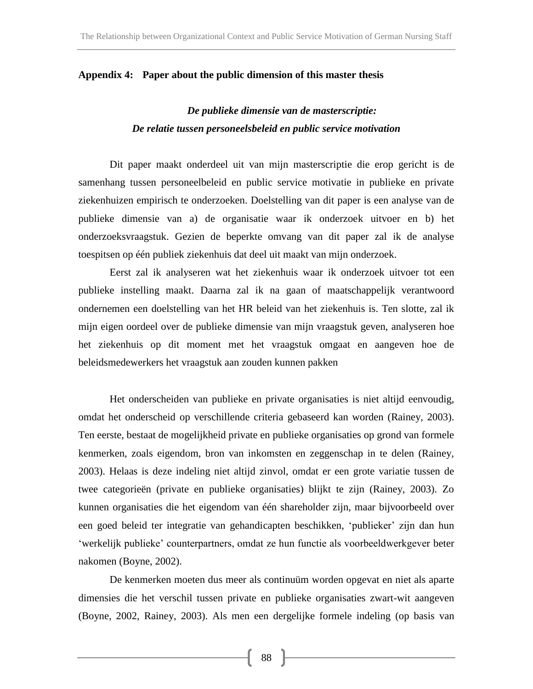#### **Appendix 4: Paper about the public dimension of this master thesis**

# *De publieke dimensie van de masterscriptie: De relatie tussen personeelsbeleid en public service motivation*

Dit paper maakt onderdeel uit van mijn masterscriptie die erop gericht is de samenhang tussen personeelbeleid en public service motivatie in publieke en private ziekenhuizen empirisch te onderzoeken. Doelstelling van dit paper is een analyse van de publieke dimensie van a) de organisatie waar ik onderzoek uitvoer en b) het onderzoeksvraagstuk. Gezien de beperkte omvang van dit paper zal ik de analyse toespitsen op één publiek ziekenhuis dat deel uit maakt van mijn onderzoek.

Eerst zal ik analyseren wat het ziekenhuis waar ik onderzoek uitvoer tot een publieke instelling maakt. Daarna zal ik na gaan of maatschappelijk verantwoord ondernemen een doelstelling van het HR beleid van het ziekenhuis is. Ten slotte, zal ik mijn eigen oordeel over de publieke dimensie van mijn vraagstuk geven, analyseren hoe het ziekenhuis op dit moment met het vraagstuk omgaat en aangeven hoe de beleidsmedewerkers het vraagstuk aan zouden kunnen pakken

Het onderscheiden van publieke en private organisaties is niet altijd eenvoudig, omdat het onderscheid op verschillende criteria gebaseerd kan worden (Rainey, 2003). Ten eerste, bestaat de mogelijkheid private en publieke organisaties op grond van formele kenmerken, zoals eigendom, bron van inkomsten en zeggenschap in te delen (Rainey, 2003). Helaas is deze indeling niet altijd zinvol, omdat er een grote variatie tussen de twee categorieën (private en publieke organisaties) blijkt te zijn (Rainey, 2003). Zo kunnen organisaties die het eigendom van één shareholder zijn, maar bijvoorbeeld over een goed beleid ter integratie van gehandicapten beschikken, 'publieker' zijn dan hun 'werkelijk publieke' counterpartners, omdat ze hun functie als voorbeeldwerkgever beter nakomen (Boyne, 2002).

De kenmerken moeten dus meer als continuüm worden opgevat en niet als aparte dimensies die het verschil tussen private en publieke organisaties zwart-wit aangeven (Boyne, 2002, Rainey, 2003). Als men een dergelijke formele indeling (op basis van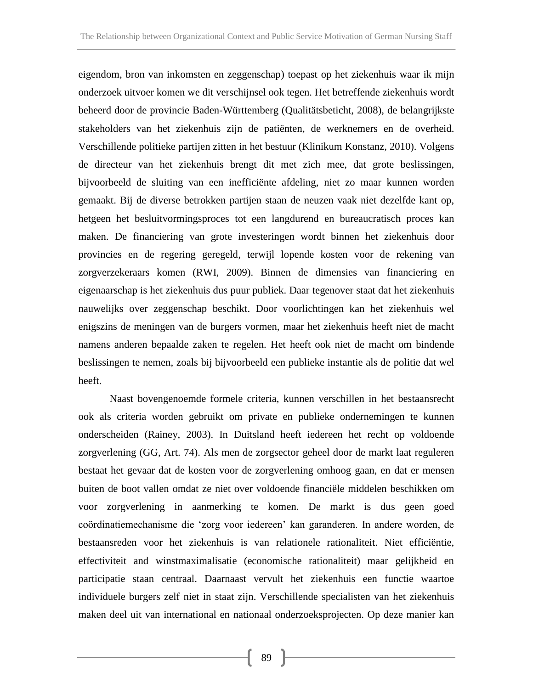eigendom, bron van inkomsten en zeggenschap) toepast op het ziekenhuis waar ik mijn onderzoek uitvoer komen we dit verschijnsel ook tegen. Het betreffende ziekenhuis wordt beheerd door de provincie Baden-Württemberg (Qualitätsbeticht, 2008), de belangrijkste stakeholders van het ziekenhuis zijn de patiënten, de werknemers en de overheid. Verschillende politieke partijen zitten in het bestuur (Klinikum Konstanz, 2010). Volgens de directeur van het ziekenhuis brengt dit met zich mee, dat grote beslissingen, bijvoorbeeld de sluiting van een inefficiënte afdeling, niet zo maar kunnen worden gemaakt. Bij de diverse betrokken partijen staan de neuzen vaak niet dezelfde kant op, hetgeen het besluitvormingsproces tot een langdurend en bureaucratisch proces kan maken. De financiering van grote investeringen wordt binnen het ziekenhuis door provincies en de regering geregeld, terwijl lopende kosten voor de rekening van zorgverzekeraars komen (RWI, 2009). Binnen de dimensies van financiering en eigenaarschap is het ziekenhuis dus puur publiek. Daar tegenover staat dat het ziekenhuis nauwelijks over zeggenschap beschikt. Door voorlichtingen kan het ziekenhuis wel enigszins de meningen van de burgers vormen, maar het ziekenhuis heeft niet de macht namens anderen bepaalde zaken te regelen. Het heeft ook niet de macht om bindende beslissingen te nemen, zoals bij bijvoorbeeld een publieke instantie als de politie dat wel heeft.

Naast bovengenoemde formele criteria, kunnen verschillen in het bestaansrecht ook als criteria worden gebruikt om private en publieke ondernemingen te kunnen onderscheiden (Rainey, 2003). In Duitsland heeft iedereen het recht op voldoende zorgverlening (GG, Art. 74). Als men de zorgsector geheel door de markt laat reguleren bestaat het gevaar dat de kosten voor de zorgverlening omhoog gaan, en dat er mensen buiten de boot vallen omdat ze niet over voldoende financiële middelen beschikken om voor zorgverlening in aanmerking te komen. De markt is dus geen goed coördinatiemechanisme die 'zorg voor iedereen' kan garanderen. In andere worden, de bestaansreden voor het ziekenhuis is van relationele rationaliteit. Niet efficiëntie, effectiviteit and winstmaximalisatie (economische rationaliteit) maar gelijkheid en participatie staan centraal. Daarnaast vervult het ziekenhuis een functie waartoe individuele burgers zelf niet in staat zijn. Verschillende specialisten van het ziekenhuis maken deel uit van international en nationaal onderzoeksprojecten. Op deze manier kan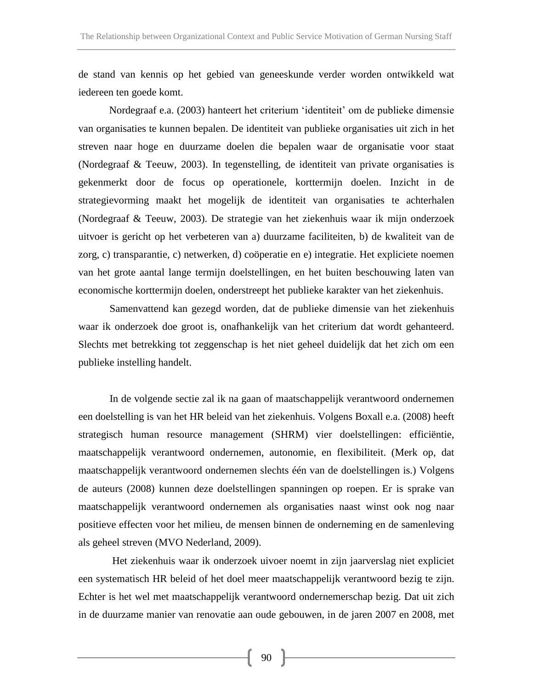de stand van kennis op het gebied van geneeskunde verder worden ontwikkeld wat iedereen ten goede komt.

Nordegraaf e.a. (2003) hanteert het criterium 'identiteit' om de publieke dimensie van organisaties te kunnen bepalen. De identiteit van publieke organisaties uit zich in het streven naar hoge en duurzame doelen die bepalen waar de organisatie voor staat (Nordegraaf & Teeuw, 2003). In tegenstelling, de identiteit van private organisaties is gekenmerkt door de focus op operationele, korttermijn doelen. Inzicht in de strategievorming maakt het mogelijk de identiteit van organisaties te achterhalen (Nordegraaf & Teeuw, 2003). De strategie van het ziekenhuis waar ik mijn onderzoek uitvoer is gericht op het verbeteren van a) duurzame faciliteiten, b) de kwaliteit van de zorg, c) transparantie, c) netwerken, d) coöperatie en e) integratie. Het expliciete noemen van het grote aantal lange termijn doelstellingen, en het buiten beschouwing laten van economische korttermijn doelen, onderstreept het publieke karakter van het ziekenhuis.

Samenvattend kan gezegd worden, dat de publieke dimensie van het ziekenhuis waar ik onderzoek doe groot is, onafhankelijk van het criterium dat wordt gehanteerd. Slechts met betrekking tot zeggenschap is het niet geheel duidelijk dat het zich om een publieke instelling handelt.

In de volgende sectie zal ik na gaan of maatschappelijk verantwoord ondernemen een doelstelling is van het HR beleid van het ziekenhuis. Volgens Boxall e.a. (2008) heeft strategisch human resource management (SHRM) vier doelstellingen: efficiëntie, maatschappelijk verantwoord ondernemen, autonomie, en flexibiliteit. (Merk op, dat maatschappelijk verantwoord ondernemen slechts één van de doelstellingen is.) Volgens de auteurs (2008) kunnen deze doelstellingen spanningen op roepen. Er is sprake van maatschappelijk verantwoord ondernemen als organisaties naast winst ook nog naar positieve effecten voor het milieu, de mensen binnen de onderneming en de samenleving als geheel streven (MVO Nederland, 2009).

Het ziekenhuis waar ik onderzoek uivoer noemt in zijn jaarverslag niet expliciet een systematisch HR beleid of het doel meer maatschappelijk verantwoord bezig te zijn. Echter is het wel met maatschappelijk verantwoord ondernemerschap bezig. Dat uit zich in de duurzame manier van renovatie aan oude gebouwen, in de jaren 2007 en 2008, met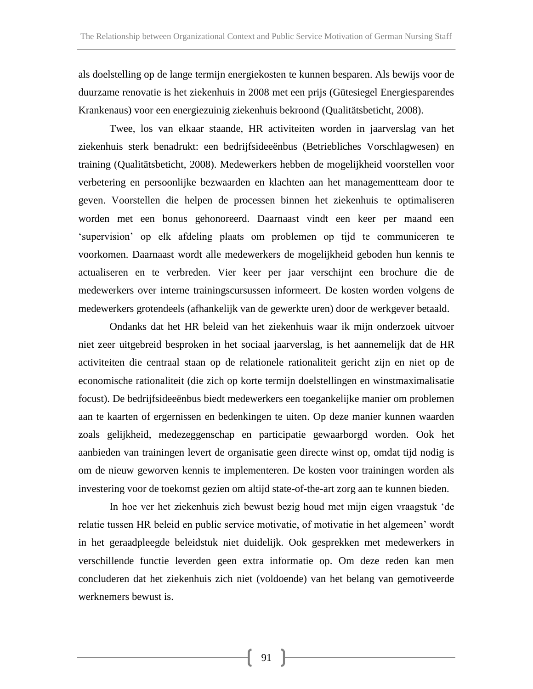als doelstelling op de lange termijn energiekosten te kunnen besparen. Als bewijs voor de duurzame renovatie is het ziekenhuis in 2008 met een prijs (Gütesiegel Energiesparendes Krankenaus) voor een energiezuinig ziekenhuis bekroond (Qualitätsbeticht, 2008).

Twee, los van elkaar staande, HR activiteiten worden in jaarverslag van het ziekenhuis sterk benadrukt: een bedrijfsideeënbus (Betriebliches Vorschlagwesen) en training (Qualitätsbeticht, 2008). Medewerkers hebben de mogelijkheid voorstellen voor verbetering en persoonlijke bezwaarden en klachten aan het managementteam door te geven. Voorstellen die helpen de processen binnen het ziekenhuis te optimaliseren worden met een bonus gehonoreerd. Daarnaast vindt een keer per maand een 'supervision' op elk afdeling plaats om problemen op tijd te communiceren te voorkomen. Daarnaast wordt alle medewerkers de mogelijkheid geboden hun kennis te actualiseren en te verbreden. Vier keer per jaar verschijnt een brochure die de medewerkers over interne trainingscursussen informeert. De kosten worden volgens de medewerkers grotendeels (afhankelijk van de gewerkte uren) door de werkgever betaald.

Ondanks dat het HR beleid van het ziekenhuis waar ik mijn onderzoek uitvoer niet zeer uitgebreid besproken in het sociaal jaarverslag, is het aannemelijk dat de HR activiteiten die centraal staan op de relationele rationaliteit gericht zijn en niet op de economische rationaliteit (die zich op korte termijn doelstellingen en winstmaximalisatie focust). De bedrijfsideeënbus biedt medewerkers een toegankelijke manier om problemen aan te kaarten of ergernissen en bedenkingen te uiten. Op deze manier kunnen waarden zoals gelijkheid, medezeggenschap en participatie gewaarborgd worden. Ook het aanbieden van trainingen levert de organisatie geen directe winst op, omdat tijd nodig is om de nieuw geworven kennis te implementeren. De kosten voor trainingen worden als investering voor de toekomst gezien om altijd state-of-the-art zorg aan te kunnen bieden.

In hoe ver het ziekenhuis zich bewust bezig houd met mijn eigen vraagstuk 'de relatie tussen HR beleid en public service motivatie, of motivatie in het algemeen' wordt in het geraadpleegde beleidstuk niet duidelijk. Ook gesprekken met medewerkers in verschillende functie leverden geen extra informatie op. Om deze reden kan men concluderen dat het ziekenhuis zich niet (voldoende) van het belang van gemotiveerde werknemers bewust is.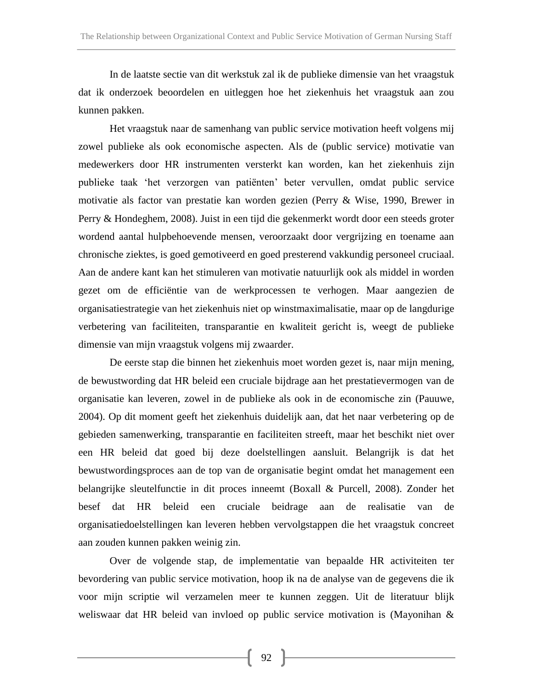In de laatste sectie van dit werkstuk zal ik de publieke dimensie van het vraagstuk dat ik onderzoek beoordelen en uitleggen hoe het ziekenhuis het vraagstuk aan zou kunnen pakken.

Het vraagstuk naar de samenhang van public service motivation heeft volgens mij zowel publieke als ook economische aspecten. Als de (public service) motivatie van medewerkers door HR instrumenten versterkt kan worden, kan het ziekenhuis zijn publieke taak 'het verzorgen van patiënten' beter vervullen, omdat public service motivatie als factor van prestatie kan worden gezien (Perry & Wise, 1990, Brewer in Perry & Hondeghem, 2008). Juist in een tijd die gekenmerkt wordt door een steeds groter wordend aantal hulpbehoevende mensen, veroorzaakt door vergrijzing en toename aan chronische ziektes, is goed gemotiveerd en goed presterend vakkundig personeel cruciaal. Aan de andere kant kan het stimuleren van motivatie natuurlijk ook als middel in worden gezet om de efficiëntie van de werkprocessen te verhogen. Maar aangezien de organisatiestrategie van het ziekenhuis niet op winstmaximalisatie, maar op de langdurige verbetering van faciliteiten, transparantie en kwaliteit gericht is, weegt de publieke dimensie van mijn vraagstuk volgens mij zwaarder.

De eerste stap die binnen het ziekenhuis moet worden gezet is, naar mijn mening, de bewustwording dat HR beleid een cruciale bijdrage aan het prestatievermogen van de organisatie kan leveren, zowel in de publieke als ook in de economische zin (Pauuwe, 2004). Op dit moment geeft het ziekenhuis duidelijk aan, dat het naar verbetering op de gebieden samenwerking, transparantie en faciliteiten streeft, maar het beschikt niet over een HR beleid dat goed bij deze doelstellingen aansluit. Belangrijk is dat het bewustwordingsproces aan de top van de organisatie begint omdat het management een belangrijke sleutelfunctie in dit proces inneemt (Boxall & Purcell, 2008). Zonder het besef dat HR beleid een cruciale beidrage aan de realisatie van de organisatiedoelstellingen kan leveren hebben vervolgstappen die het vraagstuk concreet aan zouden kunnen pakken weinig zin.

Over de volgende stap, de implementatie van bepaalde HR activiteiten ter bevordering van public service motivation, hoop ik na de analyse van de gegevens die ik voor mijn scriptie wil verzamelen meer te kunnen zeggen. Uit de literatuur blijk weliswaar dat HR beleid van invloed op public service motivation is (Mayonihan &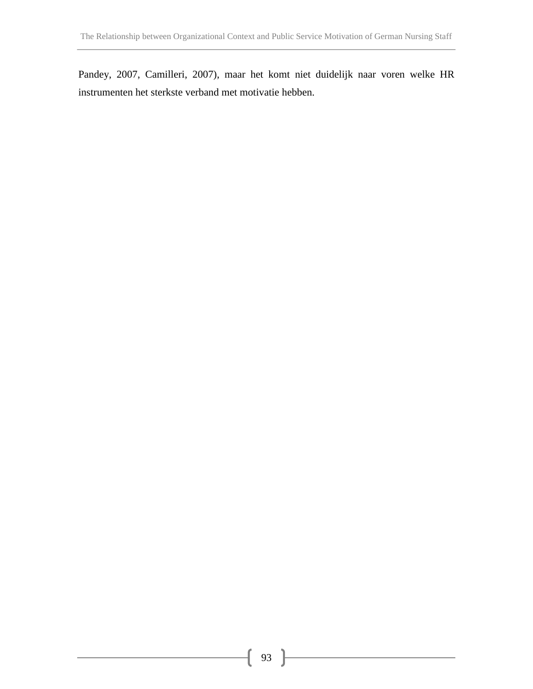Pandey, 2007, Camilleri, 2007), maar het komt niet duidelijk naar voren welke HR instrumenten het sterkste verband met motivatie hebben.

ſ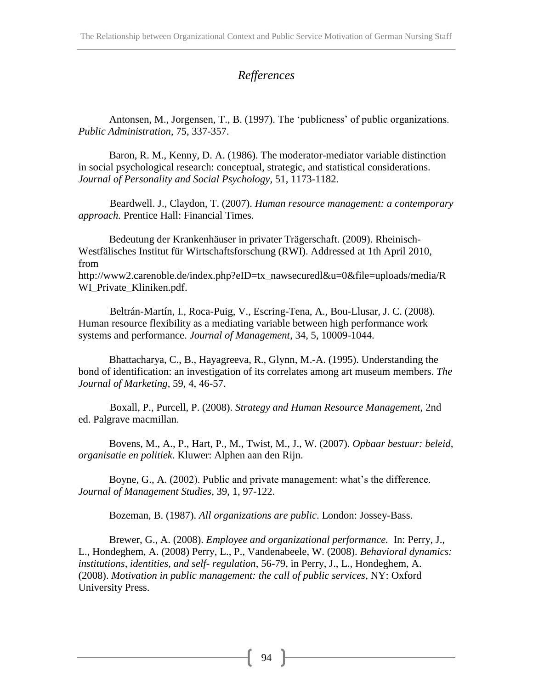## *Refferences*

Antonsen, M., Jorgensen, T., B. (1997). The 'publicness' of public organizations. *Public Administration*, 75, 337-357.

Baron, R. M., Kenny, D. A. (1986). The moderator-mediator variable distinction in social psychological research: conceptual, strategic, and statistical considerations. *Journal of Personality and Social Psychology*, 51, 1173-1182.

Beardwell. J., Claydon, T. (2007). *Human resource management: a contemporary approach.* Prentice Hall: Financial Times.

Bedeutung der Krankenhäuser in privater Trägerschaft. (2009). Rheinisch-Westfälisches Institut für Wirtschaftsforschung (RWI). Addressed at 1th April 2010, from [http://www2.carenoble.de/index.php?eID=tx\\_nawsecuredl&u=0&file=uploads/media/R](http://www2.carenoble.de/index.php?eID=tx_nawsecuredl&u=0&file=uploads/media/RWI_Private_Kliniken.pdf) [WI\\_Private\\_Kliniken.pdf.](http://www2.carenoble.de/index.php?eID=tx_nawsecuredl&u=0&file=uploads/media/RWI_Private_Kliniken.pdf)

Beltrán-Martín, I., Roca-Puig, V., Escring-Tena, A., Bou-Llusar, J. C. (2008). Human resource flexibility as a mediating variable between high performance work systems and performance. *Journal of Management*, 34, 5, 10009-1044.

Bhattacharya, C., B., Hayagreeva, R., Glynn, M.-A. (1995). Understanding the bond of identification: an investigation of its correlates among art museum members. *The Journal of Marketing*, 59, 4, 46-57.

Boxall, P., Purcell, P. (2008). *Strategy and Human Resource Management*, 2nd ed. Palgrave macmillan.

Bovens, M., A., P., Hart, P., M., Twist, M., J., W. (2007). *Opbaar bestuur: beleid, organisatie en politiek*. Kluwer: Alphen aan den Rijn.

Boyne, G., A. (2002). Public and private management: what's the difference. *Journal of Management Studies*, 39, 1, 97-122.

Bozeman, B. (1987). *All organizations are public*. London: Jossey-Bass.

Brewer, G., A. (2008). *Employee and organizational performance.* In: Perry, J., L., Hondeghem, A. (2008) Perry, L., P., Vandenabeele, W. (2008). *Behavioral dynamics: institutions, identities, and self- regulation*, 56-79, in Perry, J., L., Hondeghem, A. (2008). *Motivation in public management: the call of public services*, NY: Oxford University Press.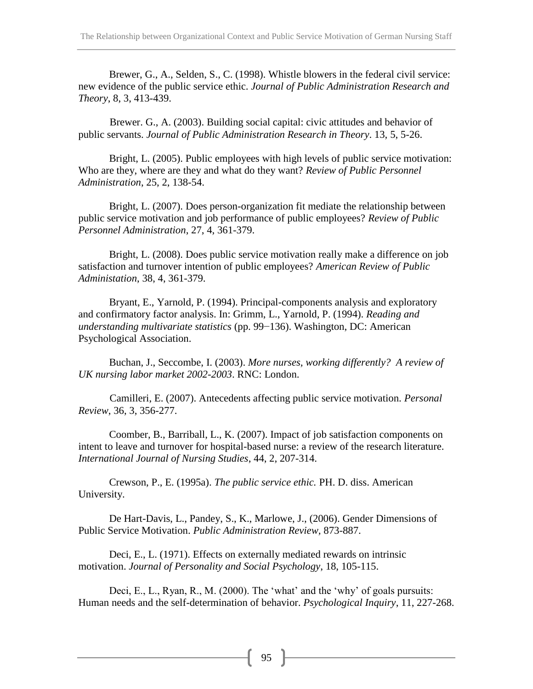Brewer, G., A., Selden, S., C. (1998). Whistle blowers in the federal civil service: new evidence of the public service ethic. *Journal of Public Administration Research and Theory*, 8, 3, 413-439.

Brewer. G., A. (2003). Building social capital: civic attitudes and behavior of public servants. *Journal of Public Administration Research in Theory*. 13, 5, 5-26.

Bright, L. (2005). Public employees with high levels of public service motivation: Who are they, where are they and what do they want? *Review of Public Personnel Administration*, 25, 2, 138-54.

Bright, L. (2007). Does person-organization fit mediate the relationship between public service motivation and job performance of public employees? *Review of Public Personnel Administration*, 27, 4, 361-379.

Bright, L. (2008). Does public service motivation really make a difference on job satisfaction and turnover intention of public employees? *American Review of Public Administation*, 38, 4, 361-379.

Bryant, E., Yarnold, P. (1994). Principal-components analysis and exploratory and confirmatory factor analysis. In: Grimm, L., Yarnold, P. (1994). *Reading and understanding multivariate statistics* (pp. 99−136). Washington, DC: American Psychological Association.

Buchan, J., Seccombe, I. (2003). *More nurses, working differently? A review of UK nursing labor market 2002-2003*. RNC: London.

Camilleri, E. (2007). Antecedents affecting public service motivation. *Personal Review*, 36, 3, 356-277.

Coomber, B., Barriball, L., K. (2007). Impact of job satisfaction components on intent to leave and turnover for hospital-based nurse: a review of the research literature. *International Journal of Nursing Studies*, 44, 2, 207-314.

Crewson, P., E. (1995a). *The public service ethic.* PH. D. diss. American University.

De Hart-Davis, L., Pandey, S., K., Marlowe, J., (2006). Gender Dimensions of Public Service Motivation. *Public Administration Review,* 873-887.

Deci, E., L. (1971). Effects on externally mediated rewards on intrinsic motivation. *Journal of Personality and Social Psychology*, 18, 105-115.

Deci, E., L., Ryan, R., M. (2000). The 'what' and the 'why' of goals pursuits: Human needs and the self-determination of behavior. *Psychological Inquiry*, 11, 227-268.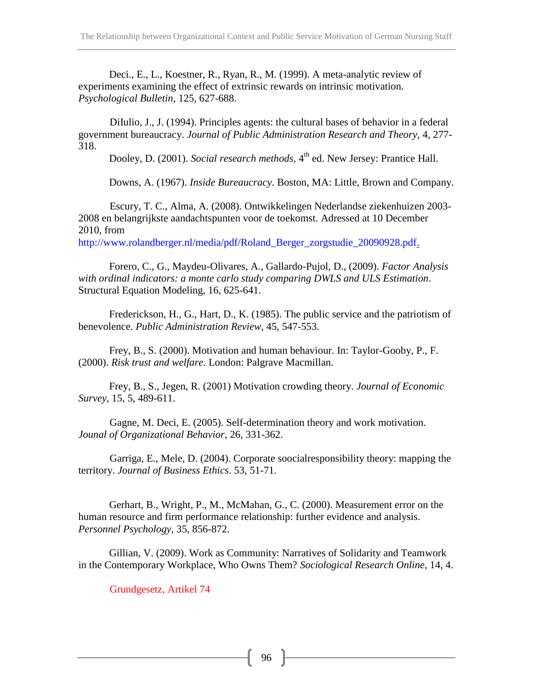Deci., E., L., Koestner, R., Ryan, R., M. (1999). A meta-analytic review of experiments examining the effect of extrinsic rewards on intrinsic motivation. *Psychological Bulletin*, 125, 627-688.

DiIulio, J., J. (1994). Principles agents: the cultural bases of behavior in a federal government bureaucracy. *Journal of Public Administration Research and Theory,* 4, 277- 318.

Dooley, D. (2001). *Social research methods*, 4<sup>th</sup> ed. New Jersey: Prantice Hall.

Downs, A. (1967). *Inside Bureaucracy*. Boston, MA: Little, Brown and Company.

Escury, T. C., Alma, A. (2008). Ontwikkelingen Nederlandse ziekenhuizen 2003- 2008 en belangrijkste aandachtspunten voor de toekomst. Adressed at 10 December 2010, from

[http://www.rolandberger.nl/media/pdf/Roland\\_Berger\\_zorgstudie\\_20090928.pdf.](http://www.rolandberger.nl/media/pdf/Roland_Berger_zorgstudie_20090928.pdf)

Forero, C., G., Maydeu-Olivares, A., Gallardo-Pujol, D., (2009). *Factor Analysis with ordinal indicators: a monte carlo study comparing DWLS and ULS Estimation*. Structural Equation Modeling, 16, 625-641.

Frederickson, H., G., Hart, D., K. (1985). The public service and the patriotism of benevolence. *Public Administration Review*, 45, 547-553.

Frey, B., S. (2000). Motivation and human behaviour. In: Taylor-Gooby, P., F. (2000). *Risk trust and welfare.* London: Palgrave Macmillan.

Frey, B., S., Jegen, R. (2001) Motivation crowding theory. *Journal of Economic Survey*, 15, 5, 489-611.

Gagne, M. Deci, E. (2005). Self-determination theory and work motivation. *Jounal of Organizational Behavior*, 26, 331-362.

Garriga, E., Mele, D. (2004). Corporate soocialresponsibility theory: mapping the territory. *Journal of Business Ethics*. 53, 51-71.

Gerhart, B., Wright, P., M., McMahan, G., C. (2000). Measurement error on the human resource and firm performance relationship: further evidence and analysis. *Personnel Psychology*, 35, 856-872.

Gillian, V. (2009). Work as Community: Narratives of Solidarity and Teamwork in the Contemporary Workplace, Who Owns Them? *Sociological Research Online*, 14, 4.

Grundgesetz, Artikel 74

96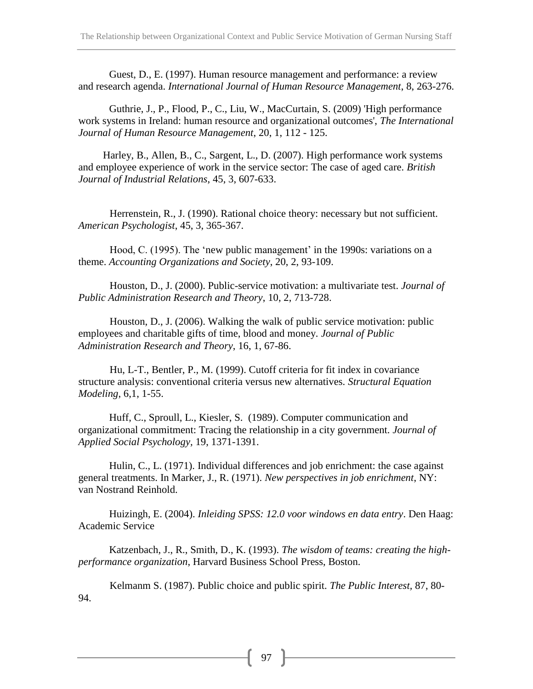Guest, D., E. (1997). Human resource management and performance: a review and research agenda. *International Journal of Human Resource Management*, 8, 263-276.

Guthrie, J., P., Flood, P., C., Liu, W., MacCurtain, S. (2009) 'High performance work systems in Ireland: human resource and organizational outcomes', *The International Journal of Human Resource Management*, 20, 1, 112 - 125.

Harley, B., Allen, B., C., Sargent, L., D. (2007). High performance work systems and employee experience of work in the service sector: The case of aged care. *British Journal of Industrial Relations*, 45, 3, 607-633.

Herrenstein, R., J. (1990). Rational choice theory: necessary but not sufficient. *American Psychologist*, 45, 3, 365-367.

Hood, C. (1995). The 'new public management' in the 1990s: variations on a theme. *Accounting Organizations and Society*, 20, 2, 93-109.

Houston, D., J. (2000). Public-service motivation: a multivariate test. *Journal of Public Administration Research and Theory*, 10, 2, 713-728.

Houston, D., J. (2006). Walking the walk of public service motivation: public employees and charitable gifts of time, blood and money. *Journal of Public Administration Research and Theory*, 16, 1, 67-86.

Hu, L-T., Bentler, P., M. (1999). Cutoff criteria for fit index in covariance structure analysis: conventional criteria versus new alternatives. *Structural Equation Modeling*, 6,1, 1-55.

Huff, C., Sproull, L., Kiesler, S. (1989). Computer communication and organizational commitment: Tracing the relationship in a city government. *Journal of Applied Social Psychology,* 19, 1371-1391.

Hulin, C., L. (1971). Individual differences and job enrichment: the case against general treatments. In Marker, J., R. (1971). *New perspectives in job enrichment*, NY: van Nostrand Reinhold.

Huizingh, E. (2004). *Inleiding SPSS: 12.0 voor windows en data entry*. Den Haag: Academic Service

Katzenbach, J., R., Smith, D., K. (1993). *The wisdom of teams: creating the highperformance organization*, Harvard Business School Press, Boston.

Kelmanm S. (1987). Public choice and public spirit. *The Public Interest,* 87, 80- 94.

97 ]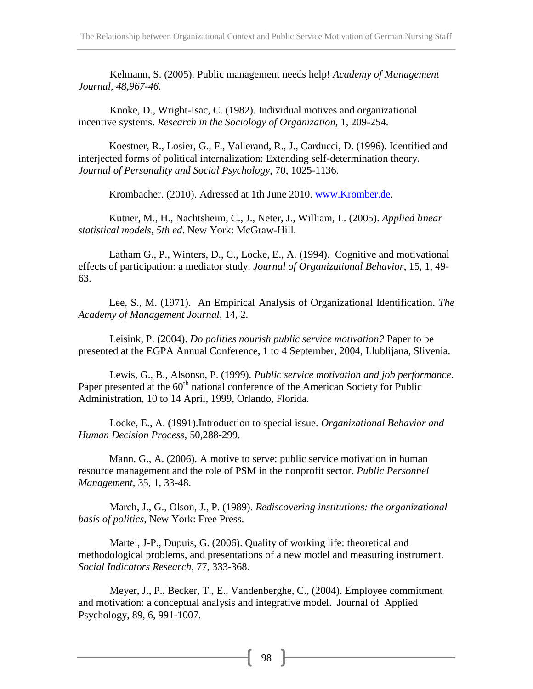Kelmann, S. (2005). Public management needs help! *Academy of Management Journal, 48,967-46.*

Knoke, D., Wright-Isac, C. (1982). Individual motives and organizational incentive systems. *Research in the Sociology of Organization,* 1, 209-254.

Koestner, R., Losier, G., F., Vallerand, R., J., Carducci, D. (1996). Identified and interjected forms of political internalization: Extending self-determination theory. *Journal of Personality and Social Psychology,* 70, 1025-1136.

Krombacher. (2010). Adressed at 1th June 2010. [www.Kromber.de.](http://www.kromber.de/)

Kutner, M., H., Nachtsheim, C., J., Neter, J., William, L. (2005). *Applied linear statistical models, 5th ed*. New York: McGraw-Hill.

Latham G., P., Winters, D., C., Locke, E., A. (1994). Cognitive and motivational effects of participation: a mediator study. *Journal of Organizational Behavior*, 15, 1, 49- 63.

Lee, S., M. (1971). An Empirical Analysis of Organizational Identification. *The Academy of Management Journal*, 14, 2.

Leisink, P. (2004). *Do polities nourish public service motivation?* Paper to be presented at the EGPA Annual Conference, 1 to 4 September, 2004, Llublijana, Slivenia.

Lewis, G., B., Alsonso, P. (1999). *Public service motivation and job performance*. Paper presented at the  $60<sup>th</sup>$  national conference of the American Society for Public Administration, 10 to 14 April, 1999, Orlando, Florida.

Locke, E., A. (1991).Introduction to special issue. *Organizational Behavior and Human Decision Process*, 50,288-299.

Mann. G., A. (2006). A motive to serve: public service motivation in human resource management and the role of PSM in the nonprofit sector. *Public Personnel Management*, 35, 1, 33-48.

March, J., G., Olson, J., P. (1989). *Rediscovering institutions: the organizational basis of politics*, New York: Free Press.

Martel, J-P., Dupuis, G. (2006). Quality of working life: theoretical and methodological problems, and presentations of a new model and measuring instrument*. Social Indicators Research*, 77, 333-368.

Meyer, J., P., Becker, T., E., Vandenberghe, C., (2004). Employee commitment and motivation: a conceptual analysis and integrative model. Journal of Applied Psychology, 89, 6, 991-1007.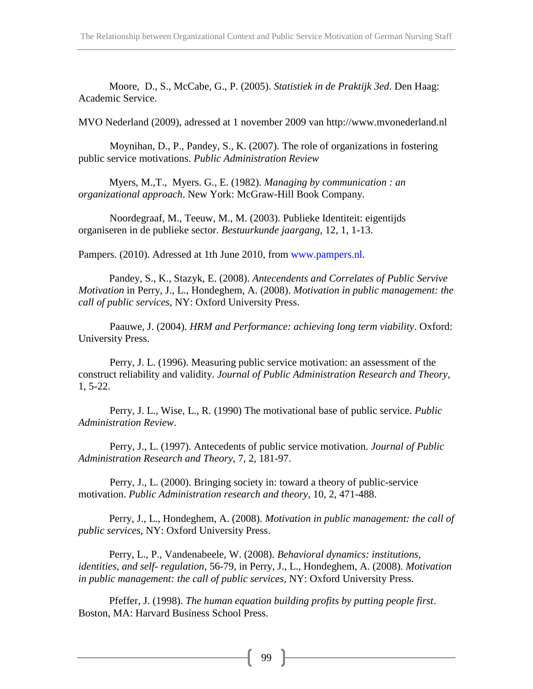Moore, D., S., McCabe, G., P. (2005). *Statistiek in de Praktijk 3ed*. Den Haag: Academic Service.

MVO Nederland (2009), adressed at 1 november 2009 van [http://www.mvonederland.nl](http://www.mvonederland.nl/)

Moynihan, D., P., Pandey, S., K. (2007). The role of organizations in fostering public service motivations. *Public Administration Review*

Myers, M.,T., Myers. G., E. (1982). *Managing by communication : an organizational approach*. New York: McGraw-Hill Book Company.

Noordegraaf, M., Teeuw, M., M. (2003). Publieke Identiteit: eigentijds organiseren in de publieke sector. *Bestuurkunde jaargang,* 12, 1, 1-13.

Pampers. (2010). Adressed at 1th June 2010, from [www.pampers.nl.](http://www.pampers.nl/)

Pandey, S., K., Stazyk, E. (2008). *Antecendents and Correlates of Public Servive Motivation* in Perry, J., L., Hondeghem, A. (2008). *Motivation in public management: the call of public services*, NY: Oxford University Press.

Paauwe, J. (2004). *HRM and Performance: achieving long term viability*. Oxford: University Press.

Perry, J. L. (1996). Measuring public service motivation: an assessment of the construct reliability and validity. *Journal of Public Administration Research and Theory*, 1, 5-22.

Perry, J. L., Wise, L., R. (1990) The motivational base of public service. *Public Administration Review*.

Perry, J., L. (1997). Antecedents of public service motivation. *Journal of Public Administration Research and Theory*, 7, 2, 181-97.

Perry, J., L. (2000). Bringing society in: toward a theory of public-service motivation. *Public Administration research and theory*, 10, 2, 471-488.

Perry, J., L., Hondeghem, A. (2008). *Motivation in public management: the call of public services*, NY: Oxford University Press.

Perry, L., P., Vandenabeele, W. (2008). *Behavioral dynamics: institutions, identities, and self- regulation*, 56-79, in Perry, J., L., Hondeghem, A. (2008). *Motivation in public management: the call of public services*, NY: Oxford University Press.

Pfeffer, J. (1998). *The human equation building profits by putting people first*. Boston, MA: Harvard Business School Press.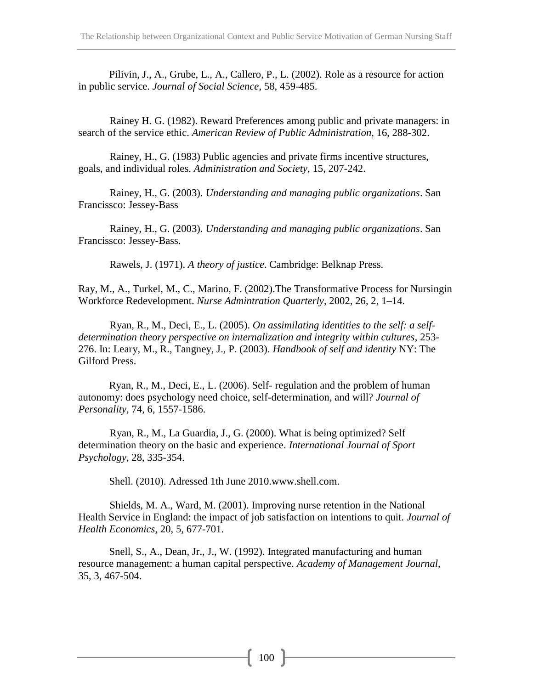Pilivin, J., A., Grube, L., A., Callero, P., L. (2002). Role as a resource for action in public service. *Journal of Social Science*, 58, 459-485.

Rainey H. G. (1982). Reward Preferences among public and private managers: in search of the service ethic. *American Review of Public Administration*, 16, 288-302.

Rainey, H., G. (1983) Public agencies and private firms incentive structures, goals, and individual roles. *Administration and Society*, 15, 207-242.

Rainey, H., G. (2003). *Understanding and managing public organizations*. San Francissco: Jessey-Bass

Rainey, H., G. (2003). *Understanding and managing public organizations*. San Francissco: Jessey-Bass.

Rawels, J. (1971). *A theory of justice*. Cambridge: Belknap Press.

Ray, M., A., Turkel, M., C., Marino, F. (2002).The Transformative Process for Nursingin Workforce Redevelopment. *Nurse Admintration Quarterly*, 2002, 26, 2, 1–14.

Ryan, R., M., Deci, E., L. (2005). *[On assimilating identities to the self: a](http://books.google.de/books?hl=de&lr=&id=vafgWfgxUK8C&oi=fnd&pg=PA253&dq=On+assimilating+identities+to+the+self&ots=rd9cJyuEdN&sig=4eXgyWETxj0h7XgHM35TCXpcCps) self[determination theory perspective on internalization and integrity within cultures](http://books.google.de/books?hl=de&lr=&id=vafgWfgxUK8C&oi=fnd&pg=PA253&dq=On+assimilating+identities+to+the+self&ots=rd9cJyuEdN&sig=4eXgyWETxj0h7XgHM35TCXpcCps)*, 253- 276. In: Leary, M., R., Tangney, J., P. (2003). *Handbook of self and identity* NY: The Gilford Press.

Ryan, R., M., Deci, E., L. (2006). Self- regulation and the problem of human autonomy: does psychology need choice, self-determination, and will? *Journal of Personality,* 74, 6, 1557-1586.

Ryan, R., M., La Guardia, J., G. (2000). What is being optimized? Self determination theory on the basic and experience. *International Journal of Sport Psychology*, 28, 335-354.

Shell. (2010). Adressed 1th June 2010.www.shell.com.

Shields, M. A., Ward, M. (2001). Improving nurse retention in the National Health Service in England: the impact of job satisfaction on intentions to quit. *Journal of Health Economics*, 20, 5, 677-701.

Snell, S., A., Dean, Jr., J., W. (1992). Integrated manufacturing and human resource management: a human capital perspective. *Academy of Management Journal,* 35, 3, 467-504.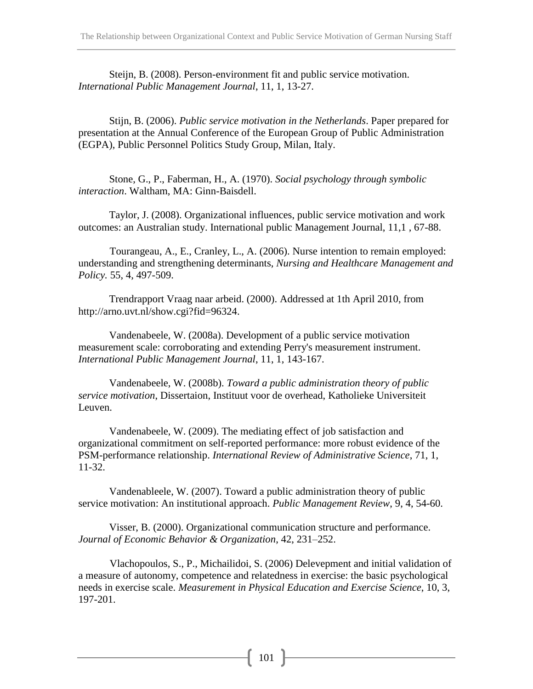Steijn, B. (2008). Person-environment fit and public service motivation. *International Public Management Journal*, 11, 1, 13-27.

Stijn, B. (2006). *Public service motivation in the Netherlands*. Paper prepared for presentation at the Annual Conference of the European Group of Public Administration (EGPA), Public Personnel Politics Study Group, Milan, Italy.

Stone, G., P., Faberman, H., A. (1970). *Social psychology through symbolic interaction*. Waltham, MA: Ginn-Baisdell.

Taylor, J. (2008). Organizational influences, public service motivation and work outcomes: an Australian study. International public Management Journal, 11,1 , 67-88.

Tourangeau, A., E., Cranley, L., A. (2006). Nurse intention to remain employed: understanding and strengthening determinants, *Nursing and Healthcare Management and Policy.* 55, 4, 497-509.

Trendrapport Vraag naar arbeid. (2000). Addressed at 1th April 2010, from [http://arno.uvt.nl/show.cgi?fid=96324.](http://arno.uvt.nl/show.cgi?fid=96324)

Vandenabeele, W. (2008a). Development of a public service motivation measurement scale: corroborating and extending Perry's measurement instrument. *International Public Management Journal*, 11, 1, 143-167.

Vandenabeele, W. (2008b). *Toward a public administration theory of public service motivation*, Dissertaion, Instituut voor de overhead, Katholieke Universiteit Leuven.

Vandenabeele, W. (2009). The mediating effect of job satisfaction and organizational commitment on self-reported performance: more robust evidence of the PSM-performance relationship. *International Review of Administrative Science*, 71, 1, 11-32.

Vandenableele, W. (2007). Toward a public administration theory of public service motivation: An institutional approach. *Public Management Review*, 9, 4, 54-60.

Visser, B. (2000). Organizational communication structure and performance. *Journal of Economic Behavior & Organization*, 42, 231–252.

Vlachopoulos, S., P., Michailidoi, S. (2006) Delevepment and initial validation of a measure of autonomy, competence and relatedness in exercise: the basic psychological needs in exercise scale. *Measurement in Physical Education and Exercise Science*, 10, 3, 197-201.